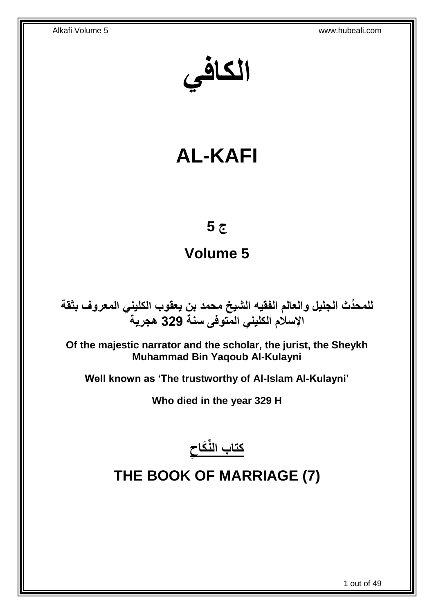**الكافي**

# **AL-KAFI**

## **ج 5**

## **Volume 5**

**دث الجليل والعالم الفقيه الشيخ محمد بن يعقوب الكليني المعروف بثقة للمح ِّ اإلسالم الكليني المتوفى سنة 329 هجرية**

**Of the majestic narrator and the scholar, the jurist, the Sheykh Muhammad Bin Yaqoub Al-Kulayni**

**Well known as 'The trustworthy of Al-Islam Al-Kulayni'**

**Who died in the year 329 H**



# <span id="page-0-0"></span>**THE BOOK OF MARRIAGE (7)**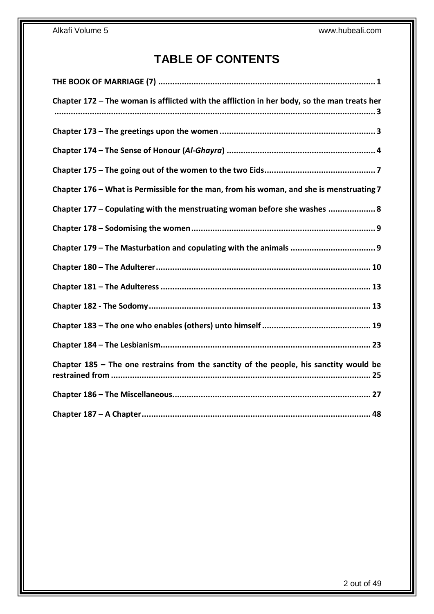## **TABLE OF CONTENTS**

| Chapter 172 - The woman is afflicted with the affliction in her body, so the man treats her |
|---------------------------------------------------------------------------------------------|
|                                                                                             |
|                                                                                             |
|                                                                                             |
| Chapter 176 – What is Permissible for the man, from his woman, and she is menstruating 7    |
| Chapter 177 - Copulating with the menstruating woman before she washes  8                   |
|                                                                                             |
|                                                                                             |
|                                                                                             |
|                                                                                             |
|                                                                                             |
|                                                                                             |
|                                                                                             |
| Chapter $185$ – The one restrains from the sanctity of the people, his sanctity would be    |
|                                                                                             |
|                                                                                             |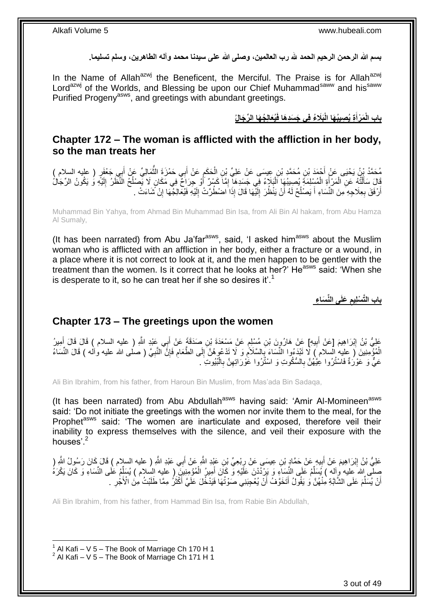**بسم هللا الرحمن الرحيم الحمد هلل رب العالمين، وصلى هللا على سيدنا محمد وآله الطاهرين، وسلم تسليما.**

In the Name of Allah<sup>azwj</sup> the Beneficent, the Merciful. The Praise is for Allah<sup>azwj</sup> Lord<sup>azwj</sup> of the Worlds, and Blessing be upon our Chief Muhammad<sup>saww</sup> and his<sup>saww</sup> Purified Progeny<sup>asws</sup>, and greetings with abundant greetings.

> بابِ الْمَرْأَةِ يُصِيبُهَا الْبَلَاءُ فِى جَسَدِهَا فَيُعَالِجُهَا الرِّجَالُ **َ**

### <span id="page-2-0"></span>**Chapter 172 – The woman is afflicted with the affliction in her body, so the man treats her**

مُحَمَّدُ بِنُ يَحْيَى عَنْ أَحْمَدَ بْنِ مُحَمَّدِ بْنِ عِيسَى عَنْ عَلِيِّ بْنِ الْحَكَمِ عَنْ أَبِي حَمْزَة<br>ِ ِ َ ُّ َ ِ  $\ddot{\phantom{0}}$ َ َالَ سَأَلْتُهُ عَنِ الْمَرْأَةِ الْمُسْلِمَةِ يُصِيبُهَا اَلْبَلَاهُ فِي جَسَدِهَا إِمَّاۤ كَسْرٌ ۚ أُوْ جِرَاحٌ فِي مَكَانٍ لَا يَصْلُحُ النَّظَرُ إِلَيْهِ وَ يَكُونُ الرِّجَالُ َ ِ Ĺ į Ĺ ֦֧֦֧֦֧֦֧֦֧֦֧֦֦֧֦֦֧֦֧֦֧֦֦֦֦֦֧֦֧֦֧֦֧֦֧֦֧֦֧֦֦֧֦֧֦֧֦֧֦֧֦֧֦֧֦֧֦֧֦֧֧֧֛֛֘֝֟֟֘֝֟֘֝֟֓֕֟֓֞֟֓֞֟֓֞֟֓֡֟֓֞֡֝֬֜<br>֧ׅ֧ׅ֖֦֛ׅ֛֛֛֛֛֛֪֦֖֚֚֝֜֜֬֞֟֜֘֜֜֜֜֜֝ لَ ِ ُ أَرْفَقَ بِعِلَاجِهِ مِنَ الْنُسَاءِ أَ يَصْلُحُ لَهُ أَنْ يَنْظُرَ إِلَيْهَا قَالَ إِذَا اضْطُرَتْ إِلَيْهِ فَيُعَالِجُهَا إِنْ شَاءَتْ . لَ ِ لَ ِ اُ ٔ<br>ا َ **∶** َ ِ

Muhammad Bin Yahya, from Ahmad Bin Muhammad Bin Isa, from Ali Bin Al hakam, from Abu Hamza Al Sumaly,

(It has been narrated) from Abu Ja'far $a<sup>asws</sup>$ , said, 'I asked him $a<sup>asws</sup>$  about the Muslim woman who is afflicted with an affliction in her body, either a fracture or a wound, in a place where it is not correct to look at it, and the men happen to be gentler with the treatment than the women. Is it correct that he looks at her?' He<sup>asws</sup> said: 'When she is desperate to it, so he can treat her if she so desires it'.<sup>1</sup>

> **َعلَى الِّن َسا ء باب الَّت ْسل يم**

### <span id="page-2-1"></span>**Chapter 173 – The greetings upon the women**

عَلِيُّ بْنُ إِبْرَاهِيمَ [عَنْ أَبِيهِ] عَنْ هَارُورَنَ بْنِ مُسْلِمٍ عَنْ مَسْعَدَةَ بْنِ صَدَقَةً عَنْ أَبِي عَبْدِ اللَّهِ ( عليه السلام ) قَالَ قَالَ أَمِيرُ<br>وَمِنْ اللَّهُ الْسَلام َ ֧֧֧֧֧֧֧֧֧֓֝֟֓֝֓֝֬֟֓֝֓֝֓֟֓֟֓֓֟֓<del>֛</del> ِ َ ِ َ الْمُؤْمِنِينَ ( عليه السلام ) لَا تَبْدَءُوا النِّسَاءَ بِالسَّلَامُ وَ لَا تَدْعُوهُنَّ إِلَى الطَّعَام فَإِنَّ النَّبِيَّ ( صلى الله عليه وأله ) قَالَ النِّسَاءُ ِ ∣ٍ إ ِ ِ ِ ِ عَيٌّ وَ عَوْرَةٌ فَاسْتُرُوا عِيَّهُنَّ بِالسُّكُوتِ وَ اسْتُزُوا عََوْرَاتِهِنَّ بِالْبُبُوتِ َ ِ ĺ **∶** ِ **∶** 

Ali Bin Ibrahim, from his father, from Haroun Bin Muslim, from Mas'ada Bin Sadaqa,

(It has been narrated) from Abu Abdullah<sup>asws</sup> having said: 'Amir Al-Momineen<sup>asws</sup> said: 'Do not initiate the greetings with the women nor invite them to the meal, for the Prophet<sup>asws</sup> said: 'The women are inarticulate and exposed, therefore veil their inability to express themselves with the silence, and veil their exposure with the houses'.<sup>2</sup>

عَلِيُّ بْنُ إِبْرَاهِيمَ عَنْ أَبِيهٍ عَنْ حَمَّادٍ بْنِ عِيسَى عَنْ رِبْعِيٍّ بْنِ عَبْدِ اللَّهِ عَنْ أَبِي عَبْدِ اللَّهِ ( عليه السلام ) قَالَ كَانَ رَسُولُ اللَّهِ ( َ ِ  $\ddot{\ddot{\ }}$ َ ِ صِلَّى اللهُ عِليه وِآله ) يُسَلِّمُ عَلَى النِّسَاءِ وَ يَرْدُدْنَ عَلَيْهِ وَ كَانَ أَمِيرُ الْمُؤْمِنِيَنَ ( عليه السلام ) يُسَلِّمُ عَلَى النِّسَاءِ وَ كَانَ يَكْرَهُ َ ِّ ِّ Ĺ أَنْ يُسَلِّمَ عَلَى الشَّابَةِ مِنْهُنَّ وَ يَقُولُ أَتَخَوَّفُ أَنْ يُعْجِبَنِي صَوْتُهَا فَيَدْخُلَ عَلَيَّ أَكْثَرُ مِمَّا طَلَبْتُ مِنَ الْأَجْرِ َ َ َ َ ِّ اً ِ

Ali Bin Ibrahim, from his father, from Hammad Bin Isa, from Rabie Bin Abdullah,

 1 Al Kafi – V 5 – The Book of Marriage Ch 170 H 1  $2$  Al Kafi – V 5 – The Book of Marriage Ch 171 H 1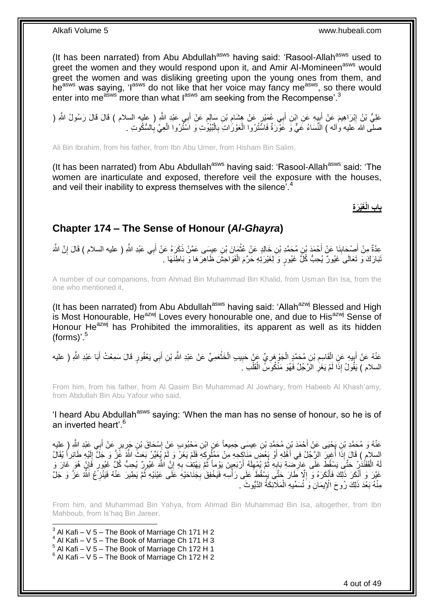(It has been narrated) from Abu Abdullah<sup>asws</sup> having said: 'Rasool-Allah<sup>asws</sup> used to greet the women and they would respond upon it, and Amir Al-Momineen<sup>asws</sup> would greet the women and was disliking greeting upon the young ones from them, and he<sup>asws</sup> was saying, 'l<sup>asws</sup> do not like that her voice may fancy me<sup>asws</sup>, so there would enter into me<sup>asws</sup> more than what lasws am seeking from the Recompense'.<sup>3</sup>

عَلِيُّ بْنُ إِبْرَاهِيمَ عَنْ أَبِيهِ عَنِ إِبْنِ أَبِي عُمَيْرٍ عَنْ هِشَامِ بْنِ سَالِمٍ عَنْ أَبِي عَبْدِ اللَّهِ (<br>عَلِيُّ بْنُ إِبْرَاهِيمَ عَنْ أَبِيهِ عَنِ إِبْنِ أَبِي عُمَيْرٍ عَنْ هِشَامِ بْنِ سَالِمٍ عَنْ أَبِي َ ֧֖֧֚֚֓֝֝֝ ِ َ ¦ َ <u>֖֚֚֚֓</u> صلَّى الله عليه وَاله ) النَّسَاءُ عَيٌّ وَ عَوْرَةٌ فَاسَّتُرُوا الْمَوْرَاتِ بِالْبُبُوّتِ وَ اسْتُرُوا الْعِيَّ بِالسُّكُوتِ . Ĺ **∶**  $\ddot{\phantom{0}}$  ِ ĺ

Ali Bin Ibrahim, from his father, from Ibn Abu Umer, from Hisham Bin Salim,

(It has been narrated) from Abu Abdullah<sup>asws</sup> having said: 'Rasool-Allah<sup>asws</sup> said: 'The women are inarticulate and exposed, therefore veil the exposure with the houses, and veil their inability to express themselves with the silence<sup>'.4</sup>

**باب الْ َغْي َر ة**

### <span id="page-3-0"></span>**Chapter 174 – The Sense of Honour (***Al-Ghayra***)**

عِدَّةٌ مِنْ أَصْحَابِذَا عَنْ أَحْمَدَ بْنِ مُحَمَّدِ بْنِ خَالِدٍ عَنْ عُثْمَانَ بْنِ عِيسَى عَمَّنْ ذَكَرَهُ عَنْ أَبِي عَبْدِ اللَّهِ ( عليه السلام ) قَالَ إِنَّ اللَّهَ  $\ddot{\phantom{0}}$ **∣** َ ِ َ نَبَارَكَ وَ تَعَالَى غَيُورٌ يُحِبُّ كُلَّ غَيُورٍ وَ لِغَيْرَتِهِ حَرَّمَ الْفَوَاحِشَ ظَاهِرَهَا وَ بَاطِنَهَا . Ĺ

A number of our companions, from Ahmad Bin Muhammad Bin Khalid, from Usman Bin Isa, from the one who mentioned it,

(It has been narrated) from Abu Abdullah<sup>asws</sup> having said: 'Allah<sup>azwj</sup> Blessed and High is Most Honourable, He<sup>azwj</sup> Loves every honourable one, and due to His<sup>azwj</sup> Sense of Honour He<sup>azwj</sup> has Prohibited the immoralities, its apparent as well as its hidden  $(forms)$ '.<sup>5</sup>

عَذْهُ عَنْ أَبِيهِ عَنِ الْقَاسِمِ بْنِ مُحَمَّدٍ الْجَوْ هَرِيِّ عَنْ حَبِيبِ الْخَثْعَمِيِّ عَنْ عَبْدِ اللَّهِ بْنِ أَبِي يَعْفُورٍ قَالَ سَمِعْتُ أَبَا عَبْدِ اللَّهِ ( عليه<br>. َ  $\ddot{\phantom{a}}$  $\ddot{\phantom{0}}$ **!** ِ  $\ddot{\phantom{0}}$ ِ Ĺ ِ َ َ السلام ) يَقُولُ إِذَا لَمْ يَغَرِّ الرَّجُلُ فَهُوَ مَنْكُوسُ الْقَلْبِ ـُ í. ֖֚֚֡֝֝֝<br>֧֖֦֖֦֖֦֖֧֦֚֚֚֚֚֚֚֚֚֚֚֚֚֚֚֚֚֚֚֚֚֝֝֝֘֝֝֝֝<br>֧֧֚֚֚֝֝ ِ

From him, from his father, from Al Qasim Bin Muhammad Al Jowhary, from Habeeb Al Khash'amy, from Abdullah Bin Abu Yafour who said,

'I heard Abu Abdullah<sup>asws</sup> saying: 'When the man has no sense of honour, so he is of an inverted heart'.<sup>6</sup>

عَذْهُ وَ مُحَمَّدِ بْنِ يَحْيَى عَنْ أَحْمَدَ بْنِ مُحَمِّدِ بْنِ عِيسَى جَمِيعاً عَنِ ابْنِ مَحْبُوبِ عَنْ إِسْحَاقَ بْنِ جَرِيرٍ عَنْ أَبِي عَبْدِ اللَّهِ ( عِليه **∶** َ ِ ِ السلامِ ) قَالَ إِذَا أُغِيرَ الرَّجُلُ فِي أَهْلِهِ أَوْ بَعْضَ مَنَاكِحِهِ مِنْ مَمْلُوكِهِ فَلَمْ يَغَنْ وَ لَمْ يُغَيِّنْ بَعَثَ اللَّهُ عَنَّ وَ جَلَّ إِلَيْهِ طَائِراً يُقَالُ<br>إِيسائِيمِ َ ا<br>ا لَ ِ لَهُ الْقَفَنْذُرُ حَتَّىَ يَسْقُطَ عَلَى عَارِضِيَةِ بَابِهِ ثُمَّ يُمْهِلَهُ أَرْبَعِينَ يَوْماً ثُمَّ يَهْتِفُ بِهِ إِنَّ اللَّهَ غَيُورٌ يُحِبُّ كُلِّ غَيُورٍ فَإِنْ هُوَ غَارَ وَ ِ **∶** ُ لَ ِ .<br>• • • • **∶ ∶** ĺ ِ عَيَّرَ وَ أَنْكَرَ ذَلِّكَ فَأَنْكَرَهُ وَ إِلَّا ظَارَ حَتَّى بَسْقُطَ عَلَى رَأْسِهِ فَيَخْفِقَ بِجَنَاحَيْهِ عَلَى عَيْنَيْهِ ثُمَّ يَطِيرَ عَنْهُ فَيَنْزِعُ اَللَّهُ عَزَّ وَ جَلَّ ا دیکھیے ِ .<br>أا ِ َ ِ مِنْهُ بَعْدَ ذَلِكَ رُوحَ الْإِيمَانِ وَ تُسَمِّيهِ الْمَلَانِكَةُ الذَّيُّوثَ ۚ ـِ i.

From him, and Muhammad Bin Yahya, from Ahmad Bin Muhammad Bin Isa, altogether, from Ibn Mahboub, from Is'haq Bin Jareer,

 3 Al Kafi – V 5 – The Book of Marriage Ch 171 H 2 Al Kafi – V 5 – The Book of Marriage Ch 171 H 3 Al Kafi – V 5 – The Book of Marriage Ch 172 H 1 Al Kafi – V 5 – The Book of Marriage Ch 172 H 2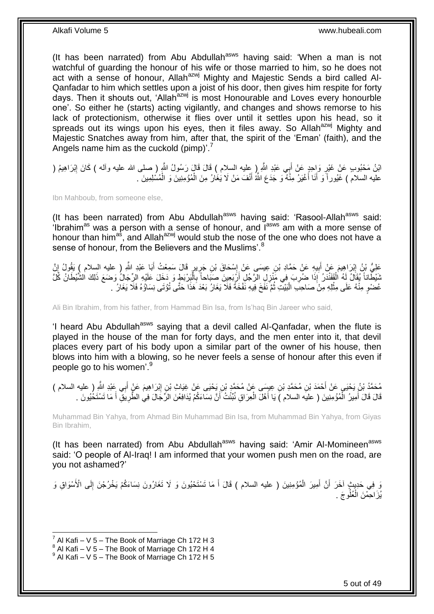(It has been narrated) from Abu Abdullah<sup>asws</sup> having said: 'When a man is not watchful of guarding the honour of his wife or those married to him, so he does not act with a sense of honour, Allah<sup>azwj</sup> Mighty and Majestic Sends a bird called Al-Qanfadar to him which settles upon a joist of his door, then gives him respite for forty days. Then it shouts out, 'Allah<sup>azwj</sup> is most Honourable and Loves every honourble one'. So either he (starts) acting vigilantly, and changes and shows remorse to his lack of protectionism, otherwise it flies over until it settles upon his head, so it spreads out its wings upon his eyes, then it files away. So Allah<sup>azwj</sup> Mighty and Majestic Snatches away from him, after that, the spirit of the 'Eman' (faith), and the Angels name him as the cuckold (pimp)<sup>7</sup>

اثِنُ مَحْبُوبِ عَنْ غَيْرٍ وَإِحِدٍ عَنْ أَبِي عَبْدِ اللَّهِ إِ عِليه السلام ) قَالَ قَالَ رَسُولُ اللَّهِ (صلى الله عليه وألمه ) كَانَ إِبْرَاهِيمُ ( َ **∶** ِ عليه السلامُ ) غَيُور أَ وَ أَنَا أَغْيَرُ مِنْهُ وَ جَدَعَ اللَّهُ أَنْفَ مَنْ لَا يُغَارُ مِنَ الْمُوْمِنِينَ وَ الْمُسْلِمِينَ . i<br>i Ĺ َ َ َ

Ibn Mahboub, from someone else,

(It has been narrated) from Abu Abdullah $a<sup>asws</sup>$  having said: 'Rasool-Allah $a<sup>asws</sup>$  said:  $\cdot$  ibrahim<sup>as</sup> was a person with a sense of honour, and  $\overline{I}^{\text{asws}}$  am with a more sense of honour than him<sup>as</sup>, and Allah<sup>azwj</sup> would stub the nose of the one who does not have a sense of honour, from the Believers and the Muslims'.<sup>8</sup>

عَلِيُّ بْنُ إِبْرِ آهِيمَ عَنْ أَبِيهِ عَنْ حَمَّادِ بْنِ عِيسَى عَنْ إِسْحَاقَ بْنِ جَرِيرٍ قَالَ سَمِعْتُ أَبَا عَبْدِ اللَّهِ ( عليه السلام ) يَقُولُ إِنَّ<br>يَمِي بَيْنَ إِبْرِ آمِيهَ َ **ٍ** ِ **!** َ ِ ِ ثَنْظَاناً يُقَالُ لَهُ الْقَفْذَرُ إِذَا ضُرِبَ فِي مَُنْزِلِ الرَّجُلِ أَرْبَعِينَ صَبَاحاً بِالْبَرْبَطِ وَ دَخَلَ عَلَيْهِ الرِّجَالُ وَضَعَ ذَلِكَ الشَّيْطَانُ كُلَّ Ĺ ِ َ ِ **∶** Ĺ عُضْوٍ مِنْهُ عَلَى مِثْلِهِ مِنْ صَاحِبَ الْبَيْتِ ثُمَّ نَفُخَ فِيهِ نَفْخَةً فَلَا يَغَارُ بَعْدَ هَذَا حَتَّى تُؤْتَى نِسَاؤُهُ فَلَا يَغَارُ . ُ ֧֖֚֝֝֝֓֝<br>֧֛֛֖֖֦֧֚֚֚֚֚֚֚֚֚֚֚֚֚֚֚֚֚֚֚֚֚֚֚֚֚֚֚֝֝֝֘֝֘֝֝֝֓֝֝<br>֧֧ׅ֧֧֧֚֚֚֚֚֚֚֚֚֚֝֘֩֝֬֘֝֬֘  $\ddot{\phantom{0}}$ 

Ali Bin Ibrahim, from his father, from Hammad Bin Isa, from Is'haq Bin Jareer who said,

'I heard Abu Abdullah<sup>asws</sup> saying that a devil called Al-Qanfadar, when the flute is played in the house of the man for forty days, and the men enter into it, that devil places every part of his body upon a similar part of the owner of his house, then blows into him with a blowing, so he never feels a sense of honour after this even if people go to his women'.<sup>9</sup>

مُحَمَّدُ بْنُ يَحْيَى عَنْ أَحْمَدَ بْنِ مُحَمَّدِ بْنِ عِيسَى عَنْ مُحَمَّدٍ بْنِ يَحْيَى عَنْ غِيَاثٍ بْنِ إِبْرَاهِيمَ عَنْ أَبِي عَبْدِ اللَّهِ ( عليه السلام )<br>. ِ َ َ قَالَ قَالَ أَمِيرُ الْمُؤْمِنِينَ ( عليَه السلام )َ يَا أَهْلَ الْعِرَاقِ نُبَنِّتُ أَنَّ نِسَاءَكُمْ يُدَافِعْنَ الرِّجَالَ فِي الطَّرِيَقِّ أَ مَا تَسْتَخُيُونَ . اُ  $\ddot{\phantom{0}}$ َ .<br>ا َ َ **∶** 

Muhammad Bin Yahya, from Ahmad Bin Muhammad Bin Isa, from Muhammad Bin Yahya, from Giyas Bin Ibrahim,

(It has been narrated) from Abu Abdullah<sup>asws</sup> having said: 'Amir Al-Momineen<sup>asws</sup> said: 'O people of Al-Iraq! I am informed that your women push men on the road, are you not ashamed?'

وَ فِي حَدِيثٍ آخَرَ أَنَّ أَمِيرَ الْمُؤْمِنِينَ ( عليه السلام ) قَالَ أَ مَا تَسْتَحْيُونَ وَ لَا تَغَارُونَ نِسَاءَكُمْ يَخْرُجْنَ إِلَى الْأَسْوَاقِ وَ َ i<br>i َ َ ِ يُزَاحِمْنَ الْعُلُوجَ . j

 $^7$  Al Kafi – V 5 – The Book of Marriage Ch 172 H 3

 $8$  Al Kafi – V 5 – The Book of Marriage Ch 172 H 4

 $^9$  Al Kafi – V 5 – The Book of Marriage Ch 172 H 5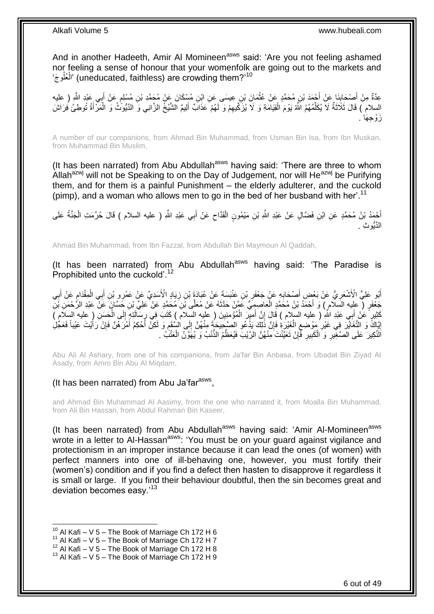And in another Hadeeth, Amir Al Momineen<sup>asws</sup> said: 'Are you not feeling ashamed nor feeling a sense of honour that your womenfolk are going out to the markets and ُو َج' ُعل ال) 'uneducated, faithless) are crowding them?'<sup>10</sup> ĺ

عِدَّةٌ مِنْ أَصْحَابِذَا عَنْ أَحْمَدَ بْنِ مُحَمَّدٍ عَنْ عُثْمَانَ بْنِ عِيسَى عَنِ ابْنِ مُسْكَانَ عَنْ مُحَمَّدِ بْنِ مُسْلِمٍ عَنْ أَبِي عَبْدِ اللَّهِ ( عليه<br>يَمْ يَمَنُّ بَيْنَةٍ مَّنْ يَقْدِينَ بِمَثْلِمِينَ مِنْ ٍ  $\ddot{\phantom{0}}$ َ **∣** َ السلام ) قَالَ ثَلَاثَةٌ لَا يُكَلِّمُهُمُ اللَّهُ يَوْمَ الْقِيَامَةِ وَ لَا يُزَكِّيهِمْ وَ لَهُمْ عَذَابٌ أَلِيمٌ الشَّيْخُ الزَّانِي وَ النَّيُونُّثُ وَ الْمَرْأَةُ تُوطِئُ فِرَاشَ ِ Ĺ ِّ َ َ ĺ َ َز وجِهَا .

A number of our companions, from Ahmad Bin Muhammad, from Usman Bin Isa, from Ibn Muskan, from Muhammad Bin Muslim,

(It has been narrated) from Abu Abdullah<sup>asws</sup> having said: 'There are three to whom Allah<sup>azwj</sup> will not be Speaking to on the Day of Judgement, nor will He<sup>azwj</sup> be Purifying them, and for them is a painful Punishment – the elderly adulterer, and the cuckold (pimp), and a woman who allows men to go in the bed of her busband with her'.<sup>11</sup>

أَحْمَدُ بْنُ مُحَمَّدٍ عَنِ ابْنِ فَضَّالٍ عَنْ عَبْدِ اللَّهِ بْنِ مَيْمُونٍ الْقَدَّاحِ عَنْ أَبِي عَبْدِ اللَّهِ ( عليه السلام ) قَالَ حُرِّمَتِ الْجَنَّةُ عَلَى<br>يَقُد َ ِ Ĺ  $\ddot{\phantom{0}}$ الَّدُّيو ِث .

Ahmad Bin Muhammad, from Ibn Fazzal, from Abdullah Bin Maymoun Al Qaddah,

(It has been narrated) from Abu Abdullah $a$ <sup>asws</sup> having said: 'The Paradise is Prophibited unto the cuckold'.<sup>12</sup>

أَبُو عَلِيٍّ الْأَشْعَرِيُّ عَنْ بَعْضِ أَصْحَابِهِ عَنْ جَعْفَرِ بْنِ عَنْبَسَةَ عَنْ عُبَادَةَ بْنِ زِيَادٍ الْأَسَدِيِّ عَنْ عَمْرِو بْنِ أَبِي الْمِقْدَامِ عَنْ أَبِي<br>أَبُو عَلِيٍّ الْأَشْعَرِيُّ عَنْ بَعْضِ الْمَحَا ِ ِ ِ ِ َ  $\ddot{\phantom{0}}$ َ **∶** َ ِ جَعْفَرٍ ( عِلِيه السَلام ) وَ أَحْمَدُ بْنُ مُحَمَّدٍ الْعَاصِمِيِّ عَمَّنْ حَدَّثَهُ عَنْ مُعَلِّى بْنِ مُحَمَّدٍ عَنْ عَلِيِّ بْنِ جَسَّانٍَ عَنْ عَبْدِ الرَّحْمَنِ بْنِ َ l, َ كَثِيرٍ ۚ عَنْ إَبِي عَبْدِ اللَّهِ ( عليه السلام ) قَالَ إِنَّ أَميْرَ الْمُؤْمِنِينَ ( عليه السلام ) كَتَبَ فِي رِسَالَتِهِ إِلَى الْحَسَنِ ( عليه السلام ) َ ِ َ  $\ddot{\phantom{0}}$ ِ ِ **!** Ĺ **∶** إِيَّاكَ وَ التَّغَايُرَ فِي غَيْرِ مَوْضِعِ الْغَيْرَةِ فَإِنَّ ذَٰلِكَ يَذَّعُو الصَّبِحِيحَةَ مِنْهُنَّ إِلَى الشَّقَمِ وَ لَكِنْ أَحْكِمْ أَمْرَهُنَّ فَإِنْ رَأَيْتَ عَيْباً فَعَجُّلِ ِ ِ ِ į ِ ِ <u>֖֖֚֚֚֚֚֓</u> َ ∣ļ َ َ اَلنَّكِيرَ عَلَى الصَّغِيرِ وَ الْكَبِيرِ فَإِنْ تَعَيَّنْتَ مِنْهُنَّ الرَّيْبَ فَيُعَظُّمُ الذَّنْبُ وَ يُهَوَّنُ الْعَتْبُ .  $\ddot{\phantom{0}}$ ِ **∶ !** Ĺ ِ

Abu Ali Al Ashary, from one of his companions, from Ja'far Bin Anbasa, from Ubadat Bin Ziyad Al Asady, from Amro Bin Abu Al Miqdam,

### (It has been narrated) from Abu Ja'far<sup>asws</sup>,

and Ahmad Bin Muhammad Al Aasimy, from the one who narrated it, from Moalla Bin Muhammad, from Ali Bin Hassan, from Abdul Rahman Bin Kaseer,

(It has been narrated) from Abu Abdullah<sup>asws</sup> having said: 'Amir Al-Momineen<sup>asws</sup> wrote in a letter to Al-Hassan<sup>asws</sup>: 'You must be on your guard against vigilance and protectionism in an improper instance because it can lead the ones (of women) with perfect manners into one of ill-behaving one, however, you must fortify their (women's) condition and if you find a defect then hasten to disapprove it regardless it is small or large. If you find their behaviour doubtful, then the sin becomes great and deviation becomes easy.'<sup>13</sup>

 $10$  Al Kafi – V 5 – The Book of Marriage Ch 172 H 6

 $11$  Al Kafi – V 5 – The Book of Marriage Ch 172 H 7

 $12$  Al Kafi – V  $5$  – The Book of Marriage Ch 172 H 8

 $13$  Al Kafi – V 5 – The Book of Marriage Ch 172 H 9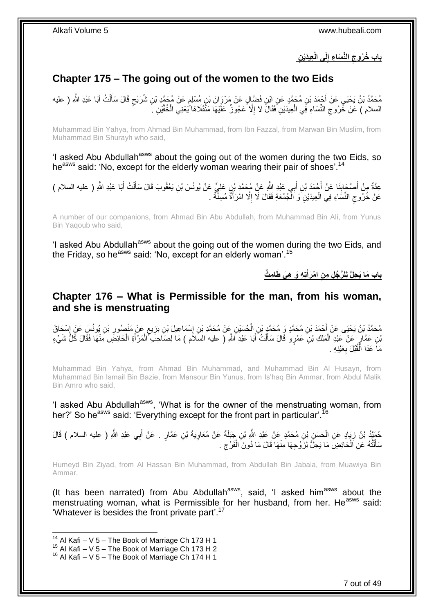**لَ الِّن َسا ء إ ن باب ُخ ُروج عيَدْي ى الْ** 

## <span id="page-6-0"></span>**Chapter 175 – The going out of the women to the two Eids**

مُحَمَّدُ بْنُ يَحْيَى عَنْ أَحْمَدَ بْنِ مُحَمَّدٍ عَنِ ابْنِ فَضَّالٍ عَنْ مَرْوَانَ بْنٍ مُسْلِمٍ عَنْ مُحَمَّدٍ بْنِ شُرَيْحٍ قَالَ سَأَلْتُ أَبَا عَبْدِ اللَّهِ ( عليه ֧֖֖֖֧֧֖֧֧֧֧֧ׅ֧֧֧֧֧֚֚֚֚֓֝֝֝֝֟֓֟֓֝֬֝֓֝֓֝֬֟֓֟֓֟֓֟֓֝֬֝֬֝֓֝֬֜֓֝֬֝֓֝֬֝֬֝ َ Ĺ اً<br>أ ٍ السلام ) عَنْ خُرُوجِ النِّسَاءِ فَبِي الْعِيدَيْنِ فَقَالَ لَا إِلَّا عَجُوزٌ عَلَيْهَا مَنْقَلَاهَا ّيَعْنِي الْخُفَّيْنِ كَم ِ j ِ

Muhammad Bin Yahya, from Ahmad Bin Muhammad, from Ibn Fazzal, from Marwan Bin Muslim, from Muhammad Bin Shurayh who said,

'I asked Abu Abdullah<sup>asws</sup> about the going out of the women during the two Eids, so he<sup>asws</sup> said: 'No, except for the elderly woman wearing their pair of shoes'.<sup>14</sup>

عِدَّةٌ مِنْ أَصْحَابِنَا عَنْ أَجْمَدَ بْنِ أَبِي عَبْدِ اللَّهِ عَنْ مُحَمَّدِ بْنٍ عَلِيٍّ عَنْ يُونُسَ بْنِ يَعْقُوبَ قَالَ سَأَلْتُ أَبَا عَبْدِ اللَّهِ ( عليه السلام ) َ َ ِ َ ĺ َ عَنْ خُرُوجِ النِّسَاءِ فِي الْعِيدَيْنِ وَ الْمُجمُعَةِ فَقَالَ لَا إِلَّا امْرَأَةٌ مُسِنَّةٌ . َ ِ ĺ j ِ

A number of our companions, from Ahmad Bin Abu Abdullah, from Muhammad Bin Ali, from Yunus Bin Yaqoub who said,

'I asked Abu Abdullah<sup>asws</sup> about the going out of the women during the two Eids, and the Friday, so he<sup>asws</sup> said: 'No, except for an elderly woman'.<sup>15</sup>

> **باب مَا يَحِلُّ لِلرَّجُلِ مِنِ امْرَأَتِهِ وَ هِيَ طَلمِثٌ َ**

### <span id="page-6-1"></span>**Chapter 176 – What is Permissible for the man, from his woman, and she is menstruating**

مُحَمَّدُ بْنُ يَحْيَى عَنْ أَحْمَدَ بْنِ مُحَمَّدٍ وَ مُحَمَّدٍ بْنِ الْحُسَيْنِ عَنْ مُحَمَّدِ بْنِ إِسْمَاعِيلَ بْنِ بَزِيعٍ عَنْ مَنْصُورِ بْنِ يُونُسِ عَنْ إِسْحَاقَ **ٍ** ِ ĺ ׀<br>֧֜֜֜֝ ِ **∶** بْنِ عَمَّارٍ عَنْ عَبْدِ الْمَلِكِ بْنِ عَمْرٍو قَالَ سَأَلْتُ أَبَا عَبْدِ اللَّهِ ( عليه السلام ) مَا لِصَاحِبَ ۖ الْمَرْأَةِ الْحَائِضِ مَنْهَا فَقَالَ كُلُّ شَيْءٍ į ĺ َ ĺ َ Ĺ َ مَاً عَدَا الْقُبُلَ بِعَيْنِهِ . ِ Ĺ

Muhammad Bin Yahya, from Ahmad Bin Muhammad, and Muhammad Bin Al Husayn, from Muhammad Bin Ismail Bin Bazie, from Mansour Bin Yunus, from Is'haq Bin Ammar, from Abdul Malik Bin Amro who said,

'I asked Abu Abdullah<sup>asws</sup>, 'What is for the owner of the menstruating woman, from her?' So he<sup>asws</sup> said: 'Everything except for the front part in particular'.<sup>16</sup>

َ حُمَدٍّدُ بْنُ زِيَادٍ عَنِ الْحَسَنِ بْنِ مُحَمَّدٍ عَنْ عَبْدِ اللَّهِ بْنِ جَبَلَةَ عَنْ مُعَاوِيَةَ بْنِ عَمَّارٍ . عَنْ أَبِي عَبْدِ اللَّهِ ( عليه السلام ) قَالَ ِ i. ِ سَأَلْتُهُ عَنِ اَلْحَائِضِ مَا يَحِلُّ لِزَّوْجِهَا مِنْهَا قَالَ مَا دُونَ الْفَرْجِ .  $\zeta$ Ĺ į ֺ֦֧֦֧֦֧֦֧֦֧֦֧֦֧֦֧֦֧֦֧֦֧֦֦֦֧֦֦֧֦֦֦֦֦֧֦֦֦֧֝֟֟֓֕֝֟֓֞֟֓֞֟֓֞֟֓֞֓֞֡֓֞֟֓֡֓֞֡֞֬֓֞֡֞֓֞֡֞֡֓֞֟֓֞֞֟֞֡֝֬֞֝ َ

Humeyd Bin Ziyad, from Al Hassan Bin Muhammad, from Abdullah Bin Jabala, from Muawiya Bin Ammar,

(It has been narrated) from Abu Abdullah $^{asws}$ , said, 'I asked him $^{asws}$  about the menstruating woman, what is Permissible for her husband, from her. He<sup>asws</sup> said: 'Whatever is besides the front private part'.<sup>17</sup>

<sup>&</sup>lt;sup>14</sup> Al Kafi – V 5 – The Book of Marriage Ch 173 H 1

 $15$  Al Kafi – V 5 – The Book of Marriage Ch 173 H 2

 $16$  Al Kafi – V 5 – The Book of Marriage Ch 174 H 1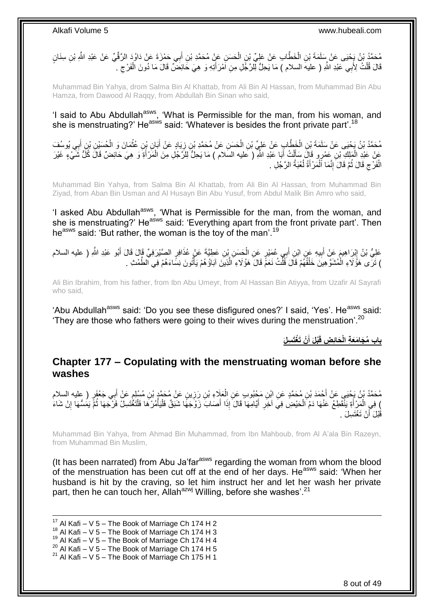مُحَمَّدُ بْنُ يَجْيَى عَنْ سَلَمَةَ بْنِ الْخَطَّابِ عَنْ عَلِيٍّ بْنِ الْحَسَنِ عَنٍْ مُحَمَّدِ بْنِ أَبِي حَمْزَةَ عَنْ دَاوُدَ الرَّقِّيِّ عَنْ عَبْدِ اللَّهِ بْنِ سِنَانٍ َ  $\ddot{\phantom{0}}$ Ĺ قَالَ قُلْتُ لِأَبِي عَبْدِ اللَّهِ ( عليهَ السلام ) مَا يَحِلُّ لِلرَّجُلِ مِنِ أَمْرَأَتِهِ وَ هِيَ خَائِضٌّ قَالَ مَا دُونَ الْفَرْجِ . ֚֡֝<br>֧֚֝ ِ ĺ َ

Muhammad Bin Yahya, drom Salma Bin Al Khattab, from Ali Bin Al Hassan, from Muhammad Bin Abu Hamza, from Dawood Al Raqqy, from Abdullah Bin Sinan who said,

'I said to Abu Abdullah<sup>asws</sup>, 'What is Permissible for the man, from his woman, and she is menstruating?' He<sup>asws</sup> said: 'Whatever is besides the front private part'.<sup>18</sup>

مُحَمَّدُ بْنُ يَحْيَى عَنْ سَلَمَةَ بْنِ الْخَطَّابِ عَنْ عَلِيِّ بْنِ الْحَسَنِ عَنْ مُحَمَّدِ بْنِ زِيَادٍ عَنْ أَبَانٍ بْنِ عُثْمَانَ وَ الْحُسَنِنِ بْنِ أَبِي يُوسُفَ<br>مُحَمَّدُ بْنُ يَحْيَى عَنْ سَلَمَةَ بْنِ الْخَطَّ َ ِ l,  $\overline{\phantom{a}}$ í َ  $\ddot{\phantom{0}}$ عَنْ عَذِ الْمَلِكِ بْنِ عَمْرٍ و قَالَ سَأَلْتُ أَبَا عَبْدِ اللَّهِ ( عَليه السَلام ) مَا يَحِلُّ لِلرَّجُلِ مِنَ الْمَرْأَةَ وَ هِيَ حَائِضٌ قَالَ كُلِّ شَيْءٍ غَيْرَ<br>وَيَنْ عَبْدِ الْمَلِكِ بِنِ عَمَّدُهُ وَفَيْهِ وَإ َ  $\ddot{\phantom{0}}$ َ ֖֖֚֚֚֡֝֝֝֝<br>֧֦֚֚֚֚֚֚֚֚֚֚֝֝֝֝֝ َ الْفَرْجِ قَالَ ثُمَّ قَالَ َإِنَّمَا ٱلْمَرْ أَةُ لُعْبَةُ الرَّجُلِ . i<br>i ِ ُ ِ ׇ֦֦֦֖֚֚֚֡֝֝֝֝<br>֧֖֖֖֖֧֦֧֧֚֚֚֚֚֚֚֚֚֚֚֚֚֚֚֚֚֚֚֚֚֚֚֚֝֝֝֝֝<br>֧֧֚֚֝֝ ٔ<br>ا

Muhammad Bin Yahya, from Salma Bin Al Khattab, from Ali Bin Al Hassan, from Muhammad Bin Ziyad, from Aban Bin Usman and Al Husayn Bin Abu Yusuf, from Abdul Malik Bin Amro who said,

'I asked Abu Abdullah<sup>asws</sup>, 'What is Permissible for the man, from the woman, and she is menstruating?' He<sup>asws</sup> said: 'Everything apart from the front private part'. Then he<sup>asws</sup> said: 'But rather, the woman is the toy of the man'.<sup>19</sup>

عَلِيُّ بْنُ إِبْرَاهِيمَ عَنْ أَبِيهِ عَنِ ابْنِ أَبِي عُمَيْرٍ عَنِ الْحَسَنِ بْنِ عَطِيَّةَ عَنْ عُذَافِرٍ الصَّيْرَفِيِّ قَالَ قَالَ أَبُو عَبْدِ اللَّهِ ( عليه السلام j َ **!** َ ֦֧֦֧֦֧֦֧֦֧֦֧֦֧ׅ֦֦֧֦֧֦֧֦֧֦֧֦֧֦֧֦֧֦֧֦֧֦֧֦֚֚֬֜֓֡ َ ) تَزَّى مَؤُلاً ءِ الْمُشَوَّهِينَ خَلْقُهُمْ قَالَ قُلْتُ نَعَمٍّ قَالَ هَؤُلاءِ الَّذِينَ آبَاؤُهُمْ يَأْتُونَ نِسَّاءَهُمْ فِي الظَّمْتِ . j َّ ĺ Ĺ ֖֖֦֦֦ׅ֚֚֚֚֚֚֚֚֚֚֚֡֝֬֝֝֝֡֡֡֡֡֡֬֝֬֝֬֝֓֞֝֬֝֓֞֡֡֝֬

Ali Bin Ibrahim, from his father, from Ibn Abu Umeyr, from Al Hassan Bin Atiyya, from Uzafir Al Sayrafi who said,

'Abu Abdullah<sup>asws</sup> said: 'Do you see these disfigured ones?' I said, 'Yes'. He<sup>asws</sup> said: 'They are those who fathers were going to their wives during the menstruation'.<sup>20</sup>

> باب مُجَامَعَةِ الْحَائِضِ قَبْلَ أَنْ تَغْتَسِلَ **َ**

### <span id="page-7-0"></span>**Chapter 177 – Copulating with the menstruating woman before she washes**

مُحَمَّدُ بْنُ يَجْيَي عَنْ أَحْمَدَ بْنِ مُحَمَّدٍ عَنِ ابْنِ مَجْبُوبٍ عَنِ الْعَلَاءِ بْنِ رَزِينٍ عَنْ مُحَمَّدٍ بْنِ مُسْلِمٍ عَنْ أَبِي جَعْفَرٍ ( عليه السلام **∶**  $\ddot{\phantom{0}}$ م َ ) فِي الْمَرْ أَةِ يَنْقَطِعُ عَنْهَا دَمُ الْحَيْضِ فِيَ آخِرِ أَيَّامِهَا قَالَ إِذَا أَصَابَ زَوْجَهًا شَبَقٌ فَلْيَأْمُرْهَا فَلْتَغْتَسِلْ فَرْجَهَا ثُمَّ يَمُسُّهَا إِنْ شَاءَ j Ĺ َ َ ِ j َ ُ قَبْلَ أَنْ تَغْتَسِلَ . َ

Muhammad Bin Yahya, from Ahmad Bin Muhammad, from Ibn Mahboub, from Al A'ala Bin Razeyn, from Muhammad Bin Muslim,

(It has been narrated) from Abu Ja'far<sup>asws</sup> regarding the woman from whom the blood of the menstruation has been cut off at the end of her days. He<sup>asws</sup> said: 'When her husband is hit by the craving, so let him instruct her and let her wash her private part, then he can touch her, Allah<sup>azwj</sup> Willing, before she washes'.<sup>21</sup>

1  $17$  Al Kafi – V 5 – The Book of Marriage Ch 174 H 2

 $18$  Al Kafi – V 5 – The Book of Marriage Ch 174 H 3

 $19$  Al Kafi – V 5 – The Book of Marriage Ch 174 H 4

 $^{20}$  Al Kafi – V 5 – The Book of Marriage Ch 174 H 5

 $21$  Al Kafi – V 5 – The Book of Marriage Ch 175 H 1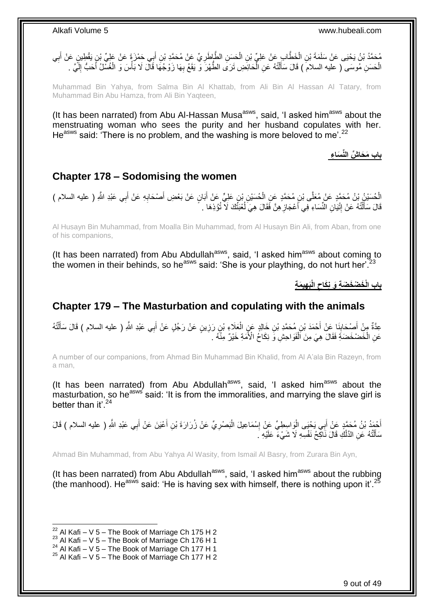مُحَمَّدُ بْنُ يَحْيَى عَنْ سَلَمَةَ بْنِ الْخَطَّابِ عَنْ عَلِيٍّ بْنِ الْحَسِنِ الطَّاطَرِيِّ عَنْ مُحَمَّدِ بْنِ أَبِي حَمْزَةَ عَنْ عَلِيٍّ بْنٍ يَقْطِينٍ عَنْ أَبِي َ **∶** ĺ j ِ َ الْحَسَنِ مُوسَى ( عليه السلام ) قَالَ سَأَلْتُهُ عَنِ الْمَحَائِضِ تَرَى الطَّهْرَ وَ يَقَعُ بِهَا زَوْجُهَا قَالَ لَا بَأْسَ وَ الْغُسْلُ أَحَبُّ إِلَيٍّ . l Ĺ َ  $\ddot{\phantom{0}}$ لَ ِ َ ĺ j ِ

Muhammad Bin Yahya, from Salma Bin Al Khattab, from Ali Bin Al Hassan Al Tatary, from Muhammad Bin Abu Hamza, from Ali Bin Yaqteen,

(It has been narrated) from Abu Al-Hassan Musa<sup>asws</sup>, said, 'I asked him<sup>asws</sup> about the menstruating woman who sees the purity and her husband copulates with her. He<sup>asws</sup> said: 'There is no problem, and the washing is more beloved to me'.<sup>22</sup>

**باب َم َحا ِّش الِّن َسا ء**

### <span id="page-8-0"></span>**Chapter 178 – Sodomising the women**

الْحُسَيْنُ بْنُ مُحَمَّدٍ عَنْ مُعَلَّى بْنِ مُحَمَّدٍ عَنِ الْحُسَيْنِ بْنِ عَلِيٍّ عَنْ أَبَانٍ عَنْ بَعْضِ أَصْحَابِهِ عَنْ أَبِي عَبْدِ اللَّهِ ( عليه السلام )<br>الْحُسَيْنُ بْنُ مُحَمَّدٍ عَنْ مُعَلَّى بْنِ مُحَمَّدٍ ع j ِ َ ِ َ َ  $\ddot{\phantom{0}}$ قَالَ سَأَلْتُهُ عَنْ إِثْيَانِ النِّسَاءِ فِي أَعْجَازِ هِنَّ فَقَالَ هِيَ لُعْبَتُكَ لَا تُؤْذِهَا . ُ ِ َ יִי (ו َ

Al Husayn Bin Muhammad, from Moalla Bin Muhammad, from Al Husayn Bin Ali, from Aban, from one of his companions,

(It has been narrated) from Abu Abdullah<sup>asws</sup>, said, 'I asked him<sup>asws</sup> about coming to the women in their behinds, so he<sup>asws</sup> said: 'She is your plaything, do not hurt her'.<sup>23</sup>

> **هي َم ة َب الْ باب الْ َخ ْض َخ َض ة َو ن َكاح**

### <span id="page-8-1"></span>**Chapter 179 – The Masturbation and copulating with the animals**

عِدَّةٌ مِنْ أَصِحْابِنَا عَنْ أَحْمَدَ بْنِ مُحَمَّدِ بْنِ خَالِدٍ عَنِ الْعَلَاءِ بْنِ رَزِينٍ عَنْ رَجُلٍ عَنْ أَبِي عَبْدِ اللَّهِ ( عليه السلام ) قَالَ سَأَلْتُهُ َ **ٍ**  $\ddot{\phantom{0}}$ َ ِ َ ĺ َ عَنِ الْخَصْخَصَةِ فَقَالَ هِيَ مِنَ ٱلْفَوَاحِشِ وَّ نِكَاحُ الْأَمَةِ خَيْرٌ مِنْهُ ۚ ۚ ֖֖֚֚֡֝֬֝֓<br>֧֦֖֖֖֦֦֖֧֚֚֚֚֚֚֚֚֚֚֚֚֚֚֚֚֚֚֚֚֚֝֝֝֘֝֝֓֝ j

A number of our companions, from Ahmad Bin Muhammad Bin Khalid, from Al A'ala Bin Razeyn, from a man,

(It has been narrated) from Abu Abdullah<sup>asws</sup>, said, 'I asked him<sup>asws</sup> about the masturbation, so he<sup>asws</sup> said: 'It is from the immoralities, and marrying the slave girl is better than it' 24

أَحْمَدُ بْنُ مُحَمَّدٍ عَنْ أَبِي يَحْيَى الْوَاسِطِيِّ عَنْ إِسْمَاعِيلَ الْبَصْرِيِّ عَنْ زُرَارَةَ بْنِ أَعْيَنَ عَنْ أَبِي عَبْدِ اللَّهِ ( عليه السلام ) قَالَ<br>أَيْنُهُ َ ِ Ĺ יִין<br>∶ ۱.<br>۳ َ َ سَأَلْتُهُ عَنِ الدَّلْكِ قَالَ نَاكِحُ نَفْسِهِ لَا شَيْءَ عَلَيْهِ ۖ. ĺ ֺ֦֧֦֧֦֧֦֦֧֦֧֦֧֦֧֦֧֦֦֦֦֦֦֦֦֦֦֦֦֧֦֧֦֧֦֧֦֧֦֧֦֧֦֧֦֧֦֧֦֦֧֦֧֦֧֦֝֟֟֓֕֝֝֬֝֟֓֓֞֟֓֞֟֓֞֓֞֡֓֟֓֞֡֟֓֞֞֡֞֡֞֞֡֞֡֞֡֞֡֞֟֞֡֡֬֞֝ َ

Ahmad Bin Muhammad, from Abu Yahya Al Wasity, from Ismail Al Basry, from Zurara Bin Ayn,

(It has been narrated) from Abu Abdullah<sup>asws</sup>, said, 'I asked him<sup>asws</sup> about the rubbing (the manhood). He<sup>asws</sup> said: 'He is having sex with himself, there is nothing upon it'.<sup>25</sup>

 $^{22}$  Al Kafi – V 5 – The Book of Marriage Ch 175 H 2

 $^{23}$  Al Kafi – V 5 – The Book of Marriage Ch 176 H 1

<sup>24</sup> Al Kafi – V  $\frac{3}{2}$  – The Book of Marriage Ch 177 H 1

 $25$  Al Kafi – V 5 – The Book of Marriage Ch 177 H 2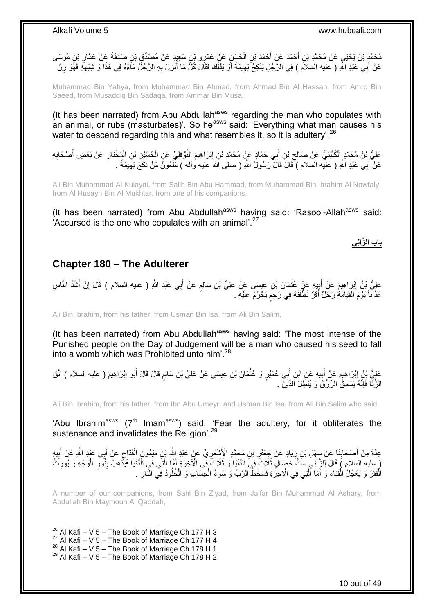مُحَدَّدُ بْنُ يَحْيَي عَنْ مُحَمَّدِ بْنِ أَحْمَدَ عَنْ أَحْمَدَ بْنِ الْحَسَنِ عَنْ عَمْرِو بْنِ سَعِيدِ عَنْ مُصَدِّقٍ بْنِ صَدَقَةَ عَنْ عَمَّارِ بْنِ مُوسَى<br>مِنْ مَنْ يَوْسَى بِنَ مَنْ يَسْمَدُ بِنَ يَعْلِيهِ بِنَ يَ j َ َ ِ عَنْ أَبِي عَبْدِ اللَّهِ ( عليه السلام ) فِي الرَّجُلِ يَنْكِحُ بَهِيمَةً أَوْ يَذْلُكُ فَقَالَ كُلَّ مَا أَنْزَلَ بِهِ الرَّجُلُ مَاَءَهُ فِي هَذَا وَ شِبْهِهِ فَهُوَ زِنَّ. ِ َ ُ َ ِ َ ِ ِ

Muhammad Bin Yahya, from Muhammad Bin Ahmad, from Ahmad Bin Al Hassan, from Amro Bin Saeed, from Musaddiq Bin Sadaqa, from Ammar Bin Musa,

(It has been narrated) from Abu Abdullah<sup>asws</sup> regarding the man who copulates with an animal, or rubs (masturbates)'. So he<sup>asws</sup> said: 'Everything what man causes his water to descend regarding this and what resembles it, so it is adultery'.<sup>26</sup>

عَلِيُّ بْنُ مُحَمَّدٍ الْكُلَيْنِيُّ عَنْ صَالِحِ بْنِ أَبِي حَمَّادٍ عَنْ مُحَمَّدِ بْنِ إِبْرَاهِيمَ النَّوْفَلِيِّ عَنِ الْحُسَيْنِ بْنِ الْمُخْتَارِ عَنْ بَعْضِ أَصْحَابِهِ ِ ِ ِ َ ِ Ĺ f<br>i عَنْ أَبِي عَبْدِ اللَّهِ ( عليه السلام ) ۖقَالَ قَالَ رَسُولُ اللَّهِ ( صلى الله عليه وآله ) مَلْعُونٌ مَنْ نَكَحَ بَهِيمَةً . َ ِ ĺ

Ali Bin Muhammad Al Kulayni, from Salih Bin Abu Hammad, from Muhammad Bin Ibrahim Al Nowfaly, from Al Husayn Bin Al Mukhtar, from one of his companions,

(It has been narrated) from Abu Abdullah<sup>asws</sup> having said: 'Rasool-Allah<sup>asws</sup> said:  $'$ Accursed is the one who copulates with an animal'.<sup>27</sup>

### **باب ال َّزان ي**

### <span id="page-9-0"></span>**Chapter 180 – The Adulterer**

عَلِيُّ بْنُ إِبْرٍ اهِيمَ عَنْ أَبِيهِ عَنْ غَثْمَانَ بْنِ عِيسَى عَنْ عَلِيِّ بْنِ سَالِمٍ عَنْ أَبِي عَبْدِ اللَّهِ ( عليه السلام ) قَالَ إِنَّ أَشَدَّ النَّاسِ َ م  $\ddot{\phantom{0}}$ ِ َ ِ َ ِ عَذَاباً يَوْمَ الْقِيَامَةِ رَجْلٌ أَقَرَّ نُطّْفَتَهُ فِي رَحِمٍ يَحْرُمُ عَلَيْهِ . ٍ َ Ĺ

Ali Bin Ibrahim, from his father, from Usman Bin Isa, from Ali Bin Salim,

(It has been narrated) from Abu Abdullah<sup>asws</sup> having said: 'The most intense of the Punished people on the Day of Judgement will be a man who caused his seed to fall into a womb which was Prohibited unto him<sup>'28</sup>

عَلِيُّ بْنُ إِبْرَاهِيمَ عَنْ أَبِيهِ عَنِ ابْنِ أَبِي عُمَيْرٍ وَ عُثْمَانَ بْنِ عِيسَى عَنْ عَلِيٍّ بْنِ سَالِمٍ قَالَ قَالَ أَبُو إِبْرَاهِيمَ ( عليه السلام ) اتَّقِ  $\ddot{\phantom{a}}$ َ **∣** َ ِ ِ َ ٍ الزِّنَّا فَإِنَّهُ يَمْحَقُٰ الرِّرْقَ وَ يُبْطِلُ اَلدِّينَ . ِ

Ali Bin Ibrahim, from his father, from Ibn Abu Umeyr, and Usman Bin Isa, from Ali Bin Salim who said,

'Abu Ibrahim<sup>asws</sup> ( $7<sup>th</sup>$  Imam<sup>asws</sup>) said: 'Fear the adultery, for it obliterates the sustenance and invalidates the Religion<sup>'.29</sup>

عِدَّةٌ مِنْ أَصْحَابِنَا عَنْ سَهْلِ بْنِ زِيَادٍ عَنْ جَعْفَرٍ بْنِ مُحَمَّدٍ الْأَشْعَرِيِّ عَنْ عَبْدِ اللَّهِ بْنِ مَيْمُونِ الْقَدَّاحِ عَنْ أَبِي عَبْدِ اللَّهِ عَنْ أَبِيهِ ِ ِ ِ ِ َ َ  $\zeta$ ĺ َ لِ عِليه السلام ) قَالَ لِلزَّانِيِ سِنَّ خِصَالٍ ثَلَاثٌ فِيَ الدُّنْيَا وَ ثَلَاثٌ فِي الْأَخِرَةِ أَمَّا الَّتِي فِي الَّذُنْيَا فَيَذْهَبُ بِنُولِّرِ الْوَجْهِ وَ يُورِنَثُ َّ َ ِ ĺ **∶** ِ  $\ddot{\cdot}$ الْفَقْرَ وَ يُعَجِّلُ الْفَنَاءَ وَ أَمَّا ٱلَّتِي فِي الْآخِرَةِ فَسَخَطُ الرَّبِّ وَ سُوءُ الْحِسَابِ وَ الْخُلُودُ فِي النَّارِ . َّ َ ׇ֧֦֚֡֝֝֝<br>֧֦֖֦֦֦֦֖֧֧֖֧֦֧֪֧֦֧֧֧֚֚֚֚֚֚֚֚֚֚֚֚֚֚֚֚֚֚֚֚֚֚֚֚֝֝֝֘֝֝֝֬֝֓֝֬֝֬֞֝֓֝֬֞֞֡֝֬֝֬֝ ٠. ِ Î

A number of our companions, from Sahl Bin Ziyad, from Ja'far Bin Muhammad Al Ashary, from Abdullah Bin Maymoun Al Qaddah,

1  $^{26}$  Al Kafi – V 5 – The Book of Marriage Ch 177 H 3

- $27$  Al Kafi V 5 The Book of Marriage Ch 177 H 4
- 28 Al Kafi V 5 The Book of Marriage Ch 178 H 1
- $^{29}$  Al Kafi V 5 The Book of Marriage Ch 178 H 2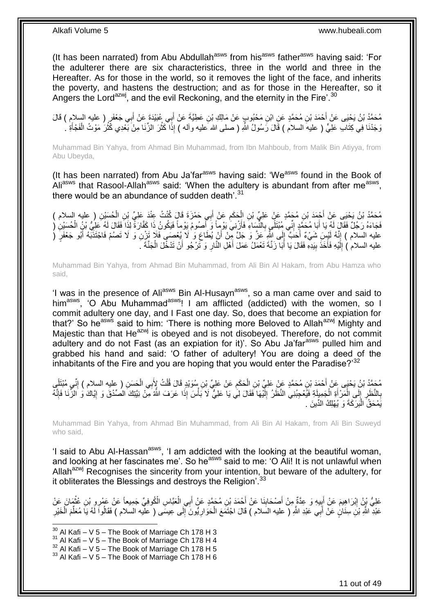(It has been narrated) from Abu Abdullah<sup>asws</sup> from his<sup>asws</sup> father<sup>asws</sup> having said: 'For the adulterer there are six characteristics, three in the world and three in the Hereafter. As for those in the world, so it removes the light of the face, and inherits the poverty, and hastens the destruction; and as for those in the Hereafter, so it Angers the Lord<sup>azwj</sup>, and the evil Reckoning, and the eternity in the Fire'.<sup>30</sup>

مُحَمَّدُ بْنُ يَحْيَى عَنْ أَحْمَدَ بْنِ مُحَمَّدٍ عَنِ ابْنِ مَحْبُوبٍ عَنْ مَالِكِ بْنِ عَطِيَّةَ عَنْ أَبِي عُبَيْدَةَ عَنْ أَبِي جَعْفَرٍ ( عليه السلام ) قَالَ َ َ وَجَدْنَا فِي كِتَابِ عَلِيٍّ ( عليهَ السلام ) قَالَ رَسُولُ اللّهِ ( صلى الله عليه وآله ) إِذَا كَثُلَ الزِّنَا مِنْ بَمْدِي كَثُرُ مَوْتُ الْفَجْأَةِ ` َ ĺ ا<br>المقام ان<br>سال

Muhammad Bin Yahya, from Ahmad Bin Muhammad, from Ibn Mahboub, from Malik Bin Atiyya, from Abu Ubeyda,

(It has been narrated) from Abu Ja'far<sup>asws</sup> having said: 'We<sup>asws</sup> found in the Book of Ali<sup>asws</sup> that Rasool-Allah<sup>asws</sup> said: 'When the adultery is abundant from after me<sup>asws</sup>, there would be an abundance of sudden death'.<sup>31</sup>

َد َعلِ ِّي ِي َح م َزَة َقا َل ُكن ُت ِعن ب َع ن أ َح َكم ِن ال ِن ُم َح َّمٍد َع ن َعلِ ِّي ب ح َمَد ب ِن ُم َح َّمُد ب ُن َي حَيى َع ن أ ) عليه السالم ( ُح َس ي ِن ال ب َ ِ  $\ddot{\phantom{0}}$ َ ĺ فَجَاءَهُ رَجُلٌ فَقَالَ لَهُ يَا أَبَا مُحَمَّدٍ إِنِّي مُبْتَلَّيٍ بِالنِّسَاءِ فَأَزْنِيَ يَوْمٍ أَ وَ أَصُومُ يَوْماً فَيَكُونُ ذَا كَفَّارَةً لِذَا فَقَالَ لَهُ طَلِّي بْنُ الْحُسَيْنِ ( َ َ **∶** ِ َ ĺ عليه السلام ) إِنَّهُ لَيْسٍ شَيْءٌ أَحَبَّ إِلَى اللَّهِ عَنَّ وَ جَلَّ مِنْ أَنْ يُطَاعِ وَ لَا يُعْصَى فَلَإ تَزْنِ وَ لَا تَصُمْ فَاجْتَذَبَهُ أَبُو جَعْفَرٍ ( ֧֦֧֦֧֦֧֦֦֧ׅ֧֦֧ׅ֧֦֧֦֧֦֧֧֦֧ׅ֧֦֧֧֧֦֧֧֦֧֦֧֧֦֧֦֧֧֧֧֧֦֧֧֧֧֚֝֟֟֓֝֝֬֜֓֓֜֓֓֝֬֝֓֞֜֓֝֬֓֓֓֓<br>֧֧֧֪֧֪֧֧֪֧֪֧֪֧֜֜ َ َ َ  $\frac{1}{2}$ َ عليه السلام ) إِلَيْهِ فَأَخَذَ بِيَدِهِ فَقَالَ يَا أَبَا زَنَّةَ تَعْمَلُ عَمَلَ أَهْلِ النَّارِ وَ تَرْجُو أَنْ تَدْخُلَ الْجَنَّةَ ـَ َ ِ َ َ ِ َ لَ ِ ĺ

Muhammad Bin Yahya, from Ahmad Bin Muhammad, from Ali Bin Al Hakam, from Abu Hamza who said,

'I was in the presence of Ali<sup>asws</sup> Bin Al-Husayn<sup>asws</sup>, so a man came over and said to him<sup>asws</sup>, 'O Abu Muhammad<sup>asws</sup>! I am afflicted (addicted) with the women, so I commit adultery one day, and I Fast one day. So, does that become an expiation for that?' So heasws said to him: 'There is nothing more Beloved to Allahazwj Mighty and Majestic than that He<sup>azwj</sup> is obeyed and is not disobeyed. Therefore, do not commit adultery and do not Fast (as an expiation for it)'. So Abu Ja'far<sup>asws</sup> pulled him and grabbed his hand and said: 'O father of adultery! You are doing a deed of the inhabitants of the Fire and you are hoping that you would enter the Paradise?<sup>32</sup>

ِ مُحَمَّدُ بْنُ يَحْيَى عَنْ أَحْمَدَ بْنِ مُحَمَّدٍ عَنْ عَلِيِّ بْنِ الْحَكَمِ عَنْ عَلِيِّ بْنِ سُوَيْدٍ قَالَ قُلْتُ لِإِّبِي الْحَسَنِ ( عليه السلام ) إِنِّي مُبْتَلِّي ĺ ِ į ً ِ ĺ بِالنَّظَرِ إِلَى الْمَرْأَةِ الْجَمِيلَةِ فَيُعْجِبُنِي النَّظَرُ إِلَّيْهَا فَقَالَ لِي يَا عَلِيٌّ لَا بَأْسَ إِذَا عَرَفَ النَّهُ مِنْ نِيَّتِكَ الْصُدْقَ وَ إِيَاكَ وَ الزُّنَا فَإِنَّهُ لَ  $\frac{1}{2}$  $\ddot{ }$ َ į  $\frac{1}{2}$ ِ ِ  $\frac{1}{2}$ ׀ו<br>֞ j يَمْحَقُ الْبَرَكَةَ وَ يُهْلِكُ الدِّينَ . ֖֦֦֧֪֦֧֧֧֧֧֦֧֧֧֧֧֧֧֧֧֧֧֧֧֧֧֧֧֧֧֛֚֚֚֚֡֝֝֝֝֝֝֝֝֓֝֝֬֝֓֝֬֝֓֝֬֝֓֝֬֝֓֝֓֝֬֝֓֝֓֝֓֝֓֝֬֝֓֝֬֝֓֝֬֝֬֝

Muhammad Bin Yahya, from Ahmad Bin Muhammad, from Ali Bin Al Hakam, from Ali Bin Suweyd who said,

'I said to Abu Al-Hassan<sup>asws</sup>, 'I am addicted with the looking at the beautiful woman, and looking at her fascinates me'. So he<sup>asws</sup> said to me: 'O Ali! It is not unlawful when Allah<sup>azwj</sup> Recognises the sincerity from your intention, but beware of the adultery, for it obliterates the Blessings and destroys the Religion<sup>'.33</sup>

عَلِيُّ بِنُ إِبْرَاهِيمَ عَنْ أَبِيهِ وَ عِدَّةٌ مِنْ أَصْحَابِذَا عَنْ أَحْمَدَ بْنِ مُحَمَّدٍ عَنْ أَبِي الْعَبَّاسِ الْكُوفِيِّ جَمِيعاً عَنْ عَمْرِو بْنِ عُثْمَانَ عَنْ<br>حَلِيُّ نَبِنُ إِبْرَاهِيمَ عَنْ أَبِيهِ وَ عِدَ ĺ َ َ ِ **!**  ِ í عَبْدِ اللَّهِ بْنَِ سِنَانٍ عَنْ أَبِي عَبْدِ اللَّهِ ( عليه السَلام ) قَالَ اجْتَمَعَ الْحَوَارِ يُونَ إِلَى عِيسَى ( عليه السلام ) فَقَالُواَ لَهُ يَا مُعَلِّمَ الْخَيْرِ َ ِ j ِّ ِ **ٍ**  $\ddot{\phantom{0}}$ 

 $30$  Al Kafi – V 5 – The Book of Marriage Ch 178 H 3

 $31$  Al Kafi – V 5 – The Book of Marriage Ch 178 H 4

 $32$  Al Kafi – V  $5$  – The Book of Marriage Ch 178 H 5

 $33$  Al Kafi – V 5 – The Book of Marriage Ch 178 H 6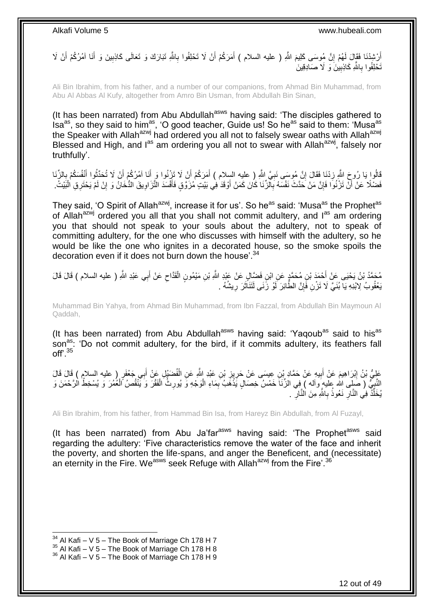أَرْشْدْنَا فَقَالَ لَهُمْ إِنَّ مُوسَى كَلِيمَ اللَّهِ ( عليه السلام ) أَمَرَكُمْ أَنْ لَا تَحْلِفُوا بِاللَّهِ تَبَارَكَ وَ تَعَالَى كَاذِبِينَ وَ أَنَا آمُرُكُمْ أَنْ لَا ِ اُ َ **׀** َ َ َ ِ تَحْلِفُوا بِاللَّهِ كَاذِبِينَ وَ لَا صَادِقِينَ **! ∶** 

Ali Bin Ibrahim, from his father, and a number of our companions, from Ahmad Bin Muhammad, from Abu Al Abbas Al Kufy, altogether from Amro Bin Usman, from Abdullah Bin Sinan,

(It has been narrated) from Abu Abdullah<sup>asws</sup> having said: 'The disciples gathered to  $\sin^2$  isa<sup>as</sup>, so they said to him<sup>as</sup>, 'O good teacher, Guide us! So he<sup>as</sup> said to them: 'Musa<sup>as'</sup> the Speaker with Allah<sup>azwj</sup> had ordered you all not to falsely swear oaths with Allah<sup>azwj</sup> the Speaker with Allah<sup>azwj</sup> Blessed and High, and  $I^{as}$  am ordering you all not to swear with Allah<sup>azwj</sup>, falsely nor truthfully'.

قَالُوا يَا رُوحَ اللَّهِ زِدْنَا فَقَالَ إِنَّ مُوسَى نَبِيٍّ اللَّهِ ( عليه السِلام ) أَمَرَكُمْ أَنْ لَا نَزِنُوا وَ أَنَا آمُرُكُمْ أَنْ لَا تُحَدِّثُوا أَنْفُسَكُمْ بِالزِّنَا َ َ ِ **׀** ِ **∶** َ ر<br>نائبا َ فَضْلًا عَنْ أَنْ تَزْنُوا فَإِنَّ مَنْ حَدَّثَ نَفْسَهُ بِالزِّنَا كَانَ كَمَنْ أَوْقَدَ فِي بَيْتٍ مُزَوَّقٍ فَأَفْسَدَ التَّزَاوِيقَ الْمُخَانُ وَ إِنْ لَمْ يَحْتَرِقِ الْبَيْتُ. ِ ِ َ ĺ ِ ِ َ

They said, 'O Spirit of Allah<sup>azwj</sup>, increase it for us'. So he<sup>as</sup> said: 'Musa<sup>as</sup> the Prophet<sup>as</sup> of Allah<sup>azwj</sup> ordered you all that you shall not commit adultery, and  $I^{as}$  am ordering you that should not speak to your souls about the adultery, not to speak of committing adultery, for the one who discusses with himself with the adultery, so he would be like the one who ignites in a decorated house, so the smoke spoils the decoration even if it does not burn down the house'.<sup>34</sup>

َ مُحَمَّدُ بْنُ يَحْيَى عَنْ أَحْمَدَ بْنِ مُحَمَّدٍ عَنِ ابْنِ فَضَّالٍ عَنْ عَبْدِ اللَّهِ بْنِ مَيْمُونٍ الْقَدَّاحِ عَنْ أَبِي عَبْدِ اللَّهِ ( عليه السلام ) قَالَ قَالَ<br>مُمتَذُ بْنُ يَحْيَى عَنْ أَحْمَدَ بْنِ مُحَمَّد ِ Ĺ َبِعْقُوبُ لِابْنِهِ يَآ بُنَيَّ لَا تَزْنِ فَإِنَّ الطَّائِرَ لَوْ زَنَى لَتَنَاۚثَرَ رِيشُهُ . َ ِ ِ

Muhammad Bin Yahya, from Ahmad Bin Muhammad, from Ibn Fazzal, from Abdullah Bin Maymoun Al Qaddah,

(It has been narrated) from Abu Abdullah<sup>asws</sup> having said: 'Yaqoub<sup>as</sup> said to his<sup>as</sup> son<sup>as</sup>: 'Do not commit adultery, for the bird, if it commits adultery, its feathers fall off'.<sup>35</sup>

عَلِيُّ بْنُ إِبْرَاهِيمَ عَنْ أَبِيهِ عَنْ حَمَّادٍ بْنِ عِيسَى عَنْ حَرِيزِ بْنِ عَبْدِ اللَّهِ عَنِ الْفُضَبْلِ عَنْ أَبِي جَعْفَرٍ ( عليه السلام ) قَالَ قَالَ َ Ĺ ِ ِ **!** النَّنِيُّ ( صَلِى الله عليه وآله ) فِي الزِّنَا خَمْسُ خِصَالٍ يَذْهَبُ بِمَاءِ الْوَجْهِ وَ يُورِثُ الْفَقْرَ وَ يَنْقُصُ الْغُمُرَ وَ يُسْخِطُ الْرَّحْمَنَ وَ ِ ĺ ĺ ِ Ĺ ِ  $\ddot{\cdot}$ يُخَلِّدَ فِي النَّالِ نَعُوذُ بِاللَّهِ مِنَ النَّالِ . **∶ ∶** ِ ِّ

Ali Bin Ibrahim, from his father, from Hammad Bin Isa, from Hareyz Bin Abdullah, from Al Fuzayl,

(It has been narrated) from Abu Ja'far<sup>asws</sup> having said: 'The Prophet<sup>asws</sup> said regarding the adultery: 'Five characteristics remove the water of the face and inherit the poverty, and shorten the life-spans, and anger the Beneficent, and (necessitate) an eternity in the Fire. We<sup>asws</sup> seek Refuge with Allah<sup>azwj</sup> from the Fire'.<sup>36</sup>

 $34$  Al Kafi – V 5 – The Book of Marriage Ch 178 H 7

 $35$  Al Kafi – V  $5$  – The Book of Marriage Ch 178 H 8

 $36$  Al Kafi – V 5 – The Book of Marriage Ch 178 H 9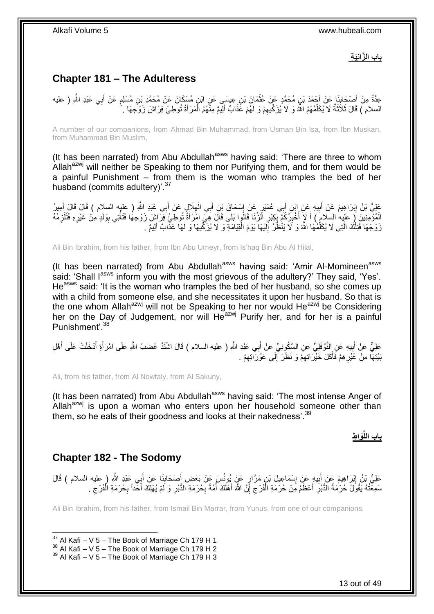**باب الزَّانِيَة** 

## <span id="page-12-0"></span>**Chapter 181 – The Adulteress**

عِدَّةٌ مِنْ أَصْحَابِنَا عَنْ أُحْمَدَ بْنِ مُحَمَّدٍ عَنْ عُثْمَانَ بْنِ عِيسَى عَنِ ابْنِ مُسْكَانَ عَنْ مُحَمَّدِ بْنِ مُسْلِمٍ عَنْ أَبِي عَبْدِ اللَّهِ ( عليه  $\ddot{\phantom{0}}$ َ **ِ** َ َ ٍ السلام ) قَالَ ثَلَاَثَةٌ لَا يُكَلِّمُهُمُ اللَّهُ وَ لَا يُزَكِّيهِمْ وَ لَهُمْ عَذَابٌ أَلِيمٌ مِنْهُمُ الْمَرْأَةُ تُوطِئُ فِرَاشَ زَوْجِهَا . ِّ َ َ į َ ِ

A number of our companions, from Ahmad Bin Muhammad, from Usman Bin Isa, from Ibn Muskan, from Muhammad Bin Muslim,

(It has been narrated) from Abu Abdullah<sup>asws</sup> having said: 'There are three to whom Allah<sup>azwj</sup> will neither be Speaking to them nor Purifying them, and for them would be a painful Punishment – from them is the woman who tramples the bed of her husband (commits adultery)<sup>'.37</sup>

عَلِيُّ بْنُ إِبْرَاهِيمَ عَنْ أَبِيهِ عَنِ إِبْنِ أَبِي عُمَيْرٍ عَنْ إِسْحَاقَ بْنِ أَبِي الْعِلَالِ عَنْ أَبِي عَبْدِ اللَّهِ ( عليه السلام ) قَالَ قَالَ أُمِيرُ<br>وَيَقْطِي اللَّهِ الْسَلَامِ الْقَالَ الْعَلَيْ وَالْمُس ِ َ ِ  $\overline{\phantom{a}}$ َ ֺ֦֧֦֧֦֦֧֦֦֦֦֧֦֦֧֦֧֦֧֦֧֦֧֦֧֦֧֦֧֦֧֦֧֦֧֦֧֦֧ׅ֧ׅ֧֦֚֚֚֚֚֚֚֝֝֝֝֓֡֝֝֜֜ َ **!** َ أَ الْمُؤْمِنِينَ ۚ إِ عليه السلامَ ) أَ لَإِ أُخْبِرُكُمْ بِكِبْرِ الزِّنَا قَالُوا بَلَى قَالَ هِيَ امْرَأَةٌ تُوطِئُ فِرَاشٍ زَوْجِهَا فَتَأْتِى بِوَلَدٍ مِنْ غَيْرِهِ فَتُلْزِمُهُ َ ِ ֢֚<u>֓</u> ِ ابل<br>ا َ ِ ِ ِ j زَوْجَهَا فَتِلْكَ الَّتِي لَا يُكَلِّمُهَا اللَّهُ وَ لَا يَنْظُرُ إِلَيْهَا يَوْمَ الْقِيَامَةِ وَ لَا يُزَكِّيهَا وَ لَهَا عَذَّابٌ أَلِيمٌ . Ĺ لَ ∣∣<br>∶ ِّ َّ Ĺ َ

Ali Bin Ibrahim, from his father, from Ibn Abu Umeyr, from Is'haq Bin Abu Al Hilal,

(It has been narrated) from Abu Abdullah<sup>asws</sup> having said: 'Amir Al-Momineen<sup>asws</sup> said: 'Shall l<sup>asws</sup> inform you with the most grievous of the adultery?' They said, 'Yes'. He<sup>asws</sup> said: 'It is the woman who tramples the bed of her husband, so she comes up with a child from someone else, and she necessitates it upon her husband. So that is the one whom Allah<sup>azwj</sup> will not be Speaking to her nor would He<sup>azwj</sup> be Considering her on the Day of Judgement, nor will He<sup>azwj</sup> Purify her, and for her is a painful Punishment'.<sup>38</sup>

عَلِيٌّ عَنْ أَبِيهِ عَنِ النَّوْفَلِيِّ عَنِ السَّكُوِنِيِّ عَنْ أَبِي عَبْدِ اللَّهِ ( عليه السلام ) قَالَ اشْتَذَ غَضَبُ اللَّهِ عَلَى امْرَأَةٍ أَدْخَلَتْ عَلَى أَهْلِ َ ِ َ َ َ َ بَيْتِهَا مِنْ غَيْرِ هِمْ فَأَكَلَ خَيْرَ اتِهِمْ وَ نَظَرَ ۚ إِلَى عَوْرَ اتِهِمْ . َ ِ ِ  $\frac{1}{2}$ ِ

Ali, from his father, from Al Nowfaly, from Al Sakuny,

(It has been narrated) from Abu Abdullah<sup>asws</sup> having said: 'The most intense Anger of Allah $a^{2xy}$  is upon a woman who enters upon her household someone other than them, so he eats of their goodness and looks at their nakedness'.<sup>39</sup>

**َوا ط باب اللِّ**

### <span id="page-12-1"></span>**Chapter 182 - The Sodomy**

1

عَلِيُّ بْنُ إِبْرَاهِيمَ عَنْ أَبِيهِ عَنْ إِسْمَاعِيلَ بْنِ مَرَّارٍ عَنْ بُعْضٍ أَصْحَابِ عَنْ أَبِي عَبْدِ اللَّهِ ( عليه السلام ) قَالَ َ ِ َ ِ **!** َ ِ سَمِغْتُهُ يَقُولُ حُرْمَةُ الدُّبُرِ أَعْظَمُ مِنْ حُرْمَةِ الْفَرْجِ إِنَّ اللَّهَ أَهْلَكَ أُمَّةً بِحُرْمَةِ الذُّبُرِ وَ لَمْ يُهْلِكُ أَحَداً بِحُرْمَةِ الْفَرْجِ . ِ ِ ُ َ ِ  $\zeta$ ֖֖֖֦֦֧֧֦֧֧֦֧֪ׅ֚֚֚֚֚֚֚֚֚֚֚֡֝֬֝֡֡֝֓֡֡֓֡֓֡֓֞֡֓֡֞֡֓֡֓֞֡֓֞֓֡֓֡֬֞֓֡֡֬֝֓֝֬֞֓֞֓֞֡֬֝֓<br>֧֧֚֚֚֜֝֘ َ ِ ِ Ĺ ِ َ لَ

Ali Bin Ibrahim, from his father, from Ismail Bin Marrar, from Yunus, from one of our companions,

 $37$  Al Kafi – V 5 – The Book of Marriage Ch 179 H 1

 $38$  Al Kafi – V  $5$  – The Book of Marriage Ch 179 H 2

 $39$  Al Kafi – V 5 – The Book of Marriage Ch 179 H 3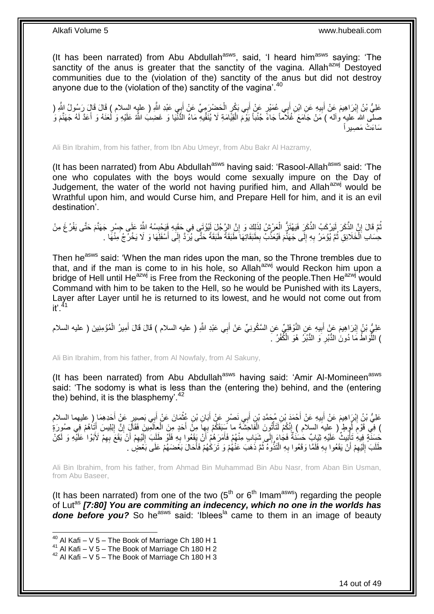(It has been narrated) from Abu Abdullah $a<sup>asws</sup>$ , said, 'I heard him $a<sup>asws</sup>$  saying: 'The sanctity of the anus is greater that the sanctity of the vagina. Allah $a$ <sup>azwj</sup> Destoyed communities due to the (violation of the) sanctity of the anus but did not destroy anyone due to the (violation of the) sanctity of the vagina'. $40$ 

عَلِيُّ بْنُ إِبْرَاهِيمَ عَنْ أَبِيهِ عَنِ ابْنِ أَبِي عُمَيْرٍ عَنْ أَبِي بَكْرٍ الْحَضْرَمِيِّ عَنْ أَبِي عَبْدِ اللَّهِ ( عليه السلام ) قَالَ قَالٍ رَسُولُ الثَّهِ ( َ  $\ddot{\phantom{0}}$ َ َ **!** َ <u>֖֓</u> صلَّى اللهَ عليهٍ وآله ) مَنْ جَامَعَ غُلَاْماً جَاءً جُنُباً يَوْمَ الْقِيَّامَةِ لَا يُنَقِّيهِ مَاءُ الدُّنْيَا وَ غَضِبَ اللَّهُ عَلَيْهِ وَ لُعَنَهُ وَ أَعَدَّ لَهُ جَهَنَّمَ وَ Ĺ َ سَاءَتْ مَصِيراً

Ali Bin Ibrahim, from his father, from Ibn Abu Umeyr, from Abu Bakr Al Hazramy,

(It has been narrated) from Abu Abdullah<sup>asws</sup> having said: 'Rasool-Allah<sup>asws</sup> said: 'The one who copulates with the boys would come sexually impure on the Day of Judgement, the water of the world not having purified him, and Allah<sup>azwj</sup> would be Wrathful upon him, and would Curse him, and Prepare Hell for him, and it is an evil destination'.

نُّمَّ قَالَ إِنَّ الذَّكَرَ لَيَرْكَبُ الذَّكَرِ فَيَهْتَزُّ الْعَرْشُ لِذَلِكَ وَ إِنَّ الرِّجُلِّ لَيُوْتَي فِي حَقِيهِ فَيَحْبِسُهُ اللَّهُ عَلَى جِسْرِ جَهَنَّمَ حَتَّى يَفْرُغَ مِنْ ِ ِ l, ِ ِ ِ حِسَابِ اَلْخَلَائِقِ ثُمَّ يُؤْمَرُ بِهِ إِلَى جَهَنَّمَ فَيُعَذَّبُ بِطَبَقَاتِهَا طَبَقَةً طَبَقَةً حَتَّى يُرِّدَّ إِلَى أَسْفَلَِهَا وَ لَا يَخْرُجُ مِنْهَا .  $\frac{1}{2}$ **∶** .<br>• • • • Ĵ. َ ِ ِ

Then he<sup>asws</sup> said: 'When the man rides upon the man, so the Throne trembles due to that, and if the man is come to in his hole, so Allah $a$ <sup>azwj</sup> would Reckon him upon a bridge of Hell until He<sup>azwj</sup> is Free from the Reckoning of the people. Then He<sup>azwj</sup> would Command with him to be taken to the Hell, so he would be Punished with its Layers, Layer after Layer until he is returned to its lowest, and he would not come out from it'.<sup>41</sup>

عَلِيُّ بْنُ إِبْرَاهِيمَ عَنْ أَبِيهِ عَنِ النَّوْفَلِيِّ عَنِ السَّكُونِيِّ عَنْ أَبِي عَبْدِ اللَّهِ ( عليه السلام ) قَالَ قَالَ أَمِيرُ الْمُؤْمِنِينَ ( عليه السلام َ ِ َ ِ ĺ َ ) اللَّهَ اطُ مَا َدُونَٰ الدُّبْرِ وَ الدُّبُرُ ۚ هُوَ الْكُفْرُ ۚ ۖ **∶** ِّ

Ali Bin Ibrahim, from his father, from Al Nowfaly, from Al Sakuny,

(It has been narrated) from Abu Abdullah<sup>asws</sup> having said: 'Amir Al-Momineen<sup>asws</sup> said: 'The sodomy is what is less than the (entering the) behind, and the (entering the) behind, it is the blasphemy'. $42$ 

عَلِيُّ بْنُ إِبْرَاهِيمَ عَنْ أَبِيهِ عَنْ أَحْمَدَ بْنِ مُحَمَّدِ بْنِ أَبِي نَصْرٍ عَنْ أَبَانِ بْنِ غُثْمَانَ عَنْ أَبِي بَصِبِرٍ عَنْ أَحَدِهِمَا رِ طيهما السلام َ  $\ddot{\phantom{a}}$ َ َ َ **!** َ ِ َ ) فِي قَوْمِ لُوطٍ ( عِليهَ السلام ) إِنَّكُمْ لَتَأْتُونَ الْفَاحَشَةَ ما سَبَقَكُمْ بِهِا مِنَّ أَحَدٍ مِنَ الْعِالَمَينَ فَقَالَ إِنَّ إِبْلِيسَ أَتَاهُمْ فِي صُورَةٍ َ Ĺ Í ِ **ُ** َ ِ ِ ĺ حَسَنَةٍ فِيهِ تَأْنِيثٌ عَلَيْهِ ثِيَابٌ حَسَنَةٌ فَجَاءَ إِلَى شَبَابٍ مِنْهُمْ فَأَمَرَهُمْ أَنْ يَقَعُوا بِهِ فَلَوْ طَلَبَ إِلَيْهِمْ أَنْ يَقَعَ بِهِمْ لَأَبُوا عَلَيْهِ وَ لَكِنْ **∶** َ َ  $\frac{1}{2}$ j ِ َ ِ لَ ِ طَلَبَ ٰ إِلَيْهِمْ أَنْ يَقَعُوا بِهِ فَلَمَّا وَقَعُوا بِهِ الْتَذَّوَهُ ثُمَّ ذَهَبَ عَنْهُمْ وَ تَرَكَٰهُمْ فَأَحَالَ بَعْضَهُمْ عَلَى بَعْضٍَلْ . لَ َ ٔ.<br>ـ ِ ِ ِ لَ ِ

Ali Bin Ibrahim, from his father, from Ahmad Bin Muhammad Bin Abu Nasr, from Aban Bin Usman, from Abu Baseer,

(It has been narrated) from one of the two  $(5<sup>th</sup>$  or  $6<sup>th</sup>$  Imam<sup>asws</sup>) regarding the people of Lut as *[7:80] You are commiting an indecency, which no one in the worlds has*  **done before you?** So he<sup>asws</sup> said: 'Iblees<sup>la</sup> came to them in an image of beauty

 $40$  Al Kafi – V 5 – The Book of Marriage Ch 180 H 1

<sup>41</sup> Al Kafi – V  $\frac{3}{2}$  – The Book of Marriage Ch 180 H 2

 $42$  Al Kafi – V 5 – The Book of Marriage Ch 180 H 3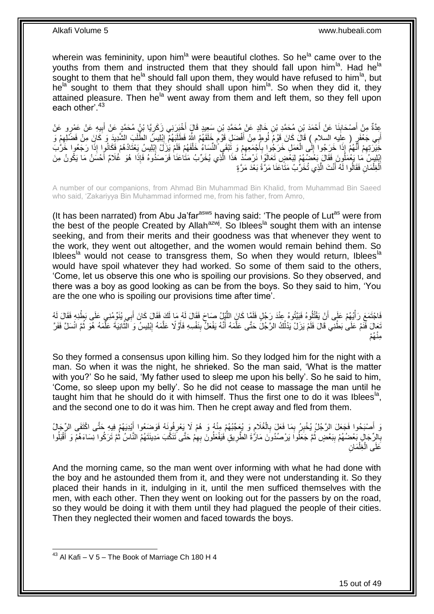wherein was femininity, upon him<sup>la</sup> were beautiful clothes. So he<sup>la</sup> came over to the youths from them and instructed them that they should fall upon him<sup>la</sup>. Had he<sup>la</sup> sought to them that he<sup>la</sup> should fall upon them, they would have refused to him<sup>la</sup>, but he<sup>la sought to them that they should shall upon him<sup>la</sup>. So when they did it, they</sup> attained pleasure. Then he<sup>la</sup> went away from them and left them, so they fell upon each other'.<sup>43</sup>

عِدَّةٌ مِنْ أَصْحَابِنَا عَنْ أَحْمَدَ بْنِ مُحَمَّدِ بْنِ خَالِدٍ عَنْ مُحَمَّدِ بْنِ سَعِيدٍ قَالٍَ أُخْبِرَنِي زَكَرِيًا بْنُ مُحَمَّدٍ عَنْ أَبِيهِ عَنْ عَمْرٍو عَنْ َ َ **ِ** َ ِ َ ¦ أَبِي جَعْفَرٍ ( عِلَيه السّلام ) قَالَ كَانَ قَوْمٌ لُوطٍ مِنْ أَفْضَلِ قَوْمٍ خَلَقَهُمُ اللَّهُ فَطَلَبَهُمْ إِبْلِيسَ الطَّلَبَ الشَّدِيدَ وَ كَانَ مِنْ فَضَّلِهِمْ وَ  $\frac{1}{2}$ ٍ َ ِ خَيَرَتِهِمْ أَنَّهُمْ إِذَا خَرَجُوا إِلَى الْعَمَلِ خَرَجُوا بِأَجْمَعِهِمْ وَ تَنْقَيَ النِّسَاءُ خَلْفَهُمْ فَلَمْ يَزَلُّ إِبْلِيسِ يَعْتَادُهُمْ فَكَانُوا إِذَا رَجَعُوا خَرَّبَ َ ِ ا ا Ĺ ِ ا<br>است **∶** į ∣<br>∶ إِبْلِيسُ مَا يَعْمَلُونَ فَقَالَ بَعُضُهُمْ لِبَعْضٍ تَعَالَوْاً نَرْصُذُ هَذَا الَّذِي يُخَرِّبُ مَثَاعَنَا فَرَصَذُوهُ فَإِذَا هُوَ غُلَامٌ أَحْسَنُ مَا يَكُونُ مِنَ َّ ِ َ اَلْغِلْمَانِ فَقَالُوا لَهُ أَنْتَ الَّذِي تُخَرُّبُ مَثَاعَنَا مَرَّةً بَعْدَ مَرَّةٍ َّ َ Ĺ Ĵ.

A number of our companions, from Ahmad Bin Muhammad Bin Khalid, from Muhammad Bin Saeed who said, 'Zakariyya Bin Muhammad informed me, from his father, from Amro,

(It has been narrated) from Abu Ja'far $a<sup>asws</sup>$  having said: 'The people of Lut $a<sup>as</sup>$  were from the best of the people Created by Allah<sup>azwj</sup>. So Iblees<sup>la</sup> sought them with an intense seeking, and from their merits and their goodness was that whenever they went to the work, they went out altogether, and the women would remain behind them. So Iblees<sup>la</sup> would not cease to transgress them, So when they would return, Iblees<sup>la</sup> would have spoil whatever they had worked. So some of them said to the others, 'Come, let us observe this one who is spoiling our provisions. So they observed, and there was a boy as good looking as can be from the boys. So they said to him, 'You are the one who is spoiling our provisions time after time'.

فَاجْتَمَعَ رَأْيُهُمْ عَلَى أَنْ يَقْتُلُوهُ فَبَيِّتُوهُ عِنْدَ رَجُلٍ فَلَمَّا كَانَ اللَّيْلِ صَاحَ فَقَالَ لَهُ مَا لَكَ فَقَالَ كَانَ أَبِي يُنَوِّمُنِي عَلَى بَطْنِهِ فَقَالَ لَهُ َّ اً َ نَجَالَ فَنَّمْ عَلَىٰ بَطْنِي قَالَ فَلَمْ يَزَلْ يَدْلُكُ الرَّجُلَ حَتَّى عَلَّمَهُ أَنَّهُ يَفْعَلُ بِنَفْسِهِ فَأَوَّلًا عَلَّمَهُ إِبْلِيسُ وَ النَّاْنِيَةَ عَلَّمَهُ هُوَ ثُمَّ انْسَلَّ فَفَرَّ ُ ُ َّ َّ ِ َّ اُ ِ َ َّ ُه م ِمن

So they formed a consensus upon killing him. So they lodged him for the night with a man. So when it was the night, he shrieked. So the man said, 'What is the matter with you?' So he said, 'My father used to sleep me upon his belly'. So he said to him, 'Come, so sleep upon my belly'. So he did not cease to massage the man until he taught him that he should do it with himself. Thus the first one to do it was Iblees<sup>la</sup>, and the second one to do it was him. Then he crept away and fled from them.

وَ أَصْبَحُوا فَجَعَلَ الرَّجُلُ يُخْبِرُ بِمَا فَعَلَ بِالْغُلَامِ وَ يُعَجِّبُهُمْ مِنْهُ وَ هُمْ لَا يَعْرِفُونَهُ فَوَضَعُوا أَيْدِيَهُمْ فِيهِ حَتَّى اكْتَفَى الرِّجَالُ ِ ِ  $\ddot{\phantom{0}}$ ِ ِ ِ َ َ بِالِرِّجَالِ بَعْضُهُمْ بِبَعْضٍ ثُمَّ جَعَلُوا يَرْصُدُونَ مَارَّةَ الطَّرِيقِ فَيَفْعَلُونَ بِهِمْ حَتَّى تَنَكَّبَ مَدِينَتَهُمُ النَّاسُ ثُمَّ تَرَكُوا نِسَاءَهُمْ وَ أَقْبَلُوا ِ ُ **ِ ∶** ُ َ ا<br>: ِ ِن َما ِغل َعلَى ال į Ĺ

And the morning came, so the man went over informing with what he had done with the boy and he astounded them from it, and they were not understanding it. So they placed their hands in it, indulging in it, until the men sufficed themselves with the men, with each other. Then they went on looking out for the passers by on the road, so they would be doing it with them until they had plagued the people of their cities. Then they neglected their women and faced towards the boys.

 $43$  Al Kafi – V 5 – The Book of Marriage Ch 180 H 4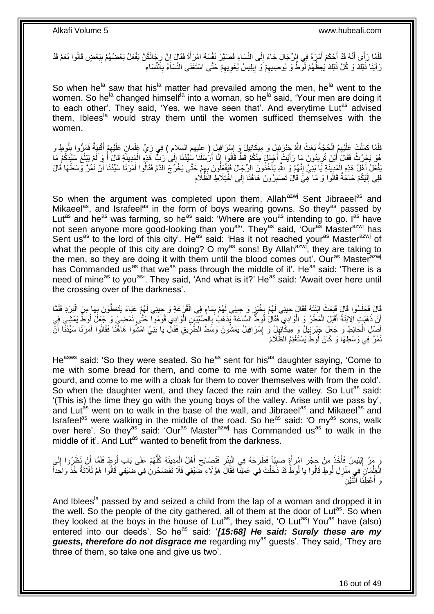فَلَمَّا رَأَى أَنَّهُ قَدْ أَحْكَمَ أَمْرَهُ فِي الرِّجَالِ جَاءَ إِلَى النِّسَاءِ فَصَيَّرَ نَفْسَهُ امْرَأَةً فَقَالَ إِنَّ رِجَالَكُنَّ يَفْعَلُ بَعْضُهُمْ بِبَعْضٍ قَالُوا نَعَمْ قَدْ ِ َ ِ َ َ َ ِ ِ رَ أَيْنَا ذَٰلِكَ وَ كُلَّ ذَلِكَ يَعِظُّهُمْ لُوَّطٌ وَ يُوصِيهِمْ وَ إِبْلِيسُ يُغْوِيهِمْ حَتَّى اسْتَغْنَى النِّسَاءَ بِٱلنِّسَاءِ ِ ِ ِ ِ **ְי** 

So when he<sup>la</sup> saw that his<sup>la</sup> matter had prevailed among the men, he<sup>la</sup> went to the women. So he<sup>la</sup> changed himself<sup>la</sup> into a woman, so he<sup>la</sup> said, 'Your men are doing it to each other'. They said, 'Yes, we have seen that'. And everytime Lut<sup>as</sup> advised them, Iblees<sup>la</sup> would stray them until the women sufficed themselves with the women.

لَفَلَمَا كَمَلَتْ عَلَيْهِمُ الْحُجَّةُ بَعَثَ اللَّهُ جَنْرَئِيلَ وَ مِيكَائِيلَ وَ إِسْرَافِيلَ ( عليهم السلام ) فِي زِيٍّ غِلْمَانِ عَلَيْهِمْ أَقْبِيَةٌ فَمَرُّوا بِلُوطٍ وَ ِ Ĺ ِ ِ َ ِ ĺ ِ هُوَ يَحْرُثُ فَقَالَ أَيْنَ تُرِيدُونَ مَا رَأَيْتُ أَجْمَلَ مِنْكُمْ قَطَّ قَالُوا إِنَّا أَرُسَلَنَا سِيِّدُنَا إِلَىٰ رَبِّ هَذِهِ الْمَدِينَةِ قَالَ أَ وَ لَمْ يَبْلُغْ سَيِّدَكُمْ مَا ِ ∣∣<br>∕ َ ِ َ ُ َ  $\ddot{\phantom{0}}$ يَفْعَلُ أَهْلُ هَذِهِ الْمَدِينَةِ يَا بَنِيٍّ إِنَّهُمْ وَ اللَّهِ يَأْخُذُونَ الرِّجَالَ فَيَفْعَلُونَ بِهِمْ حَتَّى يَخْرُجَ الْدَّمُ فَقَالُوا أَمَرَنَا سَيِّدُنَا أَنْ نَمُرَّ وَسَطَهَا قَالَ į  $\frac{1}{2}$ j ِ į َ َ َ فَلِي إِلَيْكُمْ حَاجَةٌ قَالُوا وَ مَا هِّيَ قَالَ تَصْبِرُونَ هَاهُنَا إِلَى اخْتِلَاطِ الظَّلَامِ **!** لَ יִי (ו ِ ِ

So when the argument was completed upon them, Allah<sup>azwj</sup> Sent Jibraeel<sup>as</sup> and Mikaeel<sup>as</sup>, and Israfeel<sup>as</sup> in the form of boys wearing gowns. So they<sup>as</sup> passed by Lut<sup>as</sup> and he<sup>as</sup> was farming, so he<sup>as</sup> said: 'Where are you<sup>as</sup> intending to go. I<sup>as</sup> have not seen anyone more good-looking than you<sup>as</sup>'. They<sup>as</sup> said, 'Our<sup>as</sup> Master<sup>azwj</sup> has Sent us<sup>as</sup> to the lord of this city'. He<sup>as</sup> said: 'Has it not reached your<sup>as</sup> Master<sup>azwj</sup> of what the people of this city are doing? O my<sup>as</sup> sons! By Allah<sup>azwj</sup>, they are taking to the men, so they are doing it with them until the blood comes out'. Our<sup>as</sup> Master<sup>azwj</sup> has Commanded us<sup>as</sup> that we<sup>as</sup> pass through the middle of it'. He<sup>as</sup> said: 'There is a need of mine<sup>as</sup> to you<sup>as</sup>'. They said, 'And what is it?' He<sup>as</sup> said: 'Await over here until the crossing over of the darkness'.

قَالَ فَجَلَسُوا قَالَ فَبَعَثَ ابْنَتَهُ فَقَالَ جِيئِي لَهُمْ بِخُبْزٍ وَ جِيئِي لَهُمْ بِمَاءٍ فِي الْقُرْعَةِ وَ جِيئِي لَهُمْ عَبَاءً يَتَغَطَّوْنَ بِهَا مِنَ الْبَرْدِ فَلَمَّا<br>يَا مَا تَجَلَسُوا عَلَيْهِ مَثَّلٍ وَ Ĺ ِ ֦֧<u>֓</u> ĺ **∶** أَنْ ذَهَبَتٍ الِابْنَةُ أَقْبَلَ الْمَطَرُ وَ الْوَادِي فَقَالُ لُوطٌ السَّاعَةَ يَذْهَبُ بِالصِّبْيَّانِ الْوَادِي قُوَمُوا حَتَّى نَمْضِيَ وَجِّعَلَ لِمُوطٌّ يَمْشِي فِي ĺ ِ  $\ddotsc$ :<br>ا .<br>ا َ أَصْلِ الْحَائِطِ وَ جَعَلَ جَبْرَ بِيِّلٌ وَ مِيكَائِيِلُ وَ إِسْرَافِيلُ يَمْشُونَ وَسَطَ الطَّرِّيقِ فَقَالَ يَا بَنِّيَّ امْشُوا هَاهَّنَا فَقَالُوا أَمَرَنَا سَيِّدُنَّا أَنَّ ِ ِ į َ َ نَمُرَّ فِي وَسَطِهَا وَ كَانَ لُوطٌ يَسْتَغْنِمُ الظُّلَامَ

He<sup>asws</sup> said: 'So they were seated. So he<sup>as</sup> sent for his<sup>as</sup> daughter saying, 'Come to me with some bread for them, and come to me with some water for them in the gourd, and come to me with a cloak for them to cover themselves with from the cold'. So when the daughter went, and they faced the rain and the valley. So Lut<sup>as</sup> said: '(This is) the time they go with the young boys of the valley. Arise until we pass by', and Lut<sup>as</sup> went on to walk in the base of the wall, and Jibraeel<sup>as</sup> and Mikaeel<sup>as</sup> and Israfeel<sup>as</sup> were walking in the middle of the road. So he<sup>as</sup> said: 'O my<sup>as</sup> sons, walk over here'. So they<sup>as</sup> said: 'Our<sup>as</sup> Master<sup>azwj</sup> has Commanded us<sup>as</sup> to walk in the middle of it'. And Lut<sup>as</sup> wanted to benefit from the darkness.

يَ مَرَّ إِبْلِيسُ فَأَخَذَ مِنْ جِجْرِ امْرَأَةٍ صَبِيّاً فَطَرَحَهُ فِي الْبِئْرِ فَتَصَايَحَ أَهْلُ الْمَدِينَةِ كُلَّهُمْ عَلَى بَابِ لُوطٍ فَلَمَّا أَنْ نَظَرُوا إِلَى ُّ i<br>i َ ِ **ِ** Ĺ **!** َ ِ ا<br>است ِ َ لَ ِ الْغِلْمَانِ فِي مَنْزِلِ لُوطٍ قَالُوا يَا لُوطُ قَدْ دَخَلْتَ فِي عَمَلِنَّا فَقَالَ هَؤُلاءِ حَنَيْفِي فَلَا تَفْضَحُونِٰ فِي حَنَيْفِي قَالُوا هُمْ ثَلَاثَةٌ خُذْ وَاحِداً Ĺ ِ Ĺ  $\ddot{\phantom{0}}$  $\ddot{\cdot}$ َ رَ أعْطِنَا اثْنَيْنِ Ĭ اً<br>ا

And Iblees<sup>la</sup> passed by and seized a child from the lap of a woman and dropped it in the well. So the people of the city gathered, all of them at the door of Lut<sup>as</sup>. So when they looked at the boys in the house of Lut<sup>as</sup>, they said, 'O Lut<sup>as</sup>! You<sup>as</sup> have (also) entered into our deeds'. So he<sup>as</sup> said: '[15:68] He said: Surely these are my guests, therefore do not disgrace me regarding my<sup>as</sup> guests'. They said, 'They are three of them, so take one and give us two'.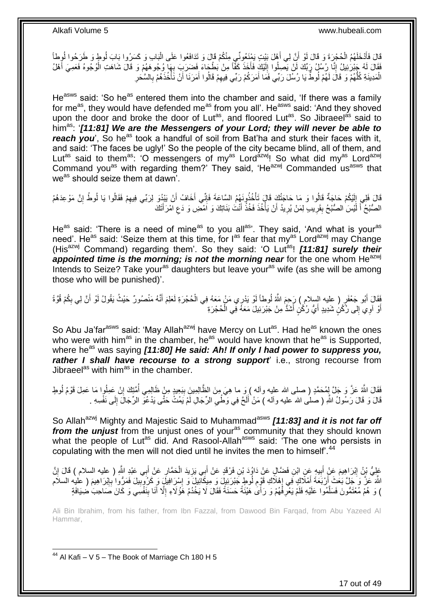قَالَ فَأَدْخَلَهُمُ الْحُجْرَةَ وَ قَالَ لَوْ أَنَّ لِي أَهْلَ بَيْتٍ يَمْنِعُونَّي مِنْكُمْ قَالَ وَ تَدَافَعُوا عَلَى الْبَابِ وَ كَسَرُوا بَابَ لُوطٍ وَ طَرَحُوا لُوطأً ĺ َ اُ j َ ُ فَقَالَ لَهُ جَبْرَٰئِيلُ إِنَّا رُسُلُ رَبِّكَ لَنْ يَصِلُوا إِلَيْكَ فَأَخَذَ كَفَّاً مِنْ بَطْجَاءَ فَضَرَبَ بِهَآ وُجُوهَهُمْ وَ قَالَ شَاهَتِ الْوُجُوهُ فَعَصِيَ أَهْلُ َ لَ ∣∣<br>∶ ِ َ ĺ ِ الْمَدِينَةِ كُلُّهُمْ وَ ۚ قَالَ لَهُمْ لُوطٌّ يَا رُسَّلَ رَبِّي فَمَا أَمَرَكُمْ رَبِّي فِيهِمْ قَالُوا أَمَرَنَا أَنْ نَأْخُذَهُمْ بِالسَّحَرِ j َ َ ِ َ ُّ Ĺ ِ ِ

He<sup>asws</sup> said: 'So he<sup>as</sup> entered them into the chamber and said, 'If there was a family for me<sup>as</sup>, they would have defended me<sup>as</sup> from you all'. He<sup>asws</sup> said: 'And they shoved upon the door and broke the door of Lut<sup>as</sup>, and floored Lut<sup>as</sup>. So Jibraeel<sup>as</sup> said to him<sup>as</sup>: '*[11:81] We are the Messengers of your Lord; they will never be able to reach you*', So he<sup>as</sup> took a handful of soil from Bat'ha and sturk their faces with it, and said: 'The faces be ugly!' So the people of the city became blind, all of them, and Lut<sup>as</sup> said to them<sup>as</sup>: 'O messengers of my<sup>as</sup> Lord<sup>azwj</sup>! So what did my<sup>as</sup> Lord<sup>azwj</sup> Command you<sup>as</sup> with regarding them?' They said, 'He<sup>azwj</sup> Commanded us<sup>asws</sup> that we<sup>as</sup> should seize them at dawn<sup>'</sup>.

قَالَ فَلِي إِلَيْكُمْ حَاجَةٌ قَالُوا وَ مَا حَاجَتُكَ قَالَ تَأْخُذُونَهُمُ السَّاعَةَ فَإِنِّي أَخَافُ أَنْ يَبْدُوَ لِرَبِّي فِيهِمْ فَقَالُوا يَا لُوطُ إِنَّ مَوْعِدَهُمُ ׀ו<br>ِי j لَ ِ ِ ِ َ َ الصُّبْحُ أَ لَّيْسَ الصُّبْحُ بِقَرِيبٍ لِمَنْ يُرِيدُ أَنْ يَأْخُذَ فَخُذْ أَنْتَ بَذَاتِكَ وَ اَمْضِ وَ دَع امْرَأَتَكَ َ ِ َ  $\ddot{\cdot}$ j اُ ِ ِ **∣** لَ

He<sup>as</sup> said: 'There is a need of mine<sup>as</sup> to you all<sup>as</sup>'. They said, 'And what is your<sup>as</sup> need'. He<sup>as</sup> said: 'Seize them at this time, for  $I^{as}$  fear that my<sup>as</sup> Lord<sup>azwj</sup> may Change (His<sup>azwj</sup> Command) regarding them'. So they said: 'O Lut<sup>as</sup>! [11:81] surely their *appointed time is the morning; is not the morning near for the one whom He<sup>azwj</sup>* Intends to Seize? Take your<sup>as</sup> daughters but leave your<sup>as</sup> wife (as she will be among those who will be punished)'.

فَقَالَ أَبُو جَعْفَرٍ ( عليه السلام ) رَجِمَ اللَّهُ لُوطاً لَوْ يَدْرِي مَنْ مَعَهُ فِي الْحُجْرَةِ لَعَلِمَ أَنَّهُ مَنْصُورٌ حَيْثُ يَقُولُ لَوْ أَنَّ لِي بِكُمْ قُوَّةً<br>نَبِّ َ  $\ddot{\phantom{0}}$ لَ َ ِ َ ĺ أَوْ آوِي إِلَى رُكْنٍ شَدِيدٍ أَيُّ رُكْنٍ أَشَدُّ مِنْ جَبْرَئِيلَ مَعَهُ فِي الْحُجْرَةِ َ َ י<br>י َ

So Abu Ja'far<sup>asws</sup> said: 'May Allah<sup>azwj</sup> have Mercy on Lut<sup>as</sup>. Had he<sup>as</sup> known the ones who were with him<sup>as</sup> in the chamber, he<sup>as</sup> would have known that he<sup>as</sup> is Supported, where he<sup>as</sup> was saying **[11:80] He said: Ah! If only I had power to suppress you,** *rather I shall have recourse to a strong support*' i.e., strong recourse from Jibraeel<sup>as</sup> with him<sup>as</sup> in the chamber.

فَقَالَ اللَّهُ عَزَّ وَ جَلَّ لِمُحَمَّدٍ ( صلى الله عليه وأله ) وَ ما هِيَ مِنَ الظَّالِمِينَ بِبَعِيدٍ مِنْ ظَالِمِي أُمَّتِكَ إِنْ عَمِلُوا مَا عَمِلَ قَوْمُ لُوطٍ ا<br>ا **∣** ا<br>ا ِ ُ قَالَ وَ قَالَ رَسُولُ اللَّهِ ( صَلْى الله عليه وآلَه ) مَنْ أَلَحَّ فِي وَصَّٰيِ الرِّجَالِ لَمْ يَمُثُّ حَتَّى يَدْعُوَّ الرِّجَالَ إِلَى نَفْسِهِ . ِ لَ َ ِ

So Allah<sup>azwj</sup> Mighty and Majestic Said to Muhammad<sup>asws</sup> **[11:83] and it is not far off** *from the unjust* from the unjust ones of youras community that they should known what the people of Lut<sup>as</sup> did. And Rasool-Allah<sup>asws</sup> said: 'The one who persists in copulating with the men will not died until he invites the men to himself'.<sup>44</sup>

عَلِيُّ بْنُ إِبْرَاهِيمَ عَنْ أَبِيهٍ عَنِ ابْنِ فَضَالٍ عَنْ دَاوُدَ بْنِ فَرْقَدٍ عَنْ أَبِي يَزِيدَ الْحَمَّارِ عَنْ أَبِي عَبْدِ اللَّهِ ( عليه السلام ) قَالَ إِنَّ <u>֖֚֚֚</u> َ ِ  $\ddot{\phantom{0}}$ ِ َ ِ َ ِ اللَّهَ عَنَّ وَ جَلَّ بَعْثَ أَرْبَعَةَ أَمْلَاكٍ فِي إِهْلَاكِ قَوْمِ لُوطٍ جَبْرَئِيلَ وَ مِيكَانِيلَ وَ إِسْرِ افِيلَ وَ كِرُوتِبِيلَ فَمَرُّوا بِإِبْرَاهِيمَ ( عَلَيْه السلام ِ ِ َ ׀ו<br>ِי **∶** ِ ِ ) وَ هُمْ مُعْتَمُّونَ فَسَلَّمُوا عَلَيْهِ فَلَمْ يَعْرِفْهُمْ وَ رَأَىٰ هَيْئَةً حَسَنَةً فَقَالَ لَا يَخْدُمُ هَؤُلَاءِ إِلَّا أَنَا بِنَفْسِي وَ كَانَ صَاحِبَ ضُنِافَةٍ ِ ِ َّ َ

Ali Bin Ibrahim, from his father, from Ibn Fazzal, from Dawood Bin Farqad, from Abu Yazeed Al Hammar,

 $44$  Al Kafi – V 5 – The Book of Marriage Ch 180 H 5

1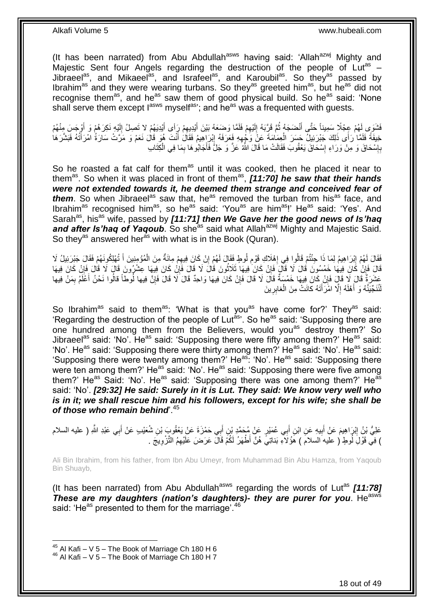(It has been narrated) from Abu Abdullah<sup>asws</sup> having said: 'Allah<sup>azwj</sup> Mighty and Majestic Sent four Angels regarding the destruction of the people of Lut<sup>as</sup> -Jibraeel<sup>as</sup>, and Mikaeel<sup>as</sup>, and Israfeel<sup>as</sup>, and Karoubil<sup>as</sup>. So they<sup>as</sup> passed by Ibrahim<sup>as</sup> and they were wearing turbans. So they<sup>as</sup> greeted him<sup>as</sup>, but he<sup>as</sup> did not recognise them<sup>as</sup>, and he<sup>as</sup> saw them of good physical build. So he<sup>as</sup> said: 'None shall serve them except  $I^{asws}$  myself<sup>as</sup>; and he<sup>as</sup> was a frequented with quests.

فَشَوَى لَهُمْ عِجْلًا سَمِيناً حَتَّى أَنْضَجَهُ ثُمَّ قَرَّبَهُ إِلَيْهِمْ فَلَمَّا وَضَعَهُ بَيْنَ أَيْدِيهِمْ رَِأَى أَيْدِيَهُمْ لا تَصِلُ إِلَيْهِ نَكِرَهُمْ وَ أَوْجَسَ مِنْهُمْ َ ِ َ ِ لَ  $\frac{1}{2}$ ُ َ َ لَ ِ خِيفَةً فَلَمَّا ٰرَأَى ذَلِكَ جَبْرَئِيلٌ حَسَرَ الْعِمَامَةَ عَنْ وَجْهِهِ فَعَرَفَهُ إِبْرَاهِيمُ فَقَالَ أَنْتَ هُوَ قَالَ نَعَمْ وَ مَرَّتْ سَارَةُ ٰ امْرَأَتُهُ فَبَشَرَهَا َ ِ ِ Ĵ. َ بِإِسْحَاقَ وَ مِنْ وَرَاءِ إِسْحَاقَ يَعْقُوبَ فَقَالَتْ مَا قَالَ اللَّهُ عَزَّ وَ جَلَّ فَأَجَابُوهَا بِمَا فِي الْكِتَابِ ِ ِ ِ  $\ddot{\phantom{0}}$ ِ َ

So he roasted a fat calf for them<sup>as</sup> until it was cooked, then he placed it near to them<sup>as</sup>. So when it was placed in front of them<sup>as</sup>, *[11:70] he saw that their hands were not extended towards it, he deemed them strange and conceived fear of them*. So when Jibraeel<sup>as</sup> saw that, he<sup>as</sup> removed the turban from his<sup>as</sup> face, and Ibrahim<sup>as</sup> recognised him<sup>as</sup>, so he<sup>as</sup> said: 'You<sup>as</sup> are him<sup>as</sup>!' He<sup>as</sup> said: 'Yes'. And Sarah<sup>as</sup>, his<sup>as</sup> wife, passed by **[11:71] then We Gave her the good news of Is'hag** and after Is'haq of Yaqoub. So she<sup>as</sup> said what Allah<sup>azwj</sup> Mighty and Majestic Said. So they<sup>as</sup> answered her<sup>as</sup> with what is in the Book (Quran).

فَقَالَ لَهُمْ إِبْرَاهِيمُ لِمَا ذَا حِنُتُمْ قَالُوا فِي إِهْلَاكِ قَوْمِ لُوطٍ فَقَالَ لَهُمْ إِنْ كَانَ فِيهِمْ مِائَةٌ مِنَ الْمُوْمِنِينَ أَ تُهْلِكُونَهُمْ فَقَالَ جَبْرَئِيلُ لَا ِ ِ **∶** ِ ِ َ  $\ddot{\phantom{0}}$ قَالَ فَإِنْ كَانَ فِيهَا خَمْسُونَ قَالَ لَا قَالَ فَإِنْ كَانَ فِيهَا ثَلَاثُونَ قَالَ لَا قَالَ فَإِنْ كَانَ اِ ِ ∣lٍ ِ روبا<br>سا عَشَرَةٌ قَالَ لَا قَالٍ فَإِنْ كَانَ فِيهَا خَمْسَةٌ قَالَ لَا قَالَ فَإِنْ كَانَ فِيهَا وَاحِدٌ قَالَ لَا قَالَ فَإِنَّ فِيها ِ ِ ِ َ ِ ُنَجِّيَنَّهُ وَ أَهْلَهُ إِلَّا اهْرَأَتَهُ كانَتْ مِنَ الْغابِرِينَ ِ i. َ ِ َ لَ

So Ibrahim<sup>as</sup> said to them<sup>as</sup>: 'What is that you<sup>as</sup> have come for?' They<sup>as</sup> said: 'Regarding the destruction of the people of Lut<sup>as</sup>'. So he<sup>as</sup> said: 'Supposing there are one hundred among them from the Believers, would you<sup>as</sup> destroy them?' So Jibraeel<sup>as</sup> said: 'No'. He<sup>as</sup> said: 'Supposing there were fifty among them?' He<sup>as</sup> said: 'No'. He<sup>as</sup> said: 'Supposing there were thirty among them?' He<sup>as</sup> said: 'No'. He<sup>as</sup> said: 'Supposing there were twenty among them?' He<sup>as</sup>: 'No'. He<sup>as</sup> said: 'Supposing there were ten among them?' He<sup>as</sup> said: 'No'. He<sup>as</sup> said: 'Supposing there were five among them?' He<sup>as</sup> Said: 'No'. He<sup>as</sup> said: 'Supposing there was one among them?' He<sup>as</sup> said: 'No'. *[29:32] He said: Surely in it is Lut. They said: We know very well who is in it; we shall rescue him and his followers, except for his wife; she shall be*  of those who remain behind<sup>45</sup>

عَلِيُّ بْنُ إِبْرَاهِيمَ عَنْ أَبِيهِ عَنِ ابْنِ أَبِي عُمَيْرٍ عَنْ مُحَمَّدٍ بْنِ أَبِي حَمْزَةَ عَنْ يَعْقُوبَ بْنِ شُعَيْبِ عَنْ أَبِي عَبْدِ اللَّهِ ( عليه السلام َ **!** َ ِ َ ) فِي قَوْلُ أُوطٍ ( علَيه السلامَ ) هَؤُلاَءٍ بَناتِيَّ هُنَّ أَطْهَرُ لَكُمْ قَالَ عَرَضَ عَلَيْهِمُ النَّزْوِيجَ . ِ

Ali Bin Ibrahim, from his father, from Ibn Abu Umeyr, from Muhammad Bin Abu Hamza, from Yaqoub Bin Shuayb,

(It has been narrated) from Abu Abdullah<sup>asws</sup> regarding the words of Lut<sup>as</sup> [11:78] *These are my daughters (nation's daughters)- they are purer for you.* He<sup>asws</sup> said: 'He<sup>as</sup> presented to them for the marriage'.<sup>46</sup>

 $45$  Al Kafi – V 5 – The Book of Marriage Ch 180 H 6

 $46$  Al Kafi – V 5 – The Book of Marriage Ch 180 H 7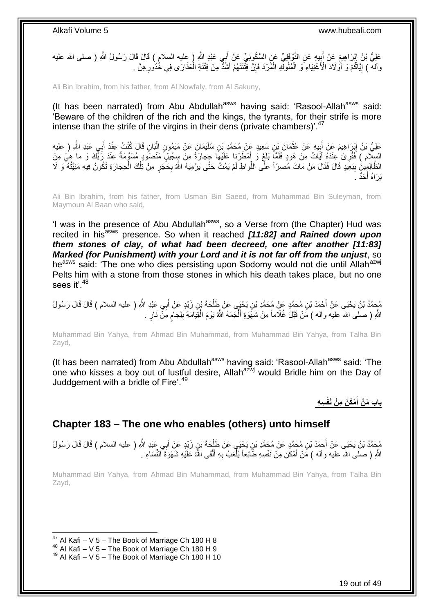عَلِيُّ بْنُ إِبْرَاهِيمَ عَنْ أَبِيهِ عَنِ النَّوْفَلِيِّ عَنِ السَّكُونِيِّ عَنْ أَبِي عَبْدِ اللَّهِ ( عِليه السلام ) قَالَ قَالَ رَسُولُ اللَّهِ ( صلى الله عليه َ  $\frac{1}{2}$ ِ وَالَمْ ﴾ إِيَّاكُمْ وَ أَوْْلَادَ الْأَغْنِيَاءِ وَ الْمُلُوكِّ الْمُرْدَ فَإِنَّ فِتَّنَتَهُمْ أَشَدَّ مِنْ فِتْنَةِ الْمَذَارَى فِي خُدُورِ هِنَّ . َ ِ Ĺ i. ِ 1

Ali Bin Ibrahim, from his father, from Al Nowfaly, from Al Sakuny,

(It has been narrated) from Abu Abdullah<sup>asws</sup> having said: 'Rasool-Allah<sup>asws</sup> said: 'Beware of the children of the rich and the kings, the tyrants, for their strife is more intense than the strife of the virgins in their dens (private chambers)<sup>'.47</sup>

عَلِيُّ بْنُ إِبْرَاهِيمَ عَنْ أَبِيهِ عَنْ عُثْمَانَ بْنِ سَعِيدٍ عَنْ مُحَمَّدِ بْنِ سُلَيْمَانَ عَنْ مَيْمُونِ الْبَانِ قَالَ كُنْتُ عِنْدَ أَبِي عَبْدِ النَّهِ ( عليه Ĺ  $\ddot{\phantom{a}}$ ِ َ ِ ِ َ السِلّام ) فَقُرِئَ عِنْدَهُ آيَاتٌ مِنْ هُودٍ فَلَمَّاَ بَلَغَ وَ أَمْطَرْنا عَلَيْهَا حِجارَةً مِنْ سِِجّيلٍ مَنْضُودٍ مُسَوَّمَةً عِنْدَ رَبِّك وَ ما هِيَ مِنَ َ **∶** الظَّالِمِِينَ بِبَعِيدٍ قَالَ فَقَالَ مَنْ مَاتَ مُصِرّاً عَلَّى اللَّوَاطِ لَمْ يَمُتْ حَتَّى يَرْمِيَهُ اللَّهُ بِحَجَرٍ مِنْ تِلْكَ الْحِجَارَةِ تَكُونُ فِيهِ مَنِيَّتُهُ ۖ وَ لَا ِّ **∣** ĺ ĺ ِ َحٌد . َ يَرَاهُ أ

Ali Bin Ibrahim, from his father, from Usman Bin Saeed, from Muhammad Bin Suleyman, from Maymoun Al Baan who said,

'I was in the presence of Abu Abdullah<sup>asws</sup>, so a Verse from (the Chapter) Hud was recited in his<sup>asws</sup> presence. So when it reached **[11:82] and Rained down upon** *them stones of clay, of what had been decreed, one after another [11:83] Marked (for Punishment) with your Lord and it is not far off from the unjust*, so heasws said: 'The one who dies persisting upon Sodomy would not die until Allahazwj Pelts him with a stone from those stones in which his death takes place, but no one sees it'  $48$ 

مُحَمَّدُ بْنُ يَحْيَى عَنْ أَحْمَدَ بْنِ مُحَمَّدٍ عَنْ مُحَمَّدِ بْنِ يَحْيَى عَنْ طَلْحَةَ بْنِ زَيْدٍ عَنْ أَبِي عَبْدِ اللَّهِ ( عليه السلام ) قَالَ قَالَ رَسُولُ َ ĺ اللَّهِ ( صلى الله عليه وأله ) مَنْ قَبَّلَ غُلاماً مِنْ شَهَوَةٍ أَلْجَمَهُ اللَّهُ يَوْمَ الْقِيَامَةِ بِلِجَامٍ مَِنَّ نَارٍ .  $\overline{\phantom{a}}$ َ ٍ ِ Ĺ

Muhammad Bin Yahya, from Ahmad Bin Muhammad, from Muhammad Bin Yahya, from Talha Bin Zayd,

(It has been narrated) from Abu Abdullah<sup>asws</sup> having said: 'Rasool-Allah<sup>asws</sup> said: 'The one who kisses a boy out of lustful desire, Allah<sup>azwj</sup> would Bridle him on the Day of Juddgement with a bridle of Fire'. $49$ 

> **س ه ْم َك َن م ْن َنفْ باب َم ْن أ َ**

### <span id="page-18-0"></span>**Chapter 183 – The one who enables (others) unto himself**

مُحَمَّدُ بْنُ يَحْيَى عَنْ أَحْمَدَ بْنِ مُحَمَّدٍ عَنْ مُحَمَّدِ بْنِ يَحْيَى عَنْ طَلْحَةَ بْنِ زَيْدٍ عَنْ أَبِي عَبْدِ اللَّهِ ( عليه السلام ) قَالَ قَالَ رَسُولُ َ  $\ddot{\phantom{0}}$ اللَّهِ ( صلى الله عليه وآله ) مَنْ أَمْكَنَ مِنْ نَفْسِهِ طَائِعاً يُلْعَبُ بِهِ أَلْقَى اللَّهُ عَلَيْهِ شَهْوَةَ النِّسَاءِ . Ĺ َ ِ ĺ َ

Muhammad Bin Yahya, from Ahmad Bin Muhammad, from Muhammad Bin Yahya, from Talha Bin Zayd,

 $47$  Al Kafi – V 5 – The Book of Marriage Ch 180 H 8

 $48$  Al Kafi – V 5 – The Book of Marriage Ch 180 H 9

 $49$  Al Kafi – V 5 – The Book of Marriage Ch 180 H 10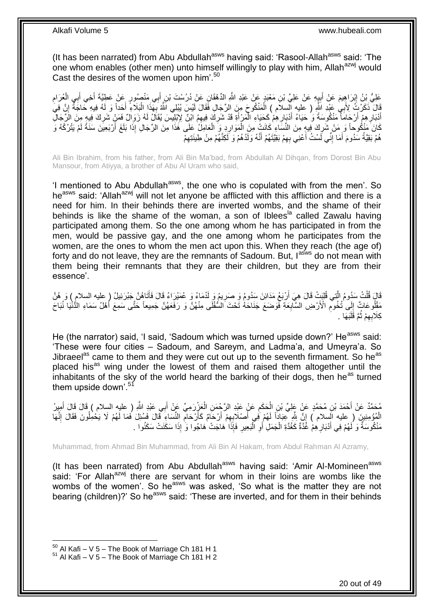(It has been narrated) from Abu Abdullah<sup>asws</sup> having said: 'Rasool-Allah<sup>asws</sup> said: 'The one whom enables (other men) unto himself willingly to play with him, Allah<sup>azwj</sup> would Cast the desires of the women upon him<sup>'.50</sup>

عَلِيُّ بِنُ إِبْرَاهِيمَ عَنْ أَبِيهِ عَنْ عَلِيِّ بْنِ مَعْبَدٍ عَنْ عَبْدِ اللَّهِ الدِّهْقَانِ عَنْ دُرُسْتَ بْنِ أَبِي مَنْصُورٍ عَنْ عَطِيَّةَ أَخِي أَبِي الْعُرَامِ َ ِ َ ِ ِ ĺ َ َ قَالَ ذَكَرْتَ لِأَبِي عَبْدِ اللَّهِ ( عليه السلام ) الْمَنْكُوجَ مِنَ الرِّجَالِ فَقَالَ لَيْسَ يُبْلِي اللَّهُ بِهَذَا الْبَلَاءِ أَحَداً وَ لَهُ فِيهِ حَاجَةً إِنَّ فِيَٰ<br>نَبِّ Ĺ ِ َ Ĺ ¦ أَدْبَارِ هِمْ أَرْجَامَأً مَنْكُوسَةً وَ حَيَاءُ أَدْيَارِ هِمْ كَحَيَاءِ الْمَرْ أَةِ قَدْ شَرِكَ فِيهِمُ ابْنِّ لِإِبْلِيْسَ يُقَالُ لَهُ زَوَالٌ فَمَنْ شَرِكَ فِيهِم مِنَ الزَّجَالِّ **∶** َ j **∶** َ اً ِ ِ كَانَ مَنْكُوحاً وَ مَنْ شَرِكَ فِيهِ مِنَ النَّسَاءِ كَانَتْ مِنَ الْمَوَارِدِ وَ الْعَامِلُ عَلَى هَذَا مِنَ الرِّجَالِ إِذَا بَلَغَ أَرْبَعِينَ سَنَةً لَمْ يَتْرُكْهُ وَ ĺ ِ  $\ddot{\phantom{0}}$ ِ لَ َ هُمْ بَقِيَّةُ سَدُومَ أَمَا إِنِّي لَسْتُ أَعْنِي بِهِمْ بَقِيَّتَهُمْ أَنَّهُ وَلَدُهُمْ وَ لَكِنَّهُمْ مِنْ طِينَتِهِمْ ِ ا<br>است ِ َ ِ َ

Ali Bin Ibrahim, from his father, from Ali Bin Ma'bad, from Abdullah Al Dihqan, from Dorost Bin Abu Mansour, from Atiyya, a brother of Abu Al Uram who said,

'I mentioned to Abu Abdullah<sup>asws</sup>, the one who is copulated with from the men'. So he<sup>asws</sup> said: 'Allah<sup>azwj</sup> will not let anyone be afflicted with this affliction and there is a need for him. In their behinds there are inverted wombs, and the shame of their behinds is like the shame of the woman, a son of Iblees<sup>1a</sup> called Zawalu having participated among them. So the one among whom he has participated in from the men, would be passive gay, and the one among whom he participates from the women, are the ones to whom the men act upon this. When they reach (the age of) forty and do not leave, they are the remnants of Sadoum. But, lasws do not mean with them being their remnants that they are their children, but they are from their essence'.

قَالَ قُلْتُ سَدُومُ الَّذِي قُلِبَتْ قَالَ هِيَ أَرْبَعُ مَدَائِنَ سَدُومُ وَ صَرِيمُ وَ لَدْمَاءُ وَ عُمَيْرَاءُ قَالَ فَأَتَاهُنَّ جَبْرَئِيلُ ( عليه السلام ) وَ هُنَّ َّ Ĺ َ ِ مَقْلُوعَاتٌ إِلَى تُخُومِّ الْأَرْضِ السََّّابِعَةِ فَوَضَعَ جَنَاحَهُ تَّحْتَ السُّفْلَى مِنْهُنَّ وَ رَفَعَهُنَّ جَمِيعاً حَتَّى سَمِعَ أَهْلُ سَمَاءِ الدُّنْيَا نُبَاحَ **∶** ِ  $\frac{1}{2}$  $\ddot{\cdot}$ كِلَابِهِمْ ثُمَّ قَلَبَهَا . ٔ.<br>ـ ِ

He (the narrator) said, 'I said, 'Sadoum which was turned upside down?' He<sup>asws</sup> said: 'These were four cities – Sadoum, and Sareym, and Ladma'a, and Umeyra'a. So Jibraeel<sup>as</sup> came to them and they were cut out up to the seventh firmament. So he<sup>as</sup> placed his<sup>as</sup> wing under the lowest of them and raised them altogether until the inhabitants of the sky of the world heard the barking of their dogs, then he<sup>as</sup> turned them upside down'.<sup>51</sup>

مُحَمَّدٌ عَنْ أَحْمَدَ بْنِ مُحَمَّدٍ عَنْ عَلِيِّ بْنِ الْحَكَمِ عَنْ عَبْدِ الرَّجْمَنِ الْعَزْرِدَمِيِّ عَنْ أَبِي عَبْدِ اللَّهِ ( عليه السِلام ) قَالَ قَالَ أَمِيزُ<br>مُعتَّدٌ عَنْ أَحْمَدَ بْنِ مُحَمَّدٍ عَنْ عَلِيِّ َ أَ َ f<br>i ِ ĺ الْمُؤْمِنِينَ ( عليه الَسلام ) إِنَّ اللَّهِ عِبَاداً لَهُمْ فِي أَصْلَابِهِمْ أَرْحَامٌ كَأَرْحَامٍ النِّسَاءِ قَالَ فَسُئِلَ فَمَا لَهُمْ لَا يَحْمِلُونَ فَقَالَ إِنَّهَا ِ اً اُ ِ َ لَ ِ Ĺ ِ مَنْكُوسَةٌ وَ لَهُمْ فِي أَدْبَارِ هِمْ غُذَّةٌ كَغُدَّةِ الْجَمَلِ أَوِ ٱلْبَعِيرِ فَإِذَا هَاجَتْ هَاجُوا وَ إِذَا سَكَنَتْ سَكَنُوا . ِ **∶**  $\ddot{ }$ **∶** َ

Muhammad, from Ahmad Bin Muhammad, from Ali Bin Al Hakam, from Abdul Rahman Al Azramy,

(It has been narrated) from Abu Abdullah<sup>asws</sup> having said: 'Amir Al-Momineen<sup>asws</sup> said: 'For Allah<sup>azwj</sup> there are servant for whom in their loins are wombs like the wombs of the women'. So he<sup>asws</sup> was asked, 'So what is the matter they are not bearing (children)?' So he<sup>asws</sup> said: 'These are inverted, and for them in their behinds

 $50$  Al Kafi – V 5 – The Book of Marriage Ch 181 H 1

 $51$  Al Kafi – V 5 – The Book of Marriage Ch 181 H 2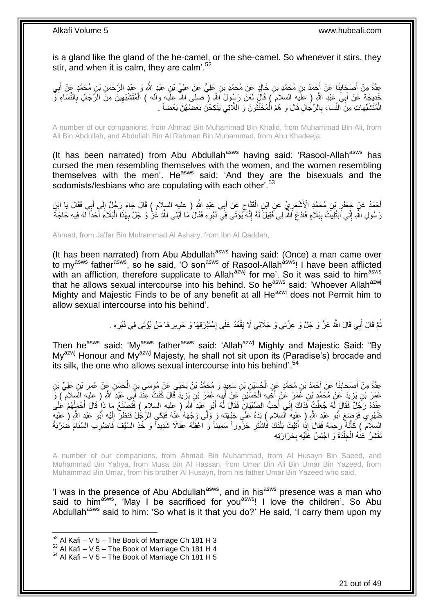is a gland like the gland of the he-camel, or the she-camel. So whenever it stirs, they stir, and when it is calm, they are calm<sup>'.52</sup>

عِدَّةٌ مِنْ أَصْجَابِنَا عَنْ أَجْمَدَ بْنِ مُحَمَّدِ بْنِ خَالِدٍ عَنْ مُحَمَّدِ بْنِ عَلِيٍّ مِّنْ عَلِيٍّ بْنِ عَبْدِ اللَّهُ وَ عَبْدِ الرَّحْمَنِ بْنِ مُحَمَّدٍ عَنْ أَبِي َ ِ ِ َ خَدِيجَةَ عَنْ أَبِيَ عَبْدِ اللَّهِ ( عِلَيهِ السلام ) قَالَ لَعَنَ رَسُولُ اللَّهِ ( صلى الله عليه وآله ) الْمُتَشَبِّهِينَ مِنَ الرِّجَالِ بِالنِّسَاءِ وَّ َ ِ ِ ĺ الْمُتَشَبِّهَاتِ مِنَ ٱلنُّسَاءِ بِالرِّجَالِ قَالَ وَ هُمُ الْمُخَنَّثُونَ وَ اللَّاتِي يَنْكِحْنَ بَعْضُهُنَّ بَعْضاً . روبو<br>با Ĺ **∶** Ĺ

A number of our companions, from Ahmad Bin Muhammad Bin Khalid, from Muhammad Bin Ali, from Ali Bin Abdullah, and Abdullah Bin Al Rahman Bin Muhammad, from Abu Khadeeja,

(It has been narrated) from Abu Abdullah $a<sup>asws</sup>$  having said: 'Rasool-Allah $a<sup>asws</sup>$  has cursed the men resembling themselves with the women, and the women resembling themselves with the men<sup>'</sup>. He<sup>asws</sup> said: 'And they are the bisexuals and the sodomists/lesbians who are copulating with each other'.<sup>53</sup>

أَحْمَدُ عَنْ جَعْفَرِ بْنِ مُحَمَّدٍ الْأَشْعَرِيِّ عَنِ ابْنِ الْقَدَّاحِ عَنْ أَبِي عَبْدِ اللَّهِ ( عليه السلام ) قَالَ جَاءَ رَجُلٌ إِلَى أَبِي فَقَالَ يَا ابْنَِ َ  $\zeta$ Ĺ ¦ ِ **∶** َ ِ رَسُولِ اللَّهِ إِنِّي َابْتُٰلِيتُ بِبَلاَءٍ فَادْعُ اللَّهَ لِي فَقِيلَ لَهُ إِنَّهُ كَيُوْتَى فِي َدُبُرِهِ فَقَالَ مَا أَبْلَى اللَّهُ عُزُّ وَ جَلَّ بِهَذَا الْبَلَاءِ أَحَدَاً لَّهُ فِيهِ حَاجَةٌ ِ **∣** ِ لَ َ ĺ ِ َ ِ

Ahmad, from Ja'far Bin Muhammad Al Ashary, from Ibn Al Qaddah,

(It has been narrated) from Abu Abdullah<sup>asws</sup> having said: (Once) a man came over to my<sup>asws</sup> father<sup>asws</sup>, so he said, 'O son<sup>asws</sup> of Rasool-Allah<sup>asws</sup>! I have been afflicted with an affliction, therefore supplicate to Allah<sup>azwj</sup> for me'. So it was said to him<sup>asws</sup> that he allows sexual intercourse into his behind. So he<sup>asws</sup> said: 'Whoever Allah<sup>azwj</sup> Mighty and Majestic Finds to be of any benefit at all He<sup>azwj</sup> does not Permit him to allow sexual intercourse into his behind'.

> نُّمَّ قَالَ أَبِي قَالَ اللَّهُ عَزَّ وَ جَلَّ وَ عِزَّتِي وَ جَلَالِي لَا يَقُعُدُ عَلَى إِسْنَبْرَقِهَا وَ حَرِيرِ هَا مَنْ يُؤْتَى فِي دُبُرِهِ . ِ **∶** ِ َ ُ ِ

Then he<sup>asws</sup> said: 'My<sup>asws</sup> father<sup>asws</sup> said: 'Allah<sup>azwj</sup> Mighty and Majestic Said: "By My<sup>azwj</sup> Honour and My<sup>azwj</sup> Majesty, he shall not sit upon its (Paradise's) brocade and its silk, the one who allows sexual intercourse into his behind<sup>'.54</sup>

عِدَّةٌ مِنْ أَصْحَابِنَا عَنْ أَحْمَدَ بْنِ مُحَمَّدٍ عَنِ الْحُسَيْنِ بْنِ سَعِيدٍ وَ مُحَمَّدُ بْنُ يَحْيَى عَنْ مُوسَى بْنِ الْحَسَنِ عَنْ عُمَرَ بْنِ عَلِيٍّ بْنِ  $\ddot{\phantom{0}}$ َ ِ َ ĺ عُمَرَ بْنِ يَزِيدَ عَنْ مُحَمَّدٍ بْنِ عُمَرَ عَنْ أَخَيهِ الْحُسَّيْنِ عَنْ أَبِيهِ عُمَرَ بْنِ يَزِيدَ قَالَ كُنْتُ عِنْدَ أَبِي عَبْدِ اللَّهِ ( عليه السلام ) وَ **ٍ ⊥** َ  $\ddot{\phantom{0}}$ **∶** َ عِنْدَهُ رَجُلٌ فَقَالَ لَهُ جُعِلْتُ فَذَاكَ إِنِّي أُحِبُّ الصِّبْيَانَ فَقَالَ لَهُ أَبُو عَبْدِ اللَّهِ ( عليه السلام ) فَتَصْنَعُ مَا ذَا قَالَ أَحْمِلُهُمْ عَلَى ِ Ĺ ُ َ َ ا<br>المناسبة<br>المناسبة ُه َفَب َكى ال َّر ُج ُل َفَن َّى َو ج َهُه َعن ُبو َع بِد ََّّللاِ ) عليه السالم ( َيَدهُ َعلَى َج ب َهِت ِه َو َول ِ ي َفَو َض َع أ ي ِه َظ هر ُبو َع بِد ََّّللاِ ) عليه َظ َر إ أ َ لَ ِ َ السلَامُ ) كَأَنَّهُ رَحِمَهُ فَقَالَ إِذًا أَتَيْتَ بَلَدَكَ فَاشْتَرِ جَزُوراً سَمِيناً وَ اعْقِلْهُ عِقَالًا شَدِيداً وَ خُذِ السَّنْفَ فَاضْرِبِ السَّنَامَ ضَرْبَةً ĺ ِ َ َ ِ تَقْثِرُ ٰ عَنْٰهُ الْجِلْدَةَ وَ اجْلِسْ عَلَيْهِ بِحَرَارَتِهِ ِ i. Ĺ

A number of our companions, from Ahmad Bin Muhammad, from Al Husayn Bin Saeed, and Muhammad Bin Yahya, from Musa Bin Al Hassan, from Umar Bin Ali Bin Umar Bin Yazeed, from Muhammad Bin Umar, from his brother Al Husayn, from his father Umar Bin Yazeed who said,

'I was in the presence of Abu Abdullah $a<sup>asws</sup>$ , and in his $a<sup>asws</sup>$  presence was a man who said to him<sup>asws</sup>, 'May I be sacrificed for you<sup>asws</sup>! I love the children'. So Abu Abdullah<sup>asws</sup> said to him: 'So what is it that you do?' He said, 'I carry them upon my

 $52$  Al Kafi – V 5 – The Book of Marriage Ch 181 H 3

 $53$  Al Kafi – V  $5$  – The Book of Marriage Ch 181 H 4

 $54$  Al Kafi – V 5 – The Book of Marriage Ch 181 H 5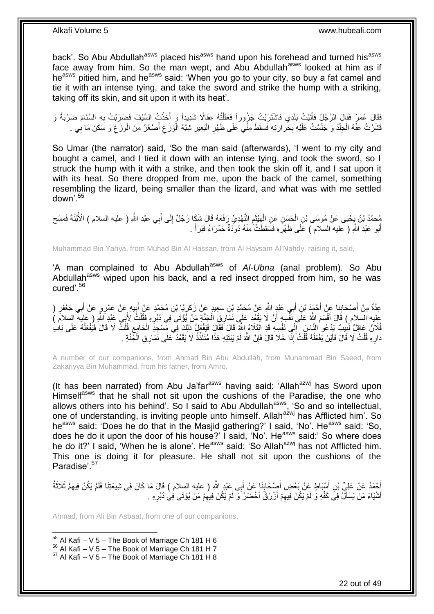back'. So Abu Abdullah<sup>asws</sup> placed his<sup>asws</sup> hand upon his forehead and turned his<sup>asws</sup> face away from him. So the man wept, and Abu Abdullah<sup>asws</sup> looked at him as if heasws pitied him, and he<sup>asws</sup> said: 'When you go to your city, so buy a fat camel and tie it with an intense tying, and take the sword and strike the hump with a striking, taking off its skin, and sit upon it with its heat'.

فَقَالَ عُمَرُ فَقَالَ الرَّجُلُ فَأَتَيْتُ بَلَدِي فَاشْتَرَيْتُ جَزُوراً فَعَقَلْتُهُ عِقَالًا شَدِيداً وَ أَخَذْتُ السَّيْفَ فَضَرَبْتُ بِهِ السَّنَامَ ضَرْبَةً وَ  $\ddot{\cdot}$ َ Ĺ ا<br>ا ِ قَشَرْتُ عَنْهُ الْحِلْدَ وَ جَلَسْتُ عَلَيْهِ بِحَرَارَتِهِ فَسَقَطَ مِنِّي عَلَى ظَهْرِ الْبَعِيرِ شِبْهُ الْوَزَغِ أَصْغَرُ مِنَ الْوَزَغِ وَ سَكَنَ مَا بِي . َ ِ ĺ ِ Ĺ **∶ ∶** Ĺ į ِ ِ ĺ

So Umar (the narrator) said, 'So the man said (afterwards), 'I went to my city and bought a camel, and I tied it down with an intense tying, and took the sword, so I struck the hump with it with a strike, and then took the skin off it, and I sat upon it with its heat. So there dropped from me, upon the back of the camel, something resembling the lizard, being smaller than the lizard, and what was with me settled down'.<sup>55</sup>

مُحَمَّدُ بْنُ يَحْيَى عَنْ مُوسَى بْنِ الْحَسَنِ عَنِ الْهَيْثَمِ النَّهْدِيِّ رَفَعَهُ قَالَ شَكَا رَجُلٌ إِلَى أَبِي عَبْدِ اللَّهِ ( عليه السلام ) الْأُبْنَةَ فَمَسَحَ<br>يُسْتَمَدُّ بْنُ يَحْيَى عَنْ مُوسَى بْنِ الْحَسِ َ ِ ِ ة<br>أ  $\ddot{\phantom{0}}$  $\overline{a}$ أَبُو عَبْدِ اللَّهِ ( عليه السلام ) عَلَى ظَهْرَهِ فَسَقَطَتْ مِنْهُ دُوَدَةٌ حَمْرَاءُ فَبَرَأَ . ِ َ َ

Muhammad Bin Yahya, from Muhad Bin Al Hassan, from Al Haysam Al Nahdy, raising it, said,

'A man complained to Abu Abdullah<sup>asws</sup> of *Al-Ubna* (anal problem). So Abu Abdullah<sup>asws</sup> wiped upon his back, and a red insect dropped from him, so he was cured'.<sup>56</sup>

عِدَّةٌ مِنْ أَصْحَابِنَا عَنْ أَحْمَدَ بْنِ أَبِي عَبْدٍ اللَّهِ عَنْ مُحَمَّدِ بْنِ سَعِيدٍ عَنْ زَكَرٍ يَّا بْنِ مُحَمَّدٍ عَنْ بَابِيهِ عَنْ عَمْرٍ مٍ عَنْ أَبِي جَعْفَرٍ ( ֦֧֦֦֝ َ َ **∣** َ َ ِ َ عليه السلام ) قَالَ أَقْسَمَ اللَّهُ عَلَّى نَفْسِهِ أَنْ لَا يَقْعُدَ عَلَى نَمَّارِقِ الْجَنَّةِ مَنْ يُؤْتَى فِي دُبُرِهِ فَقُلْتُ لِأَبِي عَبْدِ أَاللَّهِ ( عِليَه السلام )<br>كَانَتْ اللَّهِ مِن اللَّهُ عَلَى نَفْسِهِ أَ َ َ ِ ĺ فُلَانٌ عَاقِلٌ لَٰبِيبٌ بَدْعُو النَّاسَ إِلَى نَفْسِهِ قَدِ ابْتَلَاهُ اللَّهِ قَالَ فَقَالَ فَيَعْلِهُ زَلِكَ فِي مِّسْجِدِ الْجَامِعِ قُلْتُ لَا قَالَ فَيُفْعَلُهُ عَلَى بَابِ  $\frac{1}{2}$ **∶** ĺ ِ ا<br>ا دَارِهِ قُلْتُ لَا قَالَ فَأَيْنَ يَفْعَلُهُ قُلْتُ إِذَا خَلَا قَالَ فَإِنَّ اللَّهَ لَمْ يَبْتَلِهِ هَذَا مُتَلَذِّذٌ لَا يَقْعُدُ ۖ عَلَى نَمَارِ قِ الْجَنَّةِ . لَ ِ Ĺ ا<br>ا َ Ĺ **∶** ĺ

A number of our companions, from Ahmad Bin Abu Abdullah, from Muhammad Bin Saeed, from Zakariyya Bin Muhammad, from his father, from Amro,

(It has been narrated) from Abu Ja'far<sup>asws</sup> having said: 'Allah<sup>azwj</sup> has Sword upon Himselfasws that he shall not sit upon the cushions of the Paradise, the one who allows others into his behind'. So I said to Abu Abdullah<sup>asws</sup>, 'So and so intellectual, one of understanding, is inviting people unto himself. Allah<sup>azwj</sup> has Afflicted him'. So he<sup>asws</sup> said: 'Does he do that in the Masjid gathering?' I said, 'No'. He<sup>asws</sup> said: 'So, does he do it upon the door of his house?' I said, 'No'. He<sup>asws</sup> said:' So where does he do it?' I said, 'When he is alone'. He<sup>asws</sup> said: 'So Allah<sup>azwj</sup> has not Afflicted him. This one is doing it for pleasure. He shall not sit upon the cushions of the Paradise'.<sup>57</sup>

أَحْمَدُ عَنْ عَلِيٍّ بْنِ أَسْنَاطٍ عَنْ بَعْضِ أَصْحَابِنَا عَنْ أَبِي عَبْدِ اللَّهِ ( عليه السِلام ) قَالَ مَا كَانَ فِي شِيعَتِنَا فَلَمْ يَكُنْ فِيهِمْ ثَلَاثَةُ َ َ **∣** َ َ َ ِ أَشْيَاءَ مَنْ يَسْأَلُ فِي كَفِّهِ وَ لَمْ يَكُنْ فِيهِمْ أَزْرَقُ أَخْضَرُ وَ لَمْ يَكُنْ فِيهِمْ مَنْ يُؤْتَى فِي دُبُرِهِ . ِ َ ِ َ َ ِ

Ahmad, from Ali Bin Asbaat, from one of our companions,

 $55$  Al Kafi – V 5 – The Book of Marriage Ch 181 H 6

 $56$  Al Kafi – V  $5$  – The Book of Marriage Ch 181 H 7

 $57$  Al Kafi – V 5 – The Book of Marriage Ch 181 H 8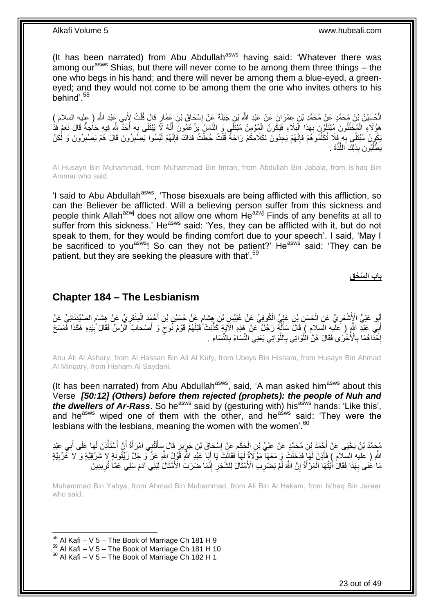(It has been narrated) from Abu Abdullah<sup>asws</sup> having said: 'Whatever there was among our<sup>asws</sup> Shias, but there will never come to be among them three things  $-$  the one who begs in his hand; and there will never be among them a blue-eyed, a greeneyed; and they would not come to be among them the one who invites others to his behind'.<sup>58</sup>

الْحُسَيْنُ بْنُ مُحَمَّدٍ عَنْ مُحَمَّدٍ بْنِ عِمْرَانَ عَنْ عَبْدِ اللَّهِ بْنِ جَبَلَةَ عَنْ إِسْحَاقَ بْنِ عَمَّارٍ قَالَ قُلْتُ لِأَبِي عَبْدِ اللَّهِ ( عليه السلام )<br>الْحُسَيْنُ بْنَ مُحَمَّدٍ بَيَنِهِ ĺ ِ هَؤُلَاءِ الْمُخَنَّثُونَ مُبْتَلَوْنَ مِهَذَا الْبَلَاءِ فَيَكُونُ الْمُؤْمِنُ مُبْتَلًى وَ النَّاسُ يَرْعُمُونَ أَنَّهُ لَا يُبْتَلَى بِهِ أَحَدٌ بِلَّهِ فِيهِ حَاجَةٌ قَالَ نَعَمْ قَذْ َ i<br>i ֖֚֚֡֝֝֝֝֝<br>ׇ֧֛֪֧֧֚֚֚֚֚֚֚֚֚֚֚֚֚֚֚֚֚֚֚֚֚֚֚֚֚֚֚֚֚֚֚֚֝֝֝֝֝֘֝֝<br>֧֧֧֧֧֧֚֚֚֚֚֚֚֚֚֚֚֚֚֜֝֝֬֝֝֝֝ ِ ر<br>با .<br>ا َ **∶** يَكُورِنُ مُبْتَلِّي بِهِ فَلَا تُكَلِّمُوهُمْ فَإِنَّهُمْ يَجِدُونَ لِكَلَامِكُمْ رَاحَةً قُلْتُ جُعِلْتُ فِدَاكَ فَإِنَّهُمْ لَيْسُوا يَصَّبِرُونَ قَالَ هُمْ يَصْبِرُونَ وَ لَكِنْ ِ Ĺ Ĺ ∣اٍ<br>∶ ِّ ِ ِ ِ يَطْلُبُونَ بِذَلِكَ اللَّذَّةَ . َّ ُّ أ

Al Husayn Bin Muhammad, from Muhammad Bin Imran, from Abdullah Bin Jabala, from Is'haq Bin Ammar who said,

'I said to Abu Abdullah<sup>asws</sup>, 'Those bisexuals are being afflicted with this affliction, so can the Believer be afflicted. Will a believing person suffer from this sickness and people think Allah<sup>azwj</sup> does not allow one whom He<sup>azwj</sup> Finds of any benefits at all to suffer from this sickness.' He<sup>asws</sup> said: 'Yes, they can be afflicted with it, but do not speak to them, for they would be finding comfort due to your speech'. I said, 'May I be sacrificed to you<sup>asws</sup>! So can they not be patient?' He<sup>asws</sup> said: 'They can be patient, but they are seeking the pleasure with that'.<sup>59</sup>

### **باب ال َّس ْح ق**

### <span id="page-22-0"></span>**Chapter 184 – The Lesbianism**

أَبُو عَلِيٍّ الْأَسْعَرِ يُّ عَنِ الْحَسَنِ بْنِ عَلِيٍّ الْكُوفِيِّ عَنْ عُبَيْسٍ بْنِ هِشَامٍ عَنْ حُسَيْنِ بْنِ أَحْمَدَ الْمِنْقَرِ يِّ عَنْ هِشَامٍ الصَّيْدَنِانِيِّ عَنْ ĺ **∶** م ِ ĺ َ ֧֖֧֖֖֖֖֖֧֖֖֧֧֧֧ׅ֧֧֧֧֧֧֧֧֧֧֧֧֚֚֚֚֚֚֚֚֝֝֟֓֝֓֝֓֝֬֟֓֟֓֝֬֝֬֝֓֝֬֜֓֝֬֜֓֝֬֝֓֝֬֝֓֝֬֝֬֓֝֬֝֬֝ أَبِي عَبْدِ اللَّهِ ( عَلَيهِ السَلامِ ) َقَالَ سَأَلَٰهٌ رَجُلٌ عَنْ هَذِهِ الْآيَةِ كَذَّبَتْ ۚقَبْلَهُمْ قَوْمُ نُوحٍ وَ أَصْحابُ الْرَّسِّ فَقَالَ بِّبِيَدِهِ هَكَذَا فَّمَسَحَ َ ٍ لَ َ َ ِ إِخْذَاهُمَا بِالْأُخْرَى فَقَالَ هُنَّ الْلُّوَاتِي بِاللَّوَاتِي يَعْنِي النِّسَاءَ بِالنَّسَاءِ ۚ ِ َّ ِ مَّ<br>ا ِ ·<br>∶

Abu Ali Al Ashary, from Al Hassan Bin Ali Al Kufy, from Ubeys Bin Hisham, from Husayn Bin Ahmad Al Minqary, from Hisham Al Saydani,

(It has been narrated) from Abu Abdullah<sup>asws</sup>, said, 'A man asked him<sup>asws</sup> about this Verse *[50:12] (Others) before them rejected (prophets): the people of Nuh and the dwellers of Ar-Rass.* So he<sup>asws</sup> said by (gesturing with) his<sup>asws</sup> hands: 'Like this', and he<sup>asws</sup> wiped one of them with the other, and he<sup>asws</sup> said: 'They were the lesbians with the lesbians, meaning the women with the women'.<sup>60</sup>

مُحَمَّدُ بْنُ يَحْيَى عَنْ أَجْمَدَ بْنِ مُحَمَّدٍ عَنْ عَلِيِّ بْنِ الْحَكَمِ عَنْ إِسْحَاقَ بْنِ جَرٍ بِرٍ قَالَ سَأَلَنْتِي امْرَأَةٌ أَنْ أَسْتَأْذِنَ لَهَا عَلَى أَبِي عَبْدِ لَ Í ِ ∣l<br>∶ ِ ĺ **∶** َ j َ اُ َ اللَّهِ ( عليه السلام ) فَأَذِنَ لَمَاَ فَدَخَلَتْ وَ مَعَهَا مَوْلَاةٌ لِّهَا فَقَالَتْ يَا أَبَا عَبْدِ اللَّهِ قَوْلُ اللَّهِ عَزَّ وَ جَلَّ زَيْتُونَةٍ لا شَرْقِيَّةٍ وَ لاَ غَرْبِيَّةٍ لَ َ ِ َ َ مَا عَُنَى بِهَذَا فَقَالُ أُيَّتُهَا الْمَرْأَةُ إِنَّ اللَّهَ لَمْ يَضْرِبِ الْأَمْثَالَ لِلشَّجَرِ إِنَّمَا ضَرَبَ الْأَمْثَالَ لِبَنِي آدَمَ سَلِي عَمَّا تُرِيدِينَ ِ ِ َ ِ لَ יֲ<br>י َ .<br>سا َ **∶** ِ

Muhammad Bin Yahya, from Ahmad Bin Muhammad, from Ali Bin Al Hakam, from Is'haq Bin Jareer who said,

 $58$  Al Kafi – V 5 – The Book of Marriage Ch 181 H 9

 $59$  Al Kafi – V  $5$  – The Book of Marriage Ch 181 H 10

 $60$  Al Kafi – V 5 – The Book of Marriage Ch 182 H 1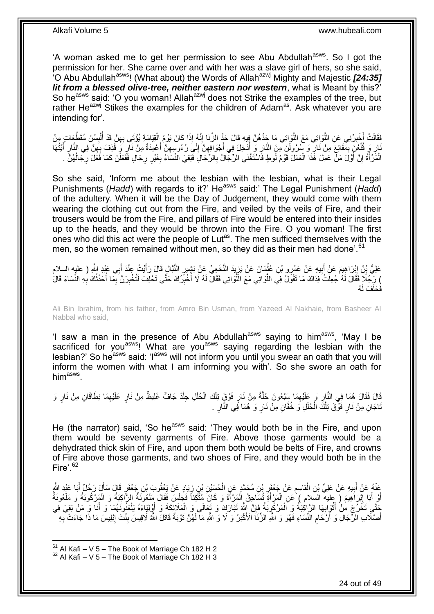'A woman asked me to get her permission to see Abu Abdullah<sup>asws</sup>. So I got the permission for her. She came over and with her was a slave girl of hers, so she said, <sup>1</sup>O Abu Abdullah<sup>asws</sup>! (What about) the Words of Allah<sup>azwj</sup> Mighty and Majestic *[24:35] lit from a blessed olive-tree, neither eastern nor western*, what is Meant by this?' So he<sup>asws</sup> said: 'O you woman! Allah<sup>azwj</sup> does not Strike the examples of the tree, but rather He<sup>azwj</sup> Stikes the examples for the children of Adam<sup>as</sup>. Ask whatever you are intending for'.

فَقَالَتْ أَخْبِرْنِي عَنِ اللَّوَاتِي مَعَ اللَّوَاتِي مَا جَدُّهُنَّ فِيهِ قَالَ حَدٌّ الزِّنَا إِنَّهُ إِذَا كَانَ يَوْمُ الْقِيَامَةِ يُؤْتَى بِهِنَّ قَدْ أُلْبِسْنَ مُقَطَّعَاتٍ مِنْ ِ َّ َّ ِ ا<br>ا ِ ĺ ُ ِ ĺ ِ ارٍ وَ قُنُّعُنَ بِمَقَانِعَ مِنْ نَارٍ وَ سُرُولْنَ مِنَ الذَّارِ وَ أَدْخِلَ فِي أَجْوَافِهِنَّ إِلَيَ رُءُوسِهِنَّ أَعْمِدَةٌ مِنْ نَارٍ وَ قُذِفَ بِهِنَّ فِي النَّارِ أَيَّتُهَا ۱.<br>ا **∶**  $\frac{1}{2}$ َ ِ ِ َ ِ ِ ِ َ ر<br>ا ِ الْمَّرْ أَةُ إِنَّ أَوَّلَ مَنْ عَمِلَ هَٔذَا الْعَمَلَ قَوْمُ لُوطٍ فَاسْتَغْنَى الرِّجَالُ بِالرِّجَالِ فَنَقِيَ النِّسَاءُ بِغَيْرِ رِجَالٍ فَفَعَلْنَ كَمَا فَعََلَ رِجَالُهُنَّ . ِ l, َ Ĺ ِ ُ ِ ĺ

So she said, 'Inform me about the lesbian with the lesbian, what is their Legal Punishments (*Hadd*) with regards to it?' He<sup>asws</sup> said:' The Legal Punishment (*Hadd*) of the adultery. When it will be the Day of Judgement, they would come with them wearing the clothing cut out from the Fire, and veiled by the veils of Fire, and their trousers would be from the Fire, and pillars of Fire would be entered into their insides up to the heads, and they would be thrown into the Fire. O you woman! The first ones who did this act were the people of Lut<sup>as</sup>. The men sufficed themselves with the men, so the women remained without men, so they did as their men had done'.<sup>61</sup>

عَلِيُّ بِنُ إِبْرَاهِيمَ عَنْ أَبِيهِ عَنْ عَمْرِو بْنِ عُثْمَانَ عَنْ يَزِيدَ النَّخَعِيِّ عَنْ بَشِيرٍ النَّبَالِ قَالَ رَأَيْتُ عِنْدَ أَبِي عَيْدِ اللَّهِ ( عليه السلام<br>يَمَّلُ تَرَبَّدُ وَبَالَهُمْ مِنْ رَبِّينَ مِن ِ  $\ddot{\phantom{a}}$ **!** َ יִין<br>י َ َ ﴾ رَبَّجُلًا فَقَالَ لَهُ جُعِلْتُ فِدَاكَ مَا تَقُولُ فِي اللَّواتِي مَعَ اللَّواتِي فَقَالَ لَهُ لَا أُخْبِرُكَ حَتَّى تَحْلِفَ لَتُخْبِرَنَّ بِمَا أُحَدِّثُكَ بِهِ النِّسَاءَ قَالَ أ اً<br>ا Ĺ ُ ِ ِ ِ ا<br>ا ُه َف لَ َف َحلَ

Ali Bin Ibrahim, from his father, from Amro Bin Usman, from Yazeed Al Nakhaie, from Basheer Al Nabbal who said,

'I saw a man in the presence of Abu Abdullah<sup>asws</sup> saying to him<sup>asws</sup>, 'May I be sacrificed for you<sup>asws</sup>! What are you<sup>asws</sup> saying regarding the lesbian with the lesbian?' So he<sup>asws</sup> said: 'I<sup>asws</sup> will not inform you until you swear an oath that you will inform the women with what I am informing you with'. So she swore an oath for him<sup>asws</sup>.

ِّفَالَ فَقَالَ هُمَا فِي النَّارِ وَ عَلَيْهِمَا سَنْعُونَ خُلَّةً مِنْ نَارٍ فَوْقٍ تِلْكَ الْحُلَلِ جِلْدٌ جَافٍّ غَلِيظٌ مِنْ نَارٍ عَلَيْهِمَا نِطَاقَانِ مِنْ نَارٍ وَ i. ĺ Ĺ َّ ِ **∶** ِ نَاجَانِ مِنْ نَارٍ فَوْْقَ تِلْكَ الْحُلَلِ وَ خُفَّانِ مِنْ نَارٍ وَ هُمَا فَِي النَّارِ . į Ĺ ِ

He (the narrator) said, 'So he<sup>asws</sup> said: 'They would both be in the Fire, and upon them would be seventy garments of Fire. Above those garments would be a dehydrated thick skin of Fire, and upon them both would be belts of Fire, and crowns of Fire above those garments, and two shoes of Fire, and they would both be in the Fire $^{\prime}$ .<sup>62</sup>

عَذْهُ عَنْ أَبِيهِ عَنْ عَلِيِّ بْنِ الْقَاسِمِ عَنْ جَعْفَرِ بْنِ مُحَمَّدٍ عَنِ الْحُسَيْنِ بْنِ زِيَادٍ عَن<br>يَسْفُسُ عَلَيْهِ عَنْ عَلِيِّ بْنِ الْقَاسِمِ عَنْ جَعْفَرِ بْنِ مُحَمَّدٍ عَنِ الْحُسَيْنِ بْنِ زِيَادٍ عَن ِ  $\ddot{\phantom{0}}$ ِ ِ Ĺ **∣** َ  $\ddot{\phantom{0}}$ َ Í أَوْ إَبَا إِبْرَاهِيمَ ( عِليه السَلام ) عَنِ الْمَرْأَةِ تُسَاحِقُ الْمَرْأَةَ وَ كَانَ مُتَّكِئاً فَجَلَسَ فَقَالَ مَلْعُونَةٌ الرَّاكِبَةُ وَ الْمَرْكُوبَةُ وَ مَلْعُونَةٌ ĺ َ  $\ddot{\phantom{0}}$ َ į ।<br>⊽ َ َ j ĺ حَتَّـىِ تَخَرُجَ مِنْ أَثْوَابِهَا الرَّاكِبَةُ وَ اَلْمَرْكُوبَةُ فَإِنَّ اللَّهَ تَبَارَكَ وَ تَعَالَى وَ الْمَلَائِكَةَ وَ أَوْلِيَاءَهُ يَلْعَنُونَهُمَا وَ أَنَا وَ مَنْ بَقِيَ فِي ِ Ĺ **∶**  $\ddot{\phantom{a}}$ َ ĺ َ  $\ddot{\phantom{0}}$ أَصْلَابِ الزَّجَالِ وَ أَرْحَامِ الْنُّسَاءِ فَهُوَ وَ اللَّهِ الزُّنَا الْأَكْبَرُ وَ لَا وَ اللَّهِ مَا لَهُنَّ تَوْبَةٌ قَاتَلَ اللَّهُ لَاقِيسَ بِنْتَ إِبْلِيسَ مَا ذَا جَاءَتْ بِهِ ِ َ َ ِ **∶** ِ

 $61$  Al Kafi – V 5 – The Book of Marriage Ch 182 H 2

 $62$  Al Kafi – V 5 – The Book of Marriage Ch 182 H 3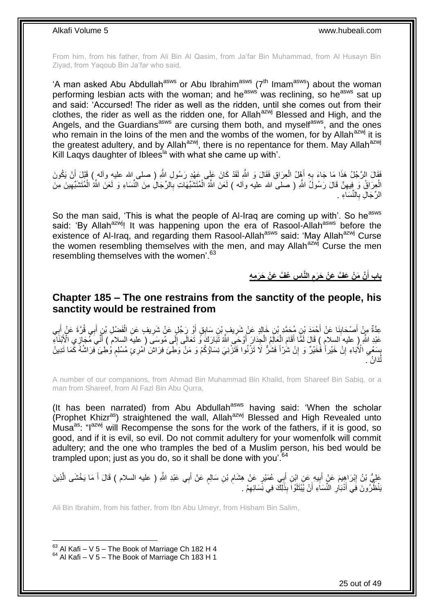From him, from his father, from Ali Bin Al Qasim, from Ja'far Bin Muhammad, from Al Husayn Bin Ziyad, from Yaqoub Bin Ja'far who said,

'A man asked Abu Abdullah<sup>asws</sup> or Abu Ibrahim<sup>asws</sup> ( $7<sup>th</sup>$  Imam<sup>asws</sup>) about the woman performing lesbian acts with the woman; and he<sup>asws</sup> was reclining, so he<sup>asws</sup> sat up and said: 'Accursed! The rider as well as the ridden, until she comes out from their clothes, the rider as well as the ridden one, for Allah $a^{2}$ <sup>wj</sup> Blessed and High, and the Angels, and the Guardians<sup>asws</sup> are cursing them both, and myself<sup>asws</sup>, and the ones who remain in the loins of the men and the wombs of the women, for by Allah<sup>azwj</sup> it is the greatest adultery, and by Allah<sup>azwj</sup>, there is no repentance for them. May Allah<sup>azwj</sup> Kill Laqys daughter of Iblees<sup>la</sup> with what she came up with'.

فَقَالَ الرَّجُلُ هَذَا مَا جَاءَ بِهِ أَهْلُ الْعِرَاقِ فَقَالَ وَ اللَّهِ لَقَدْ كَانَ عَلَى عَهْدِ رَسُولِ اللَّهِ ( صلى الله عليه وأله ) قَبْلَ أَنْ يَكُونَ  $\ddot{\phantom{0}}$ َ **∶** َ الْعِرَاقُ وَ فِيهِنَّ قَالَ رَسُولُ اللَّهِ ( صلىَ الله عليه وألمه ) لَعَنَ اللَّهُ الْمُتَشَبِّهَاتِ بِالرِّجَالِ مِنَ النِّسَاءِ وَ لَعَنَ اللَّهُ الْمُتَشَبِّهِينَ مِنَ ِ ِ Ĺ ِ ĺ الرِّجَالِ بِالنِّسَاءِ . **∶** 

So the man said, 'This is what the people of Al-Iraq are coming up with'. So he<sup>asws</sup> said: 'By Allah<sup>azwj</sup>! It was happening upon the era of Rasool-Allah<sup>asws</sup> before the existence of Al-Iraq, and regarding them Rasool-Allah<sup>asws</sup> said: 'May Allah<sup>azwj</sup> Curse the women resembling themselves with the men, and may Allah<sup>azwj</sup> Curse the men resembling themselves with the women'.<sup>63</sup>

> **س ُع َّف َع ْن َح َر م ه الَّنا َّن َم ْن َع َّف َع ْن َح َرم باب أ َ**

### <span id="page-24-0"></span>**Chapter 185 – The one restrains from the sanctity of the people, his sanctity would be restrained from**

ِ عِدَّةٌ مِنْ أَصْحَابِنَا عَنْ أَحْمَدَ بْنِ مُحَمَّدِ بْنِ خَالِدٍ عَنْ شَرِيفٍ بْنِ سَابِقٍ أَوْ رَِجُلٍ عَنْ شَرِيفٍ عَنِ الْفَصْلِ بْنٍ أَبِي قُرَّةَ عَنْ أَبِي ِ َ ِ َ ِ َ َ Ĺ ِ َ عَبْدِ اللَّهِ ( عليه السلام ) قَالَ لَمَّا أَقَامَ الْعِلَيْلِمُ الْجِدَارَ أَوْحَى اللَّهُ تَبَارَكَ وَّ تَعَالَى إِلَى مُوسَى ( عليه السلام ) أَنَّى مُجَارِّي الْأَبْنَاءِ ِ َ ĺ ĺ َ َ بِسَعْيِ الْأُبَاءِ إِنْ خَيْراً فَٰخَيْرٌ وَ إِنْ شُرّاً فَشَرٌّ لَا تَزْنُوا فَتَزْنِيَ نِسَاؤُكُمْ وَ مَنْ وَطِّئَ فِرَاشٌ اُمْرِئٍ مُسْلِمٍ وُطِئَ فِرَاشُهُ كَمَا تَدِينُ<br>بِسَعْيِ الْأُبَاءِ إِنْ خَيْراً فَٰخَيْرٌ وَ ِ **∣ ื** ِ نُ<sub>ّذ</sub>َانُ مُ

A number of our companions, from Ahmad Bin Muhammad Bin Khalid, from Shareef Bin Sabiq, or a man from Shareef, from Al Fazl Bin Abu Qurra,

(It has been narrated) from Abu Abdullah $a$ <sup>asws</sup> having said: 'When the scholar (Prophet Khizr<sup>as</sup>) straightened the wall, Allah<sup>azwj</sup> Blessed and High Revealed unto Musa<sup>as</sup>: "I<sup>azwj</sup> will Recompense the sons for the work of the fathers, if it is good, so good, and if it is evil, so evil. Do not commit adultery for your womenfolk will commit adultery; and the one who tramples the bed of a Muslim person, his bed would be trampled upon; just as you do, so it shall be done with you'.<sup>64</sup>

عَلِيُّ بْنُ إِبْرَاهِيمَ عَنْ أَبِيهِ عَنِ إِبْنِ أَبِي عُمَيْرٍ عَنْ هِشَامِ بْنِ سَالِمٍ عَنْ أَبِي عَبْدِ اللَّهِ ( عليه السلام ) قَالَ أَ مَا يَخْشَى الَّذِينَ ٍ ِ َ ِ َ **ֽ**ו َّ َ ِ يَنْظُرُونَ فِي أَذْبَاٰرِ النِّسَاَءِ أَنْ يُبْتَلَوْاَ بِذَلِكَ فِي نِّسَائِهِمْ . ِ َ

Ali Bin Ibrahim, from his father, from Ibn Abu Umeyr, from Hisham Bin Salim,

 $63$  Al Kafi – V 5 – The Book of Marriage Ch 182 H 4  $64$  Al Kafi – V 5 – The Book of Marriage Ch 183 H 1

1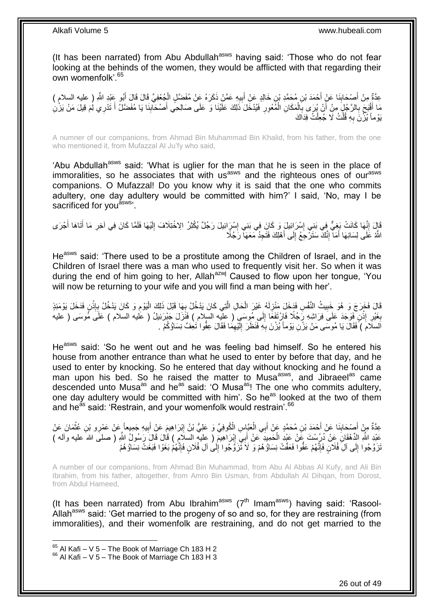(It has been narrated) from Abu Abdullah<sup>asws</sup> having said: 'Those who do not fear looking at the behinds of the women, they would be afflicted with that regarding their own womenfolk'.<sup>65</sup>

عِدَّةٌ مِنْ أَصْحَابِنَا عَنْ أَحْمَدَ بْنِ مُحَمَّدِ بْنِ خَالِدٍ عَنْ أَبِيهِ عَمَّنْ ذَكَرَهُ عَنْ مُفَضَّلٍ الْجُعْفِيِّ قَالَ قَالَ أَبُو عَبْدِ اللَّهِ ( عليه السلام )<br>حَدَّةٌ مِنْ أَصْحَابِنَا عَنْ نَجْمَةٍ مَّمَّ ĺ ِ َ َ **∣** َ مَا أَقْبَحَ بِالرَّجُلِّ مِنْ أَنْ يُرَى بِالْمَكَانِ الْمُعْوِرِ فَيُدْخَلَ ذَلِكَ عَلَيْنَا وَ عَلَى صَالِحِي أَصْحَابِنَا يَا مُفَضَّلُ أَ تَدْرِي لِمَ قِيلَ مَنْ يَزْنِ **∶** Ĺ Ĺ ِ َ ِ َ َ  $\frac{1}{2}$ َ يَوْماً يُزْنَ بِهِ قُلْتُ لَا جُعِلْتُ فِدَاكَ Ĺ Ĺ **∶** 

A numner of our companions, from Ahmad Bin Muhammad Bin Khalid, from his father, from the one who mentioned it, from Mufazzal Al Ju'fy who said,

'Abu Abdullah<sup>asws</sup> said: 'What is uglier for the man that he is seen in the place of immoralities, so he associates that with us<sup>asws</sup> and the righteous ones of our<sup>asws</sup> companions. O Mufazzal! Do you know why it is said that the one who commits adultery, one day adultery would be committed with him?' I said, 'No, may I be sacrificed for you<sup>asws</sup>'.

قَالَ إِنَّهَا كَانَتْ بَغِيٌّ فِي بَنِي إِسْرَائِيلَ وَ كَانَ فِي بَنِي إِسْرَائِيلَ رَجُلٌ يُكْثِرُ الِاخْتِلَافَ إِلَيْهَا فَلَمَّا كَانَ فِي آخِرِ مَا أَتَاهَا أُجْرَى لَ ِ ِ ِ ِ َ َ ِ اللَّهُ عَلَى لِسَانِهَا أَمَآ إِنَّكَ سَتَرْجِعُ إِلَى أَهْلِكَ فَتَجِدُ مَعَهَاۤ رَجُلًا َ ِ ِ َ

He<sup>asws</sup> said: 'There used to be a prostitute among the Children of Israel, and in the Children of Israel there was a man who used to frequently visit her. So when it was during the end of him going to her, Allah<sup>azwj</sup> Caused to flow upon her tongue, 'You will now be returning to your wife and you will find a man being with her'.

قَالَ فَخَرَجَ وَ هُوَ خَبِيتُ النَّفْسِ فَدَخَلَ مَنْزِلَهُ غَيْرَ الْحَالِ الَّتِي كَانَ يَدْخُلُ بِعَا قَبْلَ ذَلِكَ الْيَوْمِ وَ كَانَ يَدْخُلُ بِإِنْنٍ فَدَخَلَ يَوْمَئِذٍ Ĺ **∶** َّ į لَ **∶ !**  $\ddot{\cdot}$ ِ ِ بِغَيْرِ إِذْنٍ فَوَجَدَ عَلَى فِرَاشِهِ رَبَحُلًا فَارْتَفَعَا إِلَى مُوسَى ( عِلْيه السلام ) فَنَزَلَ جَبْرَئِيلُ ( عَليه السلام ) عَلَى مُوسَى ( عليه ِ i. ِ **∶** اَلسلَامَ ) فَقَالَ يَا مُوسَى مَنْ يَزْنِ يَوْماً يُزْنَ بِهِ فَنَظَرَ إِلَيْهِمَا فَقَالَ عِفُّوا تَعِفَّ نِسَاؤُكُمْ . ِ لَ ∣∣<br>∶ **∶** 

He<sup>asws</sup> said: 'So he went out and he was feeling bad himself. So he entered his house from another entrance than what he used to enter by before that day, and he used to enter by knocking. So he entered that day without knocking and he found a man upon his bed. So he raised the matter to Musa<sup>asws</sup>, and Jibraeel<sup>as</sup> came descended unto Musa<sup>as</sup> and he<sup>as</sup> said: 'O Musa<sup>as</sup>! The one who commits adultery, one day adultery would be committed with him'. So he<sup>as</sup> looked at the two of them and he<sup>as</sup> said: 'Restrain, and your womenfolk would restrain'.<sup>66</sup>

َ عِدَّةٌ مِنْ أَصْحَابِنَا عَنْ أَحْمَدَ بْنِ مُحَمَّدٍ عَنْ أَبِي الْعَبَّاسِ الْكُوفِيِّ وَ عَلِيُّ بْنُ إِبْرَاهِيمَ عَنْ أَبِيهِ جَمِيعاً عَنْ عَمْرِو بْنِ عُثْمَانَ عَنْ<br>حَدَّةٌ مِنْ أَصْحَابِنَا عَنْ أَحْمَدَ بْنِ مُح ِ ĺ َ **∣** َ  $\ddot{\phantom{0}}$ ِ عَبْدِ اللَّهِ الدَّهْقَانَ عَنْ دُرُسْتَ عََنْ عَيْدٍ الْحَمِيدِ ۖ عَنْ أَبِيَ إِبْرَاهِيمَ ( عِليه السلامِ ) قَالَ قَالَ رَسُولُ اللَّهِ ( صلىَ الله عليه وأله ) ِ į ُنَرَّوَّجُوا إِلَى آلِ فُلَانٍ فَإِنَّهُمْ عَفُّوا فَعَفَّتْ نِسَاؤُهُمْ وَ لَا تَّزَوَّجُوا إِلَى آلِ فُلَانٍ فَإِنَّهُمْ بَغَوْا فَبَغَتْ نِسَاؤُهُمْ ∣اٍ ِ ِ  $\frac{1}{2}$ 

A number of our companions, from Ahmad Bin Muhammad, from Abu Al Abbas Al Kufy, and Ali Bin Ibrahim, from his father, altogether, from Amro Bin Usman, from Abdullah Al Dihqan, from Dorost, from Abdul Hameed,

(It has been narrated) from Abu Ibrahim<sup>asws</sup> ( $7<sup>th</sup>$  Imam<sup>asws</sup>) having said: 'Rasool-Allah<sup>asws</sup> said: 'Get married to the progeny of so and so, for they are restraining (from immoralities), and their womenfolk are restraining, and do not get married to the

 $65$  Al Kafi – V 5 – The Book of Marriage Ch 183 H 2

 $66$  Al Kafi – V 5 – The Book of Marriage Ch 183 H 3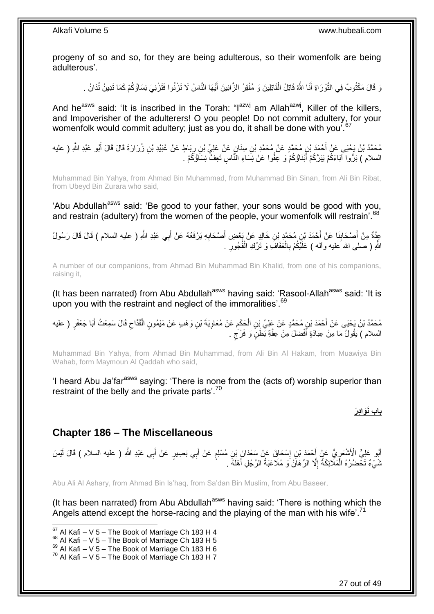progeny of so and so, for they are being adulterous, so their womenfolk are being adulterous'.

وَ قَالَ مَكْتُوبٌ فِي التَّوْرَاةِ أَنَا اللَّهُ قَاتِلُ الْقَاتِلِينَ وَ مُفْقِرُ الزَّانِينَ أَيُّهَا النَّاسُ لَا تَزْنُوا فَتَزْنِيَ نِسَاؤُكُمْ كَمَا تَدِينُ تُدَانُ . َ ĺ َ

And he<sup>asws</sup> said: 'It is inscribed in the Torah: " $I^{azmj}$  am Allah<sup>azwj</sup>, Killer of the killers, and Impoverisher of the adulterers! O you people! Do not commit adultery, for your womenfolk would commit adultery; just as you do, it shall be done with you<sup>'. 67</sup>

مُحَمَّدُ بْنُ يَحْيَى عَنْ أَحْمَدَ بْنِ مُحَمَّدٍ عَنْ مُحَمَّدِ بْنِ سِنَانٍ عَنْ عَلِيِّ بْنِ رِبَاطٍ عَنْ عُبَيْدِ بْنِ زُرَارَةَ قَالَ قَالَ أَبُو عَبْدِ اللَّهِ ( عليه َ ِ السلام ) بَرُّوا آبَاءَكُمْ يَبَرَّكُمْ أَبْنَاؤُكُمْ وَ عِفُّوا عَنْ نِسَاءِ النَّاسِ تَعِفَّ نِسَاؤُكُمْ . َ

Muhammad Bin Yahya, from Ahmad Bin Muhammad, from Muhammad Bin Sinan, from Ali Bin Ribat, from Ubeyd Bin Zurara who said,

'Abu Abdullah<sup>asws</sup> said: 'Be good to your father, your sons would be good with you, and restrain (adultery) from the women of the people, your womenfolk will restrain'.<sup>68</sup>

عَذَّةٌ مِنْ أَصْحَابِنَا عَنْ أَحْمَدَ بْنِ مُحَمَّدٍ بْنِ خَالِدٍ عَنْ بَعْضِ أَصْحَابِهِ يَرْفَعُهُ عَنْ أَبِي عَبْدِ اللَّهِ ( عليه السلام ) قَالَ قَالَ رَسُولُ َ **∶** َ **∣** اللَّهِ ( صلــى الله َعليه وألـه ) عَلَيْكُمْ بِالْعَفَافَ وَ تَرْك الْفُجُورِ . ِ Ĺ i. ِ

A number of our companions, from Ahmad Bin Muhammad Bin Khalid, from one of his companions, raising it,

(It has been narrated) from Abu Abdullah<sup>asws</sup> having said: 'Rasool-Allah<sup>asws</sup> said: 'It is upon you with the restraint and neglect of the immoralities'.<sup>69</sup>

مُحَمَّدُ بْنُ يَحْيَى عَنْ أَحْمَدَ بْنِ مُحَمَّدٍ عَنْ عَلِيٍّ بْنِ الْحَكَمِ عَنْ مُعَاوِيَةَ بْنِ وَهْبِ عَنْ مَيْمُونٍ الْقَدَّاحِ قَالَ سَمِعْتُ أَبَا جَعْفَرٍ ( عليه  $\zeta$ Ĺ ِ ِ ĺ َ السلام ) يَقُولُ مَا مِنْ عِبَادَةٍ أَفْضَلَ مِنْ عِفَّةِ بَمَّلْنٍ وَ فَرْجٍ . ٍ َ

Muhammad Bin Yahya, from Ahmad Bin Muhammad, from Ali Bin Al Hakam, from Muawiya Bin Wahab, form Maymoun Al Qaddah who said,

'I heard Abu Ja'far<sup>asws</sup> saying: 'There is none from the (acts of) worship superior than restraint of the belly and the private parts'.<sup>70</sup>

**باب َنَوا دَر**

### <span id="page-26-0"></span>**Chapter 186 – The Miscellaneous**

أَبُو عَلِيٍّ الْأَشْعَرِ يُّ عَنْ أَحْمَدَ بْنِ إِسْحَاقَ عَنْ سَعْدَانَ بْنِ مُسْلِمٍ عَنْ أَبِي بَصِبِرٍ عَنْ أَبِي عَبْدِ اللَّهِ ( عليه السلام ) قَالَ لَيْسَ َ َ ֧֧֧֧֧֧֧֧֓֝֓֝֓֝֓֝֬֟֓֟֓֓֓֟֓֓֟֓֓<del>֛</del> ِ َ ِ شَيْءٌ تَخْضُرُهُ الْمَلَائِكَةُ إِلَّا الرِّهَانُ َو مُلَاعَبَةُ الرَّجُلِ أَهْلَهُ . ِ ĺ َ

Abu Ali Al Ashary, from Ahmad Bin Is'haq, from Sa'dan Bin Muslim, from Abu Baseer,

(It has been narrated) from Abu Abdullah<sup>asws</sup> having said: 'There is nothing which the Angels attend except the horse-racing and the playing of the man with his wife'.<sup>71</sup>

1

 $67$  Al Kafi – V 5 – The Book of Marriage Ch 183 H 4

 $68$  Al Kafi – V 5 – The Book of Marriage Ch 183 H 5

 $^{69}_{-8}$  Al Kafi – V 5 – The Book of Marriage Ch 183 H 6

 $70$  Al Kafi – V 5 – The Book of Marriage Ch 183 H 7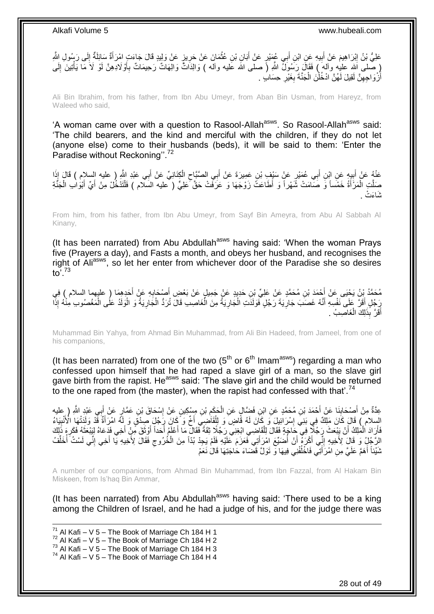

Ali Bin Ibrahim, from his father, from Ibn Abu Umeyr, from Aban Bin Usman, from Hareyz, from Waleed who said,

'A woman came over with a question to Rasool-Allah<sup>asws</sup>. So Rasool-Allah<sup>asws</sup> said: 'The child bearers, and the kind and merciful with the children, if they do not let (anyone else) come to their husbands (beds), it will be said to them: 'Enter the Paradise without Reckoning".<sup>72</sup>

عَنْهُ عَنْ أَبِيهٍ عَنِ ابْنِ أَبِي عُمَيْرٍ عَنْ سَيْفٍ بْنِ عَمِيرَةَ عَنْ أَبِي الصَّبَّاحِ الْكِنَانِيِّ عَنْ أَبِي عَبْدِ الثَّهِ ( عليه السلام ) قَالَ إِذَا َ Ĺ  $\zeta$ َ َ **∣** َ  $\ddot{\phantom{0}}$ صَلَّتِ الْمَرْأَةُ خَمْساً وَ صَلَّمَتْ شَّهْراً وَ أَطَاعَتُ زَوْجَهَا وَ عَرَفَّتْ حَقَّ عَلِيٍّ ( مِليه السلام ) فَلْتَدْخُلْ مِنْ أَيِّ أَبْوَالِ الْجَنَّةِ َ j, ĺ َ َ ĺ تَنَاءَتْ .

From him, from his father, from Ibn Abu Umeyr, from Sayf Bin Ameyra, from Abu Al Sabbah Al Kinany,

(It has been narrated) from Abu Abdullah<sup>asws</sup> having said: 'When the woman Prays five (Prayers a day), and Fasts a month, and obeys her husband, and recognises the right of Aliasws, so let her enter from whichever door of the Paradise she so desires to $\overline{0}$ <sup>73</sup>

مُحَمَّدُ بِنُ يَحْبِى عَنْ أَحْمَدَ بْنِ مُحَمَّدٍ عَنْ عَلِيٍّ بْنِ حَدِيدٍ عَنْ جَمِيلٍ عَنْ بَعْضِ أَصْحَابِهِ عَنْ أَجَدِهِمَا ( عليهما السلام ) فِي َ ِ َ رَجُلٍ أَقَرَّ عَلَى نَفْسِهِ أَنَّهُ غَصَبَ جَارِيَةَ رَجُلٍ فَوَلَدَتِ الْجَارِيَةُ مِنَ الْغَاصِبِ قَالَ تُرَدُّ الْجَارِيَةُ وَ الْوَلَدُ عَلَى الْمَغْصُوبِ مِنْهُ إِذَا ِ ĺ ĺ **ٍ**  $\ddot{\phantom{0}}$ ِ َ َ ĺ ĺ **ِ** أَقَلَّ بِذَلِكَ الْغَاصِبُ . َ  $\ddot{\phantom{0}}$ 

Muhammad Bin Yahya, from Ahmad Bin Muhammad, from Ali Bin Hadeed, from Jameel, from one of his companions,

(It has been narrated) from one of the two  $(5<sup>th</sup>$  or  $6<sup>th</sup>$  Imam<sup>asws</sup>) regarding a man who confessed upon himself that he had raped a slave girl of a man, so the slave girl gave birth from the rapist. He<sup>asws</sup> said: 'The slave girl and the child would be returned to the one raped from (the master), when the rapist had confessed with that'.<sup>74</sup>

عِدَّةٌ مِنْ أَصِدْكِنِنَا عَنْ أَحْمَدَ بْنِ مُحَمَّدٍ عَنِ ابْنِ فَضِّالٍ عَنِ الْحَكَمِ بْنِ مِسْكِينٍ عَنْ إِسْحَاقَ بْنِ عَمَّارٍ عَنْ أَبِي عَبْدٍ اللَّهِ ( عِليه َ ِ َ ِ ِ  $\ddot{\phantom{0}}$ السِلام ۖ) قَالَ كَانَ مَلِكٌ فِي بَنِيَّ إِسْرَائِيلَ ۖ وَ كَانَ لَهُ قَاضٍ ۖ وَ لِلْقَاضِبِيّ أَخٌ وَ ۗكَانَ رَجُلَ صِدْقٌ وَ لِلَّهُ امْرَأَةٌ فَّذْ وَلَدَتْهَا الْأَنْبِيَاءُ Ĺ ِ ِ لَ فَأَرَادَ الْمَلِكُ أَنْ يَبْعَثَ رَجُلًا فِي حَاجَةٍ فَقَالَ لِلْقَاضِي ابْغِنِي رَجُلًا ثِقَةً فَقَالٌ مَا أَعْلَمُ أَحَداً أَوْثَقَ مِّنْ أَخِي فَدَعَاهُ لِيَبْعَثَهُ فَكَرِ مَ ذَلِكَ .<br>أ َ Ĺ i<br>L َ ِ َ َ َ َ َ الرَّجُلُ وَ قَالَ لِأُخِيهِ إِنِّي أَكْرَهُ أَنْ أُضَيِّعَ امْرَأَتِي فَعَزَمَ عَلَيْهِ فَلَمْ يَجِدْ بُدّاً مِنَ الْخُرُوجِ فَقَالَ لِأَخِيهِ يَا أَخِي إِنَّي لَسْتُ أُخَلِّفُ َ יִין<br>∶ ُ ِ َ  $\zeta$ َ ِّ نَّنَيْنَاً أَهَمَّ عَلَيَّ مِنِ امْرَأَتِي فَاخْلُفْنِي فِيهَا وَ نَوَلَّ قَضَاءَ حَاجَتِهَا قَالَ نَعَمْ ُ َ َ

A number of our companions, from Ahmad Bin Muhammad, from Ibn Fazzal, from Al Hakam Bin Miskeen, from Is'haq Bin Ammar,

(It has been narrated) from Abu Abdullah<sup>asws</sup> having said: 'There used to be a king among the Children of Israel, and he had a judge of his, and for the judge there was

1  $^{71}$  Al Kafi – V 5 – The Book of Marriage Ch 184 H 1  $72$  Al Kafi – V 5 – The Book of Marriage Ch 184 H 2  $73$  Al Kafi – V  $5$  – The Book of Marriage Ch 184 H 3  $74$  Al Kafi – V 5 – The Book of Marriage Ch 184 H 4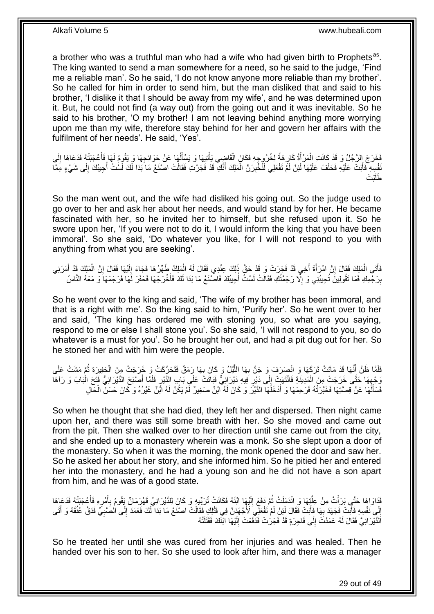a brother who was a truthful man who had a wife who had given birth to Prophets<sup>as</sup>. The king wanted to send a man somewhere for a need, so he said to the judge, 'Find me a reliable man'. So he said, 'I do not know anyone more reliable than my brother'. So he called for him in order to send him, but the man disliked that and said to his brother, 'I dislike it that I should be away from my wife', and he was determined upon it. But, he could not find (a way out) from the going out and it was inevitable. So he said to his brother, 'O my brother! I am not leaving behind anything more worrying upon me than my wife, therefore stay behind for her and govern her affairs with the fulfilment of her needs'. He said, 'Yes'.

فَخَرَجَ إِلزَّجُلُ وَ قَدْ كَانَتِ اِلْمَرْأَةُ كَارِ هَةً لِخُرُرِجِهِ فَكَانَ الْقَاضِي يَأْتِيهَا وَ يَسْأِلُهَا عَنْ حَوَائِجِهَا وَ يَقُومُ لَهَا فَأَعْجَبَتْهُ فَدَعَاهَا إِلَى ُ اً<br>ا í ֖֚֚֡֝֝֝<br>֧֖֦֖֦֖֦֖֧֦֚֚֚֚֚֚֚֚֚֚֚֚֚֚֚֚֚֚֚֚֚֝֝֝֘֝֝֝֝<br>֧֧֚֚֚֝֝ ِ َ i. ِ َ ِ َفْسِهِ فَأَبَتْ عَلَيْهِ فَحَلَفَ عَلَيْهَا لَئِنْ لَمْ تَفْعَلِي لَنُخْبِرَنَّ الْمَلِكَ أَنَّكِ قَدْ فَجَرْتِ فَقَالَتْ اصْنَعْ مَا بَدَا لَكَ لَسْتُ أُجِيبُكَ إِلَى شَيْءٍ مِمَّا ز<br>ا ِ ا<br>أ َ Ĺ بْتَ َطلَ

So the man went out, and the wife had disliked his going out. So the judge used to go over to her and ask her about her needs, and would stand by for her. He became fascinated with her, so he invited her to himself, but she refused upon it. So he swore upon her, 'If you were not to do it, I would inform the king that you have been immoral'. So she said, 'Do whatever you like, for I will not respond to you with anything from what you are seeking'.

فَاَّتَى الْمَلِكَ فَقَالَ إِنَّ امْرَأَةَ أَخِي قَدْ فَجَرَتْ وَ قَدْ حَقَّ ذَلِكَ عِنْدِي فَقَالَ لَهُ الْمَلِكُ طَهِّرْهَا فَجَاءَ إِلَيْهَا فَقَالَ إِنَّ الْمَلِكَ قَدْ أَمَرَنِي Ĺ َ َ ِ Ĺ َ ĺ ِ لَ ِ بِرَجْمِكِ فَمَا تَقُولِينَ تُجِيبُنِي وَ إِلَّا رَجَمْتُكِ فَقَالَتْ لَسْتُ أَجِيبُكَ فَاصْنَعْ مَا بَدَا لَكَ فَأَخْرَجَهَا فَحَفَرَ لَّهَا فَرَجَمَهَا وَ مَعَهُ النَّاسُ ِ **ِ** َ ا<br>ا

So he went over to the king and said, 'The wife of my brother has been immoral, and that is a right with me'. So the king said to him, 'Purify her'. So he went over to her and said, 'The king has ordered me with stoning you, so what are you saying, respond to me or else I shall stone you'. So she said, 'I will not respond to you, so do whatever is a must for you'. So he brought her out, and had a pit dug out for her. So he stoned her and with him were the people.

فَلَقًا ظُنَّ أَنَّهَا قَدْ مَاتَتْ تَرَكَهَا وَ انْصِرَفَ وَ جَنَّ بِهَا اللَّيْلُ وَ كَانَ بِهَا رَمَقٌ فَتَحَرَّكَتْ وَ خَرَجَتْ مِنَ الْجَفِيرَةِ ثُمَّ مَشَتْ عَلَى **∶** َّ ِ َ ر<br>ا  $\ddot{\phantom{0}}$ وَجْهِهَا حَتَّى خَرَجَتْ مِنَ الْمَدِينَةِ فَانْتَهَتْ إِلَى دَيْرٍ فِيهِ دَيْرَانِيٌّ فَبَاتَتُ عَلَى بَابِ الذَّيْرِ فَلَمَّا أَصْبَحَ الذَّيْرَانِيُّ فَتَحَ الْبَابَ وَ رَآهَا<br>وَجْهِهَا حَتَّى خَرَجَتْ مِنَ الْمَدِينَة  $\frac{1}{2}$ Ĺ ِ Ì َ <u>ุ้</u> فَسَأَلَٰهَا عَنْ قِصَّتِهَا فَخَبَّرَتُهُ فَرَحِمَهَا وَ أَدْخَلُهَا الدَّيْرَ وَ كَانَ لَهُ اَبْنٌ مَنغِيرٌ لَمْ يَكُنْ لَهُ ابْنٌ غَيْرُهُ وَ كَانَ حَسَنَ الْحَالِ َ لَ َ ĺ

So when he thought that she had died, they left her and dispersed. Then night came upon her, and there was still some breath with her. So she moved and came out from the pit. Then she walked over to her direction until she came out from the city, and she ended up to a monastery wherein was a monk. So she slept upon a door of the monastery. So when it was the morning, the monk opened the door and saw her. So he asked her about her story, and she informed him. So he pitied her and entered her into the monastery, and he had a young son and he did not have a son apart from him, and he was of a good state.

فَدَاوَاهَا حَتَّى بَرَأَتْ مِنْ عِلَّتِهَا وَ انْدَمَلَتْ ثُمَّ دَفَعَ إِلَيْهَا ابْنَهُ فَكَانَتْ تُرَبِّيهِ وَ كَانَ لِلدَّيْرَانِيِّ قَهْرَمَانٌ يَقُومُ بِأَمْرِهِ فَأَعْجَبَتْهُ فَدَعَاهَا لَ ِ .<br>• • • • َّ َ َ ِ َ ِ إِلَى نَفْسِهِ فَأَبَتْ فَجَهَدَ بِهَا فَأَبَتْ فَقَالَ لَئِنْ لَمْ تَفْعَلِيَ لَأَجْهَدَنَّ فِي قَتْلِكِ فَقَالَتْ اصنّغ مَا بَدَا ۖ لَكَ فَعَمَدَ إِلَى الْصَنْبِيِّ فَدَقَّ عُنُقَهُ وَ أَتَى ن<br>ا **∶** ۔<br>ا ِ َ **∶** ِ اَلدَّيْرَ انِيَّ فَقَالَ لَهُ عَمَدْتَ إِلَى فَاجِرَةٍ قَدْ فَجَرَتْ فَدَّفَعْتَ إِلَيْهَا ابْنَكَ فَقَتَلَتْهُ لَ ِ  $\frac{1}{2}$ 

So he treated her until she was cured from her injuries and was healed. Then he handed over his son to her. So she used to look after him, and there was a manager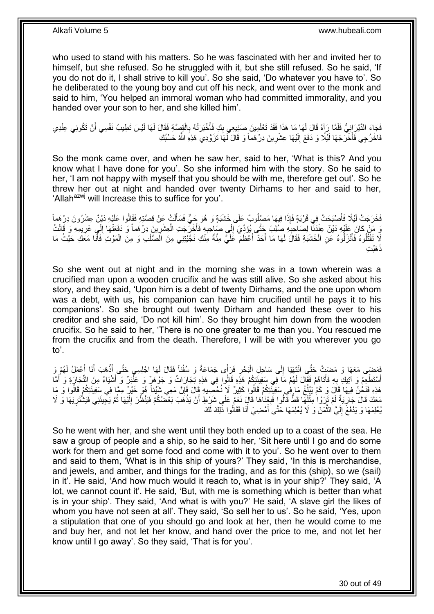who used to stand with his matters. So he was fascinated with her and invited her to himself, but she refused. So he struggled with it, but she still refused. So he said, 'If you do not do it, I shall strive to kill you'. So she said, 'Do whatever you have to'. So he deliberated to the young boy and cut off his neck, and went over to the monk and said to him, 'You helped an immoral woman who had committed immorality, and you handed over your son to her, and she killed him'.

فَجَاءَ الدَّيْرَ اِنِيٌّ فَلَمَّا رَآِهُ قَالَ لَهَا مَا هَذَا فَقَدْ تَعْلَمِينَ صَنِيعِي بِكِ فَأَخْبَرَتْهُ بِالْقِصَّةِ فَقَالَ لَهَا لَيْسَ تَطِيبُ نَفْسِي أَنْ تَكُونِي عِنْدِي Ĺ **∶** َ ِ َ فَاخْرُجِي فَأَخْرَجَهَا لَيْلًا وَ دَفَعَ إِلَيْهَا عِشْرِينَ دِرْهَماً وَ قَالَ لَّهَا تَزَوَّدِي هَذِهِ اللَّهُ حَسْبُكِ ِ لَ  $\frac{1}{2}$ ا<br>است

So the monk came over, and when he saw her, said to her, 'What is this? And you know what I have done for you'. So she informed him with the story. So he said to her, 'I am not happy with myself that you should be with me, therefore get out'. So he threw her out at night and handed over twenty Dirhams to her and said to her, 'Allah<sup>azwj</sup> will Increase this to suffice for you'.

فَخَرَجَتْ لَيْلًا فَأَصْبَحَتْ فِي قَرْيَةٍ فَإِذَا فِيهَا مَصْلُوبٌ عَلَى خَشَبَةٍ وَ هُوَ جَيٍّ فَسَأَلَتْ عَنْ قِصَّتِهِ فَقَالُوا عَلَيْهِ دَيْنٍّ عِشْرُونَ دِرْهِماً َ َ رَ مَنْ كَانَ عَلَيْهِ دَيْنٌ عِنْدَنَا لِصَاحِبِهِ صُلِبَ حَتَّى يُؤَدِّيَ إِلَى صَاحِبِهِ فَأُخْرَجَتِ الْعِشْرِينَ دِرْهَماً وَ دَفَعَتْهَا إِلَى غَرِيمِهِ وَ قَالَتْ ِ **∶** ِ ِ ِ ĺ َ ِ لَا تَقْتُلُوهُ فَأَنْزَلُوهُ عَنِ الْخَشَبَةِ فَقَالَ لَهَا مَا أَحَدٌ أَعْظَمَ عَلَيَّ مِنَّةً مِنْكِ نَجَّيْتِنِي مِنَ الْصَلْبِ وَ مِنَ الْمَوْتِ فَأَنَا مَعَكِ حَيْثُ مَا َ َ į َ َ Ĺ Ĺ <sub>َ</sub> هَبْتِ

So she went out at night and in the morning she was in a town wherein was a crucified man upon a wooden crucifix and he was still alive. So she asked about his story, and they said, 'Upon him is a debt of twenty Dirhams, and the one upon whom was a debt, with us, his companion can have him crucified until he pays it to his companions'. So she brought out twenty Dirham and handed these over to his creditor and she said, 'Do not kill him'. So they brought him down from the wooden crucifix. So he said to her, 'There is no one greater to me than you. You rescued me from the crucifix and from the death. Therefore, I will be with you wherever you go to'.

فَضِهَى مَعَهَا وَ مَضِتْ حَتَّى انْتَهَيَا إِلَى سَاحِلِ الْبَحْرِ فَرَأَى جَمَاعَةً وَ سُفُناً فَقَالَ لَهَا اجْلِسِي حَتَّى أَذْهَبَ أَنَا أَعْمَلُ لَهُمْ وَ ِ Ĺ  $\frac{1}{2}$ َ َ  $\ddot{\cdot}$ َ أَسْتَطْعِمُ وَ آتِيكِ بِهِ فَأَتَاهُمْ فَقِّلَ لَهُمْ مَا فِي سَفِينَتِكُمْ هَذِهِ قَالُوا فِي هَذِهِ تِجَارَاتٌ وَ جَوْهَرٌ وَ عَنْبَرٌ وَ أَشْيَاءُ مِنَ التِّجَارَةِ وَ أَمَّا َ ¦ َ َ َ هَذِهِ فَنَحْنُ فِيهَا قَالَ وَ كَمْ يَبْلُغُ مَا فِي سَفِينَتِكُمْ قَالُوا كَثِيرٌ لَا نُحْصِيهِ قَالَ فَإِنَّ مَعِي شَيْئاً هُوَ خَيْرٌ مِمَّا فِي سَفِينَتِكُمْ قَالُوا وَ مَا ِ ا<br>ا ا<br>ا مَعَكَ قَالَ جَارِيَةٌ لَمْ تَزِرُوْا مِثْلَهَا قَطَّ قَالُوا فَبِغِنَاهَا قَالِ نَعَمْ عَلَى شَرْطِ أَنْ يَذْهَبَ بَعْضُكُمْ فَيَنْظُرَ إِلَيْهَا ثُمَّ يَجْبِئَنِي فَيَشْتَرِيَهَا وَ ل<br>سيدة التاريخ **∶** لَ  $\ddot{\phantom{0}}$ لَ **∶** ِ ُ لَ ِ  $\ddot{\cdot}$ ُ فِلِمَهَا وَ يَدْفَعَ إِلَيَّ الثَّمَنَ وَ لَا يُعْلِمَهَا حَتَّى أَمْضِيَ أَنَا فَقَالُوا ذَلِكَ لَكَ َ َ َّ لَ  $\frac{1}{2}$ 

So he went with her, and she went until they both ended up to a coast of the sea. He saw a group of people and a ship, so he said to her, 'Sit here until I go and do some work for them and get some food and come with it to you'. So he went over to them and said to them, 'What is in this ship of yours?' They said, 'In this is merchandise, and jewels, and amber, and things for the trading, and as for this (ship), so we (sail) in it'. He said, 'And how much would it reach to, what is in your ship?' They said, 'A lot, we cannot count it'. He said, 'But, with me is something which is better than what is in your ship'. They said, 'And what is with you?' He said, 'A slave girl the likes of whom you have not seen at all'. They said, 'So sell her to us'. So he said, 'Yes, upon a stipulation that one of you should go and look at her, then he would come to me and buy her, and not let her know, and hand over the price to me, and not let her know until I go away'. So they said, 'That is for you'.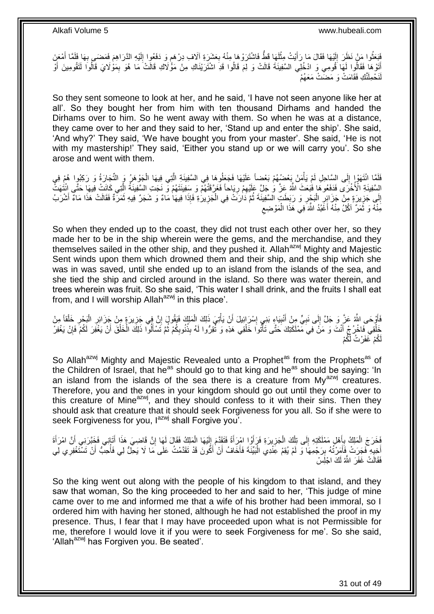فَبَعَثُوا مَنْ نَظَرَ إِلَيْهَا فَقَالَ مَا رَأَيْتُ مِثْلَهَا قَطَّ فَاشْتَرَوْهَا مِنْهُ بِعَشَرَةِ آلَاف دِرْهَمٍ وَ دَفَعُوا إِلَيْهِ الذَّرَاهِمَ فَمَضَى بِهَا فَلَمَّا أَمْعَنَ لَ  $\ddot{\phantom{0}}$ َ لَ  $\frac{1}{2}$ ر<br>بالانتقال َ ِ لَ ِ ֧֖֧֪֧֚֚֚֚֚֚֚֚֚֚֚֚֚֚֚֚֚֚֓֝֝֝֓֡֓֓֡֓֡֟֓֡֟֝֓ ِ أَتَوْهَا فَقَالُوا لَهَا َقُومِي وَ ادْخُلِي السَّفِينَةَ قَالَتْ وَ لِمَ قَالُوا قَدِ اشْتَرَيْنَاكِ مِنْ مَؤْلَاكِ قَالَتْ مَا هُوَ بِمَوْلَايَ قَالُوا لَتَقُومِينَ أَوْ َ اُ ِ َ لَنَحْمِلَنَّكِ فَقَامَتْ وَ مَضَىتْ مَعَهُمْ

So they sent someone to look at her, and he said, 'I have not seen anyone like her at all'. So they bought her from him with ten thousand Dirhams and handed the Dirhams over to him. So he went away with them. So when he was at a distance, they came over to her and they said to her, 'Stand up and enter the ship'. She said, 'And why?' They said, 'We have bought you from your master'. She said, 'He is not with my mastership!' They said, 'Either you stand up or we will carry you'. So she arose and went with them.

فَلَمَا انْتَهَوْإِ إِلَى السَّاحِلِ لَمْ يَأْمِنْ بَعْضُهُمْ بَعْضاً عَلَيْهَا فَجَعَلُوهَا فِي السَّفِينَةِ الَّتِي فِيهَا الْجَوْهَرُ وَ التَّجَارَةُ وَ رَكِبُوا هُمْ فِي َّ j  $\frac{1}{2}$  $\ddot{\phantom{0}}$ الِسَّفِيذَةِ الْأُخْرَى فَدَفَعُوهَا فَبَعَثَ اللَّهُ عَزَّ وَ جَلَّ عَلَيْهِمْ رِيَاحاً فَعَرَّقَتُهُمْ وَ بِنَفِينَتَهُمْ وَ نَجَتِ السَّفِينَةُ الِّتِي كَانَتْ فِيهَا حَتَّى اِنْتُهَتَّ ِ ِ َّ إِلَى جَزِيرَةٍ مِنْ جَزَائِرِ الْبَحْرِ وَ رَبَطَتٍ السَّفِينَةَ ثُمَّ دَارَتْ فِي الْجَزِيرَةِ فَإِذَا فِيهَا مَاءٌ وَ شَجَرٌ فِيهِ ثَمَرَةٌ فَقَالَتْ هَذَا مَاءٌ أَشْرَبُ ُ **∶** ֦֖֚֡֝֝֝֝֝֝<br>֧֚֝<br>֧֖֖֖֖֖֖֖֖֚֚֚֚֚֚֚֚֚֝֝֝֬֝֝֬֝֬֝֬֝֝ ֦֧֦֦֦֦֦֦֦֦֝֝֝֜֜ ¦ ِ َ َ ِ ĺ  $\zeta$ مِّنْهُ وَ ثَمَرٌ ۚ آكُلُ مِنْهُ أَغَبُدُ اللَّهَ فِي هَذَا الْمَوْضِعِ i<br>i َ َ

So when they ended up to the coast, they did not trust each other over her, so they made her to be in the ship wherein were the gems, and the merchandise, and they themselves sailed in the other ship, and they pushed it. Allah<sup>azwj</sup> Mighty and Majestic Sent winds upon them which drowned them and their ship, and the ship which she was in was saved, until she ended up to an island from the islands of the sea, and she tied the ship and circled around in the island. So there was water therein, and trees wherein was fruit. So she said, 'This water I shall drink, and the fruits I shall eat from, and I will worship Allah $a^{2}$  in this place'.

ِ فَأَوْحَى اللَّهُ عَزَّ وَ جَلَّ إِلَى نَبِيٍّ مِنْ أَنْبِيَاءٍ بَنِي إِسْرَائِيلَ أَنْ يَأْتِيَ ذَلِكَ الْمَلِكَ فَيَقُولَ إِنَّ فِي خَِزِيرَةٍ مِنْ جَزَائِرِ الْبَحْرِ خَلْقاً مِنْ ĺ j َ ∣l<br>∶ **!** َ ِ  $\frac{1}{2}$ ĺ ِ Ĺ ِ ِ ِّفَاخْرُجْ أَنْتَ وَ مَنْ فِيَ مِّمْلَكَتِكَ حَتَّى تَأْتُوا خَلْقِي هَذِهِ وَ ثُّقِرُوا لَهُ بِذُنُوبِكُمْ ثُمَّ تَسْأَلُوا ذَلِكَ اَلْخَلْقَ أَنْ يَغْفِرَ لَكُمْ فَإِنْ يَغْفِرَ َ ֦֖֧֦֦֦֦֦֧֦֧֧֦֧֦֧ׅ֧֚֡֝֝֝֝֝֝֝֬֝֬֝֬֝֝֬֝֓֬֝֓֝֬֝֓֞֝֓֬֝֓֝֓֜֝<br>֧֛֝֝׆֧ َ ĺ ĺ اً<br>أ ا دیکھیے ِ Ĺ i ∣ļ لَكُمْ ۖ غَفَرْتُ لَّكُمْ

So Allah<sup>azwj</sup> Mighty and Majestic Revealed unto a Prophet<sup>as</sup> from the Prophets<sup>as</sup> of the Children of Israel, that he<sup>as</sup> should go to that king and he<sup>as</sup> should be saying: 'In an island from the islands of the sea there is a creature from  $My^{azwj}$  creatures. Therefore, you and the ones in your kingdom should go out until they come over to this creature of Mine $a$ <sup>zwj</sup>, and they should confess to it with their sins. Then they should ask that creature that it should seek Forgiveness for you all. So if she were to seek Forgiveness for you, l<sup>azwj</sup> shall Forgive you<sup>7</sup>.

فَخَرَجَ الْمَلِكُ بِأَهْلِ مَمْلَكَتِهِ إِلَى تِلْكَ الْجَزِيرَةِ فَرَأَوُا امْرِأَةً فَتَقَدَّمَ إِلَيْهَا الْمَلِكُ فَقَالَ لَهَا إِنَّ قَاضِيَ هَذَا أَتَانِي فَخَبَّرَنِي أَنَّ امْرَأَةَ ِ َ ្ Ĺ َ ِ Ĺ لَ ِ َ َ **∶** ĺ َ َ أَخِيهِ فَجَرَتْ فَأَمَرْتُهُ بِرَجْمِهَا وَ لَمْ يُقِمْ عِّنْدِي الْبَيِّنَةَ فَأَخَافُ أَنْ أَكُونَ قَدْ تَقَدَّمْتُ عَلَى مَا لَا يَحِلُّ لِي فَأُحِبُّ أَنْ تَسْتَغْفِرِي لِي َ َ َ Ĺ ِ َ ِ َ ،<br>أ فَقَالَتْ غَفَرَ اللَّهُ لَكَ اجْلَِسْ

So the king went out along with the people of his kingdom to that island, and they saw that woman, So the king proceeded to her and said to her, 'This judge of mine came over to me and informed me that a wife of his brother had been immoral, so I ordered him with having her stoned, although he had not established the proof in my presence. Thus, I fear that I may have proceeded upon what is not Permissible for me, therefore I would love it if you were to seek Forgiveness for me'. So she said, 'Allah<sup>azwj</sup> has Forgiven you. Be seated'.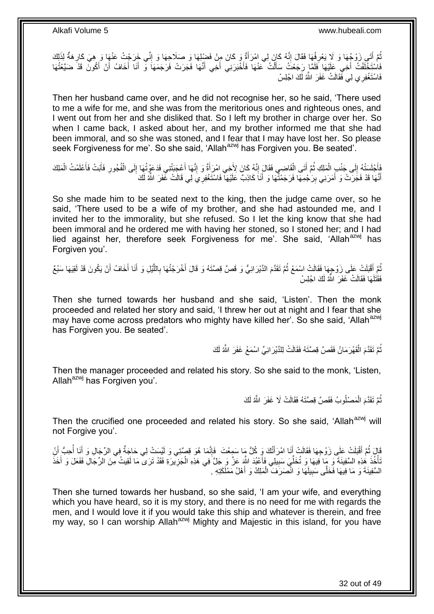نُّمَّ أَتَـى زَوْجُهَا وَ لَا يَعْرِفُهَا فَقَالَ إِنَّهُ كَانَ لِي امْرَأَةٌ وِ كَانَ مِنْ فَضْلِهَا وَ صَلَاحِهَا وَ إِنِّي خَرَجْتُ عَنْهَا وَ هِيَ كَارِهَةٌ لِذَلِكَ ِ َ ِ ِ َ ِ فَاسْتَخْلَفْتُ أَخِي عَلَيْهَا فَلَمَّا رَجَعْتُ سَأَلْتُ عَنْهَا فَأَخْبَرَنِي أَخِي أَنَّهَا فَجَرَتْ فَرَجَمَهَا وَ أَنَا أَخَافُ أَنْ أَكُونَ قَذَ ضَيَّعْتُهَا َ َ َ َ Ĺ َ َ َ َ َ فَاسْتَغْفِرِ ي لِي فَقَالَتْ غَفَرَ اللَّهُ لَكَ اجْلِسْ

Then her husband came over, and he did not recognise her, so he said, 'There used to me a wife for me, and she was from the meritorious ones and righteous ones, and I went out from her and she disliked that. So I left my brother in charge over her. So when I came back, I asked about her, and my brother informed me that she had been immoral, and so she was stoned, and I fear that I may have lost her. So please seek Forgiveness for me'. So she said, 'Allah<sup>azwj</sup> has Forgiven you. Be seated'.

فَأَجْلَسَتْهُ إِلَى جَنْبِ الْمَلِكِ ثُمَّ أَتَى الْقَاضِي فَقَالَ إِنَّهُ كَانَ لِأَخِي امْرَ أَةٌ وَ إِنَّها أَعْجَبَتْنِي فَدَعَوْتُهَا إِلَى الْفُجُورِ فَأَبَتْ فَأَعْلَمْتُ الْمَلِكَ َ َ ِ َ ِ ֦֖֚֚֡֝֝֝֝֝<br>֧֚֝<br>֧֖֖֖֖֖֖֖֖֖֖֚֚֚֚֚֚֚֚֚֚֚֚֚֚֝֝֝֝֝ َ ُ Ĺ  $\frac{1}{2}$ Ĺ َ َ ِ Ĺ ِ أَنَّهَا قَدْ فَجَرَتْ وَ أَمَرَنِي بِرَجْمِهَا فَرَجَمْنُهَا وَ أَنَا كَاذِبٌ عَلَيْهَا فَاسْتَغْفِرِيَ لِي قَالَتْ غَفَرَ اللَّهُ لَكَ َ ِ َ

So she made him to be seated next to the king, then the judge came over, so he said, 'There used to be a wife of my brother, and she had astounded me, and I invited her to the immorality, but she refused. So I let the king know that she had been immoral and he ordered me with having her stoned, so I stoned her; and I had lied against her, therefore seek Forgiveness for me'. She said, 'Allah<sup>azwj</sup> has Forgiven you'.

ثُمَّ أَقْبَلَتْ عَلَى زَوْجِهَا فَقَالَتْ اسْمَعْ ثُمَّ تَقَدَّمَ الدَّيْرَانِيُّ وَ قَصَّ قِصَّتَهُ وَ قَالَ أُخْرَجْتُهَا بِاللَّيْلِ وَ أَنَا أَخَافُ أَنْ يَكُونَ قَدْ لَقِيَهَا سَبُعٌ َ ُ َ َ َ َّ ِ َ ُ فَقَتَلَهَا فَقَالَتْ خَفَرَ اللَّهُ لَكَ اجْلِسْ

Then she turned towards her husband and she said, 'Listen'. Then the monk proceeded and related her story and said, 'I threw her out at night and I fear that she may have come across predators who mighty have killed her'. So she said, 'Allah<sup>azwj</sup> has Forgiven you. Be seated'.

> ثُّمَّ تَقَدَّمَ الْقَهْرَ مَانُ فَقَصَّ قِصَّتَهُ فَقَالَتْ لِلدَّيْرَ انِيٍّ اسْمَعْ غَفَرَ اللَّهُ لَكَ ĺ

Then the manager proceeded and related his story. So she said to the monk, 'Listen, Allah $a^{2xy}$  has Forgiven you'.

> ُّمَّ تَقَدَّمَ الْمَصْلُوبُ فَقَصَّ قِصَّتَهُ فَقَالَتْ لَا غَفَرَ اللَّهُ لَكَ Ĺ لَ

Then the crucified one proceeded and related his story. So she said, 'Allah<sup>azwj</sup> will not Forgive you'.

قَالَ ثُمَّ أَقْبَلَتْ عَلَى زَوْجِهَا فَقَالَتْ إِنَّا امْرَأَتُكَ وَ كُلُّ مَا سَمِعْتَ ۚ فَإِنَّمَا هُوَ قِصَّتِي وَ لَيْسَتْ لِي حَاجَةٌ فِي الرِّجَالِ وَ أَنَا أُحِبُّ إِلَٰ ۖ ِ َ َ َ َ َنَّأْخُذَ هُذِهِ السَّفِينَةَ وَ مِا فَيهَا وَ تُخَلِّيَ سَبِيلِي فَأَعْبُدَ اللَّهِ عَزَّ وَ جَلَّ فِي هَذِهِ الْجَزِيْرَةِ فَقَدْ تَرَى مَا لَقِيتُ مِّنَ الرِّجَالِ فَفَعَلَ وَ أَخَذَ ِ  $\ddot{\phantom{0}}$ َ ِ ِّ j َ ِ السَّفِينَةَ وَ مَا فِيهَا فَخَلَّى سَبِيلَهَا وَ انْصَرَفَ الْمَلِكُ وَ أَهْلُ مَمْلَكَتِهِ . َ Ĺ

Then she turned towards her husband, so she said, 'I am your wife, and everything which you have heard, so it is my story, and there is no need for me with regards the men, and I would love it if you would take this ship and whatever is therein, and free my way, so I can worship Allah<sup>azwj</sup> Mighty and Majestic in this island, for you have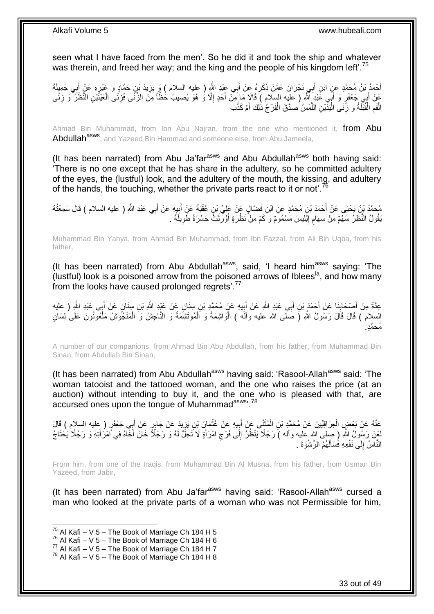seen what I have faced from the men'. So he did it and took the ship and whatever was therein, and freed her way; and the king and the people of his kingdom left'.<sup>75</sup>

أَحْمَدُ بْنُ مُحَمَّدٍ عَنِ ابْنِ أَبِي نَجْرَانَ عَمَّنْ ذَكَرَهُ عَنْ أَبِي عَٖيْدِ اللَّهِ ( عليه السلام ) وَ يَزِيدَ بْنِ حَمَّادٍ وَ غَيْرِهِ عَنْ أَبِي جَمِيلَةَ **∶** َ َ َ َ ِ عَنْ أَبِي جَعْفَرٍ وَ أَبِّي عََيْدِ اللَّهِ ( عليه السلام ) قَالَإٍ مَا مِنْ أَحَدٍ إِلَّا وُ هُوَ يُصِيبُ حَظَّاً مِنَّ الزِّنَّى فَزِنَى الْقَيْنَيْنِ النَّظَلَّ وَ زِنَى َ َ ِ ĺ ِ ِ َ الْفَمِ الْقُبْلَةُ وَ زِنَى الْيَدَّيْنِ اللَّمْسُ مَدَّقَ الْفَرْجُ ذَٰلِكَ أَمْ كَذَّبَ َ ֧֖֦֧֦֧֧֧֧֧֦֧֧֦֧֧֦֧֧֧֦֧֧֧֧֧֧֧֧֧֧֧֧֧֧֧֧֧֧֚֚֚֚֚֚֚֚֚֚֚֚֚֝֝֝֝֝֓֡֓֝֓֝֓֝֓֝֓֞֡֓֜֓֝֬֜֜֝֬<br>֧֧֧֜֜ َّ **∶** ֖֚֚֚֡֝֝֝<br>֧֖֦֖֧֖֧֖֧֧ׅ֧֧֧֧֛֪֛֪֪֧֚֚֚֚֚֚֚֚֚֚֚֚֚֚֚֚֚֚֚֚֚֚֚֝֝֘֝֘֝֝֝֝֝֝֝֝֬֝֜֝֬֝֬֝֞֞֝֝֝ ِ ֧֖֦֧֦֧֧֧֧֧֦֧֧֦֧֧֦֧֧֧֦֧֧֧֧֧֧֧֧֧֧֧֧֧֧֧֧֧֧֚֚֚֚֚֚֚֚֚֚֚֚֚֝֝֝֝֝֓֡֓֝֓֝֓֝֓֝֓֞֡֓֜֓֝֬֜֜֝֬<br>֧֧֧֜֜

Ahmad Bin Muhammad, from Ibn Abu Najran, from the one who mentioned it, from Abu Abdullah<sup>asws</sup>; and Yazeed Bin Hammad and someone else, from Abu Jameela,

(It has been narrated) from Abu Ja'far $a<sup>asws</sup>$  and Abu Abdullah $a<sup>asws</sup>$  both having said: 'There is no one except that he has share in the adultery, so he committed adultery of the eyes, the (lustful) look, and the adultery of the mouth, the kissing, and adultery of the hands, the touching, whether the private parts react to it or not'.<sup>76</sup>

مُحَمَّدُ بْنُ يَحْيَى عَنْ أَحْمَدَ بْنِ مُحَمَّدٍ عَنِ ابْنِ فَضَّالٍ عَنْ عَلِيِّ بْنِ عُقْبَةَ عَنِْ أَبِيهِ عَنْ أَبِي عَبْدِ اللَّهِ ( عليه السلام ) قَالَ سَمِعْتُهُ َ ِ َ يَقُولُ النَّظَنُ سَهْمٌ مِنْ سِهَامٍ إِبْْلِيسَ مَسْمُوَمٌ وَ كَمْ مِنْ نَظْرَةٍ أَوْرَثَتْ حَسْرَةً طَّوِيلَةً . ِ َ ِ ِ

Muhammad Bin Yahya, from Ahmad Bin Muhammad, from Ibn Fazzal, from Ali Bin Uqba, from his father,

(It has been narrated) from Abu Abdullah<sup>asws</sup>, said, 'I heard him<sup>asws</sup> saying: 'The  $\alpha$  (lustful) look is a poisoned arrow from the poisoned arrows of Iblees<sup>la</sup>, and how many from the looks have caused prolonged regrets'.<sup>77</sup>

عِدَّةٌ مِنْ أَصِدْكِلِنَا عَنْ أَحْمَدَ بْنِ أَبِي عَبْدِ اللَّهِ عَنْ أَبِيهِ عَنْ مُحَمَّدِ بْنِ سِنَانٍ عَلْ عَبْدِ اللَّهِ مِنْ مَلِيهِ عَنْ مَحَمَّدِ بْنِ سِنَانٍ عَنْ اللَّهِ مِنْ اللَّهِ ( عليه ِ َ َ َ ِ َ السلام ) قَالَ قَالَ رَسُولُ اللَّهِ (َ صَلَّى الله عليه وآلَه ) الْوَاشِمَةُ وَ اَلْمُوتَشِمَةُ وَ النَّاجِشُ وَ الْمَنْجُوشُ مَلْعُونُونَ عَلَى لِسَانِ ĺ ĺ Ĺ ĺ مُحَمَّدٍ.

A number of our companions, from Ahmad Bin Abu Abdullah, from his father, from Muhammad Bin Sinan, from Abdullah Bin Sinan,

(It has been narrated) from Abu Abdullah<sup>asws</sup> having said: 'Rasool-Allah<sup>asws</sup> said: 'The woman tatooist and the tattooed woman, and the one who raises the price (at an auction) without intending to buy it, and the one who is pleased with that, are accursed ones upon the tongue of Muhammadasws, 78

عَذْهُ عَنْ بَعْضٍ الْعِرَاقِيِّينَ عَنْ مُحَمَّدٍ بْنِ الْمُثَنَّى عَنْ أَبِيهِ عَنْ عُثْمَانَ بْنِ يَزِيدَ عَنْ جَابِرٍ عَنْ أَبِي جَعْفَرٍ ( عِليه السلام ) قَالَ ِ  $\ddot{\phantom{0}}$ **⊥** َ َ Ĺ į َ لَحِنَ رَسُولُ اللَّهِ ( صِلْى الله عليه وآله ) رَجُلًا يَنْظُرُ إِلَى فَرْج امْرَأَةٍ لَا َتَحِلُّ لَهُ وَ رَجُلًا مَحْلَةً وَ رَجُلًا يَخْنَاجُ َ ِ ِ َ َ النَّاسُ إِلَى نَفْعِهِ فَسَأَلَهُمُ الرِّشْوَةَ <sub>.</sub> لَ َ  $\frac{1}{2}$ 

From him, from one of the Iraqis, from Muhammad Bin Al Musna, from his father, from Usman Bin Yazeed, from Jabir,

(It has been narrated) from Abu Ja'far<sup>asws</sup> having said: 'Rasool-Allah<sup>asws</sup> cursed a man who looked at the private parts of a woman who was not Permissible for him,

 $^{75}$  Al Kafi – V 5 – The Book of Marriage Ch 184 H 5

 $76$  Al Kafi – V 5 – The Book of Marriage Ch 184 H 6

 $\frac{77}{10}$  Al Kafi – V 5 – The Book of Marriage Ch 184 H 7

 $^{78}$  Al Kafi – V 5 – The Book of Marriage Ch 184 H 8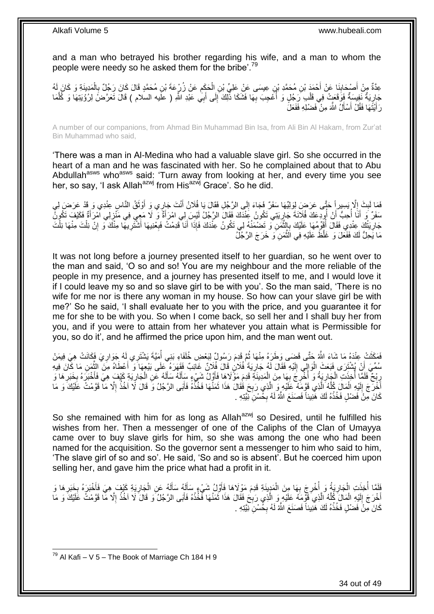and a man who betrayed his brother regarding his wife, and a man to whom the people were needy so he asked them for the bribe'.<sup>79</sup>

عِدَّةٌ مِنْ أَصْدِدَانِنَا عَنْ أَحْمَدَ بْنِ مُحَمَّدِ بْنِ عِيسَى عَنْ عَلِيٍّ بْنِ الْحَكِمِ عَنْ زُرْعِهَةَ بْنِ مُحَمَّدٍ قَالَ كَانَ رَجُلٌ بِالْمَدِينَةِ وَ كَانَ لَهُ ِ ĺ **∣** َ ĺ **∶** جَارِيَةٌ نَفِسَةٌ فَوَقَعَتْ فِي قَلْبِ رَجُلٍ وَ أُعْجِبَ بِهَا فَشَكَا ذَٰلِكَ إِلَى أَبِي عَبْدِ اللَّهِ ( علَيه السلام ) قَالَ تَعَرَّضَ لِرُؤْيَتِهَا وَ كُلَّمَا<br>جَارِيَةٌ نَفِسَ مَعَ مَعَ عَلَيْهِ مَعْ الْمَسْلِمِي ُ Ĺ ِ َّ َ ِ **∶** رَ أَيْتَهَا فَقُلْ أَسْأَلُ اللَّهَ مِنْ فَضْلِهِ فَفَعَلَ َ َ َ

A number of our companions, from Ahmad Bin Muhammad Bin Isa, from Ali Bin Al Hakam, from Zur'at Bin Muhammad who said,

'There was a man in Al-Medina who had a valuable slave girl. So she occurred in the heart of a man and he was fascinated with her. So he complained about that to Abu Abdullah<sup>asws</sup> who<sup>asws</sup> said: 'Turn away from looking at her, and every time you see her, so say, 'I ask Allah<sup>azwj</sup> from His<sup>azwj</sup> Grace'. So he did.

َ فَمَا لَبِثَ إِلَّا يَسِيرِ إَ حَتَّى عَرَضَ لِوَلِيِّهَا سَفَرٌ فَجَاءَ إِلَى الرَّجُلِ فَقَالَ يَا فُلَانُ أَنْتَ جَارِي وَ أَوْثَقُ النَّاسِ عِنْدِي وَ قَدْ عَرَضَ لِي<br>وَاللَّهُ الْبَرَّيَ الْمَرْسَلِ وَأَوْجَعَتْ الْمَ َ ∣∣<br>ِ ِ **ِ** سَفَرٌ ۖ وَ أَنَا أَحِبُّ أَنْ أُودِعَكَ فُلَانَةَ جَارِيَتِي تَكُونُ عِنْدَكَ فَقَالَ الرَّجُلُ لَيْسَ لِي امْرَأَةٌ وَ لَا مَعِي فِي مَنْزِلِي امْرَأَةٌ فَكَيْفَ تَكُونُ َ ِ ا<br>ا َ ا<br>المنابعة<br>المنابعة َ َ ِ جَارِيَتُكَ عِنْدِي فَقَالَ أَقَوِّمُهَا عَلَيْكَ بِالنَّمَنِ وَ تَضْمَنُهُ لِي تَكُونُ عِنْدَكَ فَإِذَا أَنَا قَدِمْتُ فَبِعْنِيهَا أَشْتُرِيهَا مِنْكَ وَ إِنْ نِلْتَ مِنْهَا نِلْتَ<br>مَارِيَتُكَ عِنْدِي فَقَالَ أَقِوِّمُهَ ن<br>په مون ِ ُ **∶** ĺ ĺ ِ ِ َ ِ َ مَا يَحِلُّ لَكَ فَفَعَلَ وَ غَلَّظَ عَلَيْهِ فِي الَّثْمَنِ وَ خَرَجَ الرَّجُلُ َّ

It was not long before a journey presented itself to her guardian, so he went over to the man and said, 'O so and so! You are my neighbour and the more reliable of the people in my presence, and a journey has presented itself to me, and I would love it if I could leave my so and so slave girl to be with you'. So the man said, 'There is no wife for me nor is there any woman in my house. So how can your slave girl be with me?' So he said, 'I shall evaluate her to you with the price, and you guarantee it for me for she to be with you. So when I come back, so sell her and I shall buy her from you, and if you were to attain from her whatever you attain what is Permissible for you, so do it', and he affirmed the price upon him, and the man went out.

فَعَفَّتْ عِنْدَهُ مَا شَاءَ اللَّهُ حَتَّى قَضَى وَطَرَهُ مِنْهَا ثُمَّ قَدِمَ رَسُولٌ لِبَعْضِ خُلَفَاءِ بَنِي أُمَيَّةَ يَشْتَرِي لَهُ جَوَارِيَ فَكَانَتْ هِيَ فِيمَنْ<br>وَيَسَعُدُ أَمِينَ مَنْ تَبِنِي بَيْنَ مَنْ تَبِنِ ان<br>المقام ِ ُ سُمِّيَ أَنْ يُشْتَرَى فَبَعَثَ الْوَالِي إِلَيْهِ فَقَالَ لَمُ جَارِيَةً فُلَانٍ قَالَ فُلَانٌ غَائِبٌ فَقَهَرَهُ كَلَى بَيْعِهَا َوَ أَعْطَاهُ مِنَ الثَّمَنِ مَا كِلَّنَ فِيهِ ; لَ  $\frac{1}{2}$ ∶<br>⊦ َّ َ رِبْحٌ فَلَمَّا أَخِذَتِ الْجَارِيَةُ وَ أُخْرِجَ بِهَا مِنَ الْمَدِينَةِ قَدِمَ مَوْ لَاهَا فَأَوَّلُ شَيْءٍ سَأَلَهُ سَأَلَهُ عَنِ الْجَارِيَةِ كَيْفَ هِيَ فَأَخْبَرَهُ بِخَبَرٍ هَا و<br>رُبِّحْ فَلَمَّا أَحِدَتَ الْجَارِئ َ i. ِ ِ .<br>. ِ l, :<br>ا ِ ِ َ ِ ĺ لَ َ لَ َ َّ أَخْرَجَ إِلَيْهِ الْمَالَ كُلَّهُ الَّذِي قَوَّمَهُ عَلَيْهِ وَ الَّذِي رَبِحَ فَقَالَ هَذَا ثَمَنُهَا فَخُذَهُ فَأَبَى الرَّجُلُ وَ قَالَ لَا أَخُذُ إِلَّا مَا فَوَّمْتُ عَلَيْكَ وَ مَا َّ َّ Ĺ لَ ِ َ ا<br>ا َ  $\ddot{\cdot}$ ة<br>أ **∶** كَانَ مِنْ فَضْلٍ فَخُذْهُ لَكَ هَٰنِيئاً فَصَنَعَ اللَّهُ لَهُ بِخُسْنِ نَبِّيْتِهِ . **∶**  $\ddot{\phantom{a}}$ 

So she remained with him for as long as Allah<sup>azwj</sup> so Desired, until he fulfilled his wishes from her. Then a messenger of one of the Caliphs of the Clan of Umayya came over to buy slave girls for him, so she was among the one who had been named for the acquisition. So the governor sent a messenger to him who said to him, 'The slave girl of so and so'. He said, 'So and so is absent'. But he coerced him upon selling her, and gave him the price what had a profit in it.

َفَلَمَّا أُخِذَتِ الْجَارِيَةُ وَ أُخْرِجَ بِهَا مِنَ الْمَدِينَةِ قَدِمَ مَوْلَاهَا فَأَوَّلُ شَيْءٍ سَأَلَهُ سَالَهُ عَنِ الْجَارِيَةِ كَيْفَ هِيَ فَأُخْبَرَهُ بِخَبَرِهَا وَ َ Ĺ <u>ا</u> ِ ا<br>ا **∶** į ا<br>ا ِ ِ َ ِ  $\ddot{\phantom{0}}$ لَ َ لَ َ أَخْرَجَ إِلَيْهِ الْمَالَ كُلَّهُ الَّذِي قَوَّمَهُ عَلَيْهِ وَ الَّذِي رَبِحَ فَقَالَ هَذَا ثَمَنُهَا فَخَذْهُ فَأَبَى الرَّجُلُ وَ قَالَ لَا أَخُذُ إِلَّا مَا قَوَّمْتُ عَلَيْكَ وَ مَا َ  $\ddot{\cdot}$ َ ِ َّ َّ َّ Ĺ لَ ׀<br>֧֓ ا<br>ا كَانَ مِنْ فَضْلٍ فَخُذْهُ لَكَ هَٰنِيئاً فَصَنَعَ اللَّهُ لَهُ بِخُسْنِ نَبِّيْتِهِ . ِ  $\ddot{\phantom{0}}$ 

1  $^{79}$  Al Kafi – V 5 – The Book of Marriage Ch 184 H 9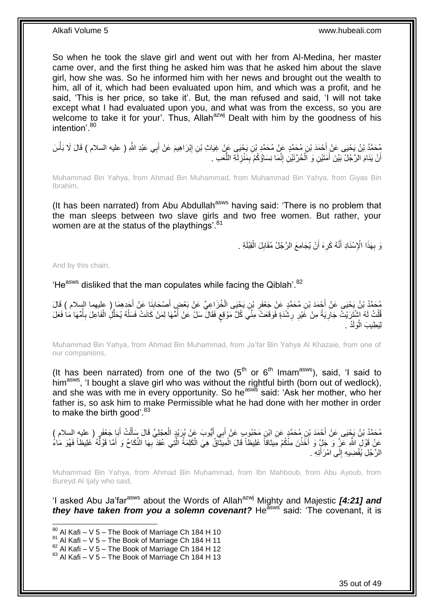So when he took the slave girl and went out with her from Al-Medina, her master came over, and the first thing he asked him was that he asked him about the slave girl, how she was. So he informed him with her news and brought out the wealth to him, all of it, which had been evaluated upon him, and which was a profit, and he said, 'This is her price, so take it'. But, the man refused and said, 'I will not take except what I had evaluated upon you, and what was from the excess, so you are welcome to take it for your'. Thus, Allah<sup>azwj</sup> Dealt with him by the goodness of his intention<sup>'80</sup>

مُحَمَّدُ بْنُ يَحْيَى عَنْ أَحْمَدَ بْنِ مُحَمَّدٍ عَنْ مُحَمَّدٍ بْنِ يَحْيَى عَنْ غِيَاتٍ بْنِ إِبْرَاهِيمَ عَنْ أَبِي عَبْدِ اللَّهِ ( عليه السلام ) قَالَ لَا بَأْسَ<br>بَيْتِ اللَّهُ ( j َ ِ أَنْ يَنَامَ الرَّجُلُ بَيْنَ أَمَثَيْنِ وَ اَلْحُرَّتَيْنِ إِنَّمَا نِسَاؤُكُمْ بِمَنْزِلَةِ اللَّعَبِ . ُّ لَ **∶** ِ ِ l, َ اً

Muhammad Bin Yahya, from Ahmad Bin Muhammad, from Muhammad Bin Yahya, from Giyas Bin Ibrahim,

(It has been narrated) from Abu Abdullah<sup>asws</sup> having said: 'There is no problem that the man sleeps between two slave girls and two free women. But rather, your women are at the status of the playthings'.<sup>81</sup>

> وَ بِهَذَا الْإِسْنَادِ أَنَّهُ كَرِهَ أَنْ يُجَامِعَ الرَّجُلُ مُقَابِلَ الْقِبْلَةِ . **∶** Ĺ **!** ِ َ

And by this chain,

1

'He<sup>asws</sup> disliked that the man copulates while facing the Qiblah'.<sup>82</sup>

مُحَمَّدُ بْنُ يَحْيَى عَنْ أَحْمَدَ بْنِ مُحَمَّدٍ عَنْ جَعْفَرٍ بْنِ يَحْيَى الْخُزَاعِيِّ عَنْ بَعْضٍ أَصْحَابِنَا عَنْ أَجَدِهِمَا ( عليهما السلام ) قَالَ<br>كُلِّفَ بَيْنَ تَجْنَبُونَ عَنْ أَحْمَدَ بْنِ مُحَمَّدٍ عَنْ ج ِ َ **;** َ ثُلْثُ لَهُ اشْتَرَيْتُ جَارِيَةً مِنْ غَيْرِ رِشْدَةٍ فَوَقَعَتْ مِنًّيَ كُلَّ مَوْقِعٍ فَقَالَ سَلْ عَنْ أُمِّهَا لِمَنْ كَانَتْ فَسَلْهُ يُحَلِّلُ الْفَاعِلَ بِأُمِّهَا مَا فَعَلَ<br>. ا<br>ا ٍ **∶ ∶** .<br>سا ُ ِ Ĺ ِّ ĺ لِيَطِيبَ الْوَلَدُ . ا.<br>ا

Muhammad Bin Yahya, from Ahmad Bin Muhammad, from Ja'far Bin Yahya Al Khazaie, from one of our companions,

(It has been narrated) from one of the two  $(5<sup>th</sup>$  or  $6<sup>th</sup>$  Imam<sup>asws</sup>), said, 'I said to himasws, 'I bought a slave girl who was without the rightful birth (born out of wedlock), and she was with me in every opportunity. So he<sup>asws</sup> said: 'Ask her mother, who her father is, so ask him to make Permissible what he had done with her mother in order to make the birth good'. $83$ 

مُحَمَّدُ بْنُ يَجْيَى عَنْ أَحْمَدَ بْنِ مُحَمَّدٍ عَنِ ابْنِ مَحْبُوبٍ عَنْ أَبِي أَيُّوبَ عَنْ بُرِيْدٍ الْعِجْلِيِّ قَالَ سَأَلْتُ أَبَا جَعْفَرٍ ( عليه السلام )<br>منصوبات المسلمة َ َ َ ĺ ĺ عَنْ قَوْلِ اللَّهِ عَزَّ وَ جَلٍّ وَ أَخَذْنَ مِنْكُمْ مَبِيْتَاقاً غَلِيظاً قَالَ الْمِيَثَّاقُ هِيَ الْكَلِمَةُ الَّتِي عُقِدَ بِهَا النِّكَاحُ وَ أَمَّا قَوْلُهُ غَلِيظاً فَهُوَ مَاءُ َّ i<br>i ֪֪֪֦֪֦֝֟֟֟֟֟֟֟֟֟֟֟֟֟֟֟֟֟֟֟֟֟֟֟֟֟֟֟֟֟֟֟֟֟֟  $\ddot{\phantom{0}}$  $\ddotsc$ َ  $\overline{a}$ َ ِ الرَّجُلِ يُفْضِيهِ إِلَى امْرَأَتِهِ . ِ

Muhammad Bin Yahya, from Ahmad Bin Muhammad, from Ibn Mahboub, from Abu Ayoub, from Bureyd AI Iialy who said.

'I asked Abu Ja'far<sup>asws</sup> about the Words of Allah<sup>azwj</sup> Mighty and Majestic **[4:21] and** *they have taken from you a solemn covenant?* He<sup>asws</sup> said: 'The covenant, it is

 $80$  Al Kafi – V 5 – The Book of Marriage Ch 184 H 10

 $81$  Al Kafi – V 5 – The Book of Marriage Ch 184 H 11

 $82$  Al Kafi – V 5 – The Book of Marriage Ch 184 H 12

 $83$  Al Kafi – V 5 – The Book of Marriage Ch 184 H 13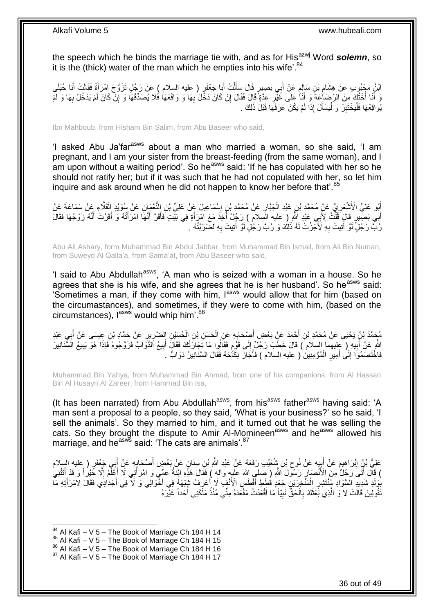the speech which he binds the marriage tie with, and as for His<sup>azwj</sup> Word **solemn**, so it is the (thick) water of the man which he empties into his wife'.<sup>84</sup>

ائِنُ مَجْبُوبِ عَنْ هِشَامِ بْنِ سَإِلِمٍ عَنْ أَبِي بَصِيرٍ قَالَ سَأَلْتُ أَبَا جَعْفَرٍ ( عليه السلام ) عَنْ رَجُلٍ تَزَوَّجَ امْرَأَةً فَقَالَتْ أَنَا حُبْلَي َ ĺ َ ٍ ; َ َ وَ أَنَا أُخْتُكَ مِنَ الرَّضَاعِةَ وَ أَنَا عَلَى غَيْرِ عِدَّةً قَالَ فِقَالَ إِنْ كَانَ دَخَّلَ رُبِهَا وَ وَاقَعَهَا فَلَا يُصَدِّقُهَا وَ إِنّْ كَانَ لَمْ يَدْخُلْ بِهَا وَ لَمْ ِ َ ابل<br>ا ِ ِ ِ ِ يُوَاقِعْهَا فَلْيَخْتَبِرْ وَ لْيَسْأَلْ إِذَا لَمْ يَكُنْ عَرَفَهَا قَبْلَ ذَلِكَ . َ Ĺ **ِ** Ĺ

Ibn Mahboub, from Hisham Bin Salim, from Abu Baseer who said,

'I asked Abu Ja'farasws about a man who married a woman, so she said, 'I am pregnant, and I am your sister from the breast-feeding (from the same woman), and I am upon without a waiting period'. So he<sup>asws</sup> said: 'If he has copulated with her so he should not ratify her; but if it was such that he had not copulated with her, so let him inquire and ask around when he did not happen to know her before that'.<sup>85</sup>

أَبُو عَلِيٍّ الْأَشْعَرِيُّ عَنْ مُحَمَّدٍ بْنِ عَبْدِ الْجَبَّارِ عَنْ مُحَمَّدٍ بْنِ إِسْمَاعِيلَ عَنْ عَلِيِّ بْنِ النُّعْمَانِ عَنْ سُوَيْدٍ الْقَلَّاءِ عَنْ سَمَاعَةَ عَنْ ِ **∶** i. ِ Ĺ أَبِي بَصِّيرٍ قَالٍَ فَلْتُ لِأَبِي عَبْدِ النَّهِ ( عليه السلام ) رَجُلٌ أُخِذَ مَعَ امْرَأَةٍ فِي بَيْتٍ فَأَقَرَّ أَنَّهُ امْرَأَتُهُ وَ أَقَرَّتْ أَنَّهُ زَوْجُهَا فَقَالَ َ َ َ ر<br>ا .<br>ا َ َ َ رَُبًّ رَجُلٍّ لَوْ أُتِيتُ بِهِ لَأَجَمِّرْتُ لَهُ ذَلِكَ وَ رُبَّ رَجُلٍۢ لَوْ أُتِيتُ بِهِ لَضَرَبْتُهُ ۗ . ِ ُ **∶** ُ

Abu Ali Ashary, form Muhammad Bin Abdul Jabbar, from Muhammad Bin Ismail, from Ali Bin Numan, from Suweyd Al Qalla'a, from Sama'at, from Abu Baseer who said,

'I said to Abu Abdullah<sup>asws</sup>, 'A man who is seized with a woman in a house. So he agrees that she is his wife, and she agrees that he is her husband'. So he<sup>asws</sup> said: 'Sometimes a man, if they come with him, lasws would allow that for him (based on the circumastances), and sometimes, if they were to come with him, (based on the circumstances),  $I^{asws}$  would whip him'. $86$ 

مُحَمَّدُ بْنُ يَحْيَى عَنْ مُحَمَّدِ بْنِ أَحْمَدَ عَنِْ بَعْضِ أَصْحَابِهِ عَنِ الْحَسَنِ بْنِ الْحُسَيْنِ الضَّرِيرِ عَنْ حَمَّادِ بْنِ عِيسَى عَنْ أَبِي عَبْدِ ِ ِ i. ĺ **∶** َ َ **∶** َ اللَّهِ عَنْ أَبِيهِ ( عِليهما السلام ) قَالَ خَطَبَ رَجُلٌ إِلَى قَوْمِ فَقَالُوا مَا تَجَارَتُكَ فَقَالَ أَبِيعُ الذَّوَابَّ فَزَوَّجُوهُ فَإِذَا هُوَ يَبِيعُ الَسَّنَانِيرَ ِ َ ֧֧֦֧֦֧֦֧֦֧֦֧֩֘֝֝֘֝֝֟֓֜֜*֓* ِ **!** ِ َ فَاخْتَصَمُوا إِلَى أَمِيرِ الْمُؤْمِنِينَ ( عليه السلام ) فَأَجَازَ نِكَاَّحَهُ فَقَالَ السَّنَانِيرُ دَوَابُّ Ĺ ِ َ ∣∣<br>∶

Muhammad Bin Yahya, from Muhammad Bin Ahmad, from one of his companions, from Al Hassan Bin Al Husayn Al Zareer, from Hammad Bin Isa,

(It has been narrated) from Abu Abdullah<sup>asws</sup>, from his<sup>asws</sup> father<sup>asws</sup> having said: 'A man sent a proposal to a people, so they said, 'What is your business?' so he said, 'I sell the animals'. So they married to him, and it turned out that he was selling the cats. So they brought the dispute to Amir Al-Momineen<sup>asws</sup> and he<sup>asws</sup> allowed his marriage, and he<sup>asws</sup> said: 'The cats are animals'. $87$ 

عَلِيُّ بْنُِ اِبْرَاهِيمَ عَنْ أَبِيهِ عَنْ نُوحِ بْنِ شُعَيْبِ رَفَعَهُ عَنْ عَبْدِ اللَّهِ بْنِ سِنَانٍ عَنْ بَعْضِ أَصْحَابِهِ عَنْ أَبِي جَعْفَرٍ ( عليه السلام َ ِ ¦ َ ِ َ ا دە ) قَالَ أَتَى رَجُلٌ مِنَ الْأَنْصَارِ رَسُولَ اللَّهِ ( صِلْمِي الله عليهِ وآله ) فَقَالَ هَذِهِ ابْنَةُ عَمِّيَ وَ امْرَأْتِي لَا أَعْلَّمُ إِلَّا خَيْراً وَ قَدْ أَتَتْنِي ا<br>ا ِ َ َ ِ َ َ ِّبُولَدٍ شَدِيدٍ الْسِّوَادِ مُنْتَشِرِ الْمُنْخِرِّيْنِ جَعْدٍ قُطِطٍ أَفْطَسٍ الْأَنْفِ لَا أُعْرِفُ شِبْهَهُ فِي أَخْوالِي وَ لَا ّفِي أَجْدَادِي فَقَالَ لِاَمْرَأَتِهِ مَا ∫<br>∶ َ Ĺ **∶** ِ َ َ َقُّولِينَ قَالَتْ لَا ۖ وَ الَّذِي بَعَثَكَ بِالْحَقُّ نَبِيّاً مَا أَقْعَدْتُ مَقْعَدَهُ مِنِّي مُنْذُ مَلَّكَنِي أَحَداً غَيْرَهُ َ َ **!** l, **∶** ٔ، اُ

1

86 Al Kafi – V 5 – The Book of Marriage Ch 184 H 16

 $84$  Al Kafi – V 5 – The Book of Marriage Ch 184 H 14

 $85$  Al Kafi – V 5 – The Book of Marriage Ch 184 H 15

 $87$  Al Kafi – V 5 – The Book of Marriage Ch 184 H 17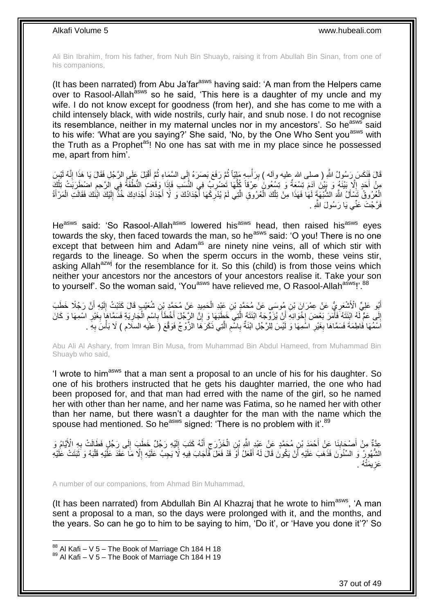Ali Bin Ibrahim, from his father, from Nuh Bin Shuayb, raising it from Abullah Bin Sinan, from one of his companions,

(It has been narrated) from Abu Ja'far<sup>asws</sup> having said: 'A man from the Helpers came over to Rasool-Allah<sup>asws</sup> so he said, 'This here is a daughter of my uncle and my wife. I do not know except for goodness (from her), and she has come to me with a child intensely black, with wide nostrils, curly hair, and snub nose. I do not recognise its resemblance, neither in my maternal uncles nor in my ancestors'. So he<sup>asws</sup> said to his wife: 'What are you saying?' She said, 'No, by the One Who Sent you<sup>asws</sup> with the Truth as a Prophet<sup>as</sup>! No one has sat with me in my place since he possessed me, apart from him'.

قَالَ فَنَكَسَ رَسُولُ اللَّهِ ( صلى الله عليه وآله ) بِرَأْسِهِ مَلِيّاً ثُمَّ رَفَعَ بَصَرَهُ إِلَى السَّمَاءِ ثُمَّ أَقْبَلَ عَلَي الرَّجُلِ فَقَالَ يَا هَذَا إِنَّهُ لَيْسَ  $\frac{1}{5}$ ان<br>المقامات المقامات المقامات المقامات المقامات المقامات المقامات المقامات المقامات المقامات المقامات المقامات<br>المقامات المقامات المقامات المقامات المقامات المقامات المقامات المقامات المقامات المقامات المقامات المقامات j ِ ِ َ ُ مِنْ أَحَدٍ إِلَاَّ بَيْنَةٍ وَ بَيْنَ آدَمَ تِسْعَةٌ وَ تِسْعُونَ كِرْقاً كُلُّهَا تَضْرِبُ فِي النَّسَبِ فَإِذَا وَقَعَتِ النُّطْفَةُ فِي الرَّحِمِ اصْطُرَبَتْ تِلْكَ **∶** ُّ ِ ĺ **ื** الْعُرُوقُ تَسَأَلُ الشَّبْهَةَ لَهَا فَهَذَا مِنْ تِلْكَ الْعُرُوقِ الَّتِي لَمْ يُدْرِكْهَا أَجْدَادُكَ وَ لَا أَجْدَادُ أَجْدَادِكَ خُذَّ إِلَيْكَ ائْنَكَ فَقَالَتِ الْمَرْأَةُ َ j ĺ َ َ َ **∶** َّ i. Ĺ َ ĺ لَ ِ فَرَّ جُتَ عَنِّي يَا رَسُولَ اللَّه

He<sup>asws</sup> said: 'So Rasool-Allah<sup>asws</sup> lowered his<sup>asws</sup> head, then raised his<sup>asws</sup> eyes towards the sky, then faced towards the man, so he<sup>asws</sup> said: 'O you! There is no one except that between him and Adam<sup>as</sup> are ninety nine veins, all of which stir with regards to the lineage. So when the sperm occurs in the womb, these veins stir, asking Allah<sup>azwj</sup> for the resemblance for it. So this (child) is from those veins which neither your ancestors nor the ancestors of your ancestors realise it. Take your son to yourself'. So the woman said, 'You<sup>asws</sup> have relieved me, O Rasool-Allah<sup>asws</sup>!'.<sup>88</sup>

أَبُو عَلِيٍّ الْأَشْعَرِيُّ عَنْ عِمْرَانَ بْنِ مُوسَى عَنْ مُحَمَّدٍ بْنِ عَبْدِ الْحَمِيدِ عَنْ مُحَمَّدٍ بْنِ شُعَيْبٍ قَالَ كَتَبْتُ إِلَيْهِ أَنَّ رَجُلًا خَطَبَ Ĺ **∶** َ لَ ِ إِلَى عَمٍّ لَهُ ابْنَتَهُ فَأَمَرَ بَعْضَ إِخْوَانِهِ أَنْ يُزَوِّجَهُ ابْنَتَهُ الَّتِي خَطَبَهَا وَ إِنَّ الزِّجُلَ أَخْطَأَ بِاسْمِ الْجَارِيَةِ فَسَمَّاهَا بِغَيْرِ اسْمِهَا وَ كَانَ  $\frac{1}{2}$ َ ِ **∶** ِ ِ  $\ddot{\phantom{0}}$ ِ **∶** َ َ ِ َّ اَسْمُهَا فَاطِمَةَ فَسَمَّاهَا بِغَيْرِ اسْمِهَا وَ لَيْسَ لِلرَّجُلِ ابْنَةٌ بِاسْمِ الَّتِي ذَكَرَهَا الزَّوْجُ فَوَقَّعَ (َ عليه السلام ) لَا بَأْسَ بِهِ َ ـ َّ ِ ِ **∶ ∶** ِ j

Abu Ali Al Ashary, from Imran Bin Musa, from Muhammad Bin Abdul Hameed, from Muhammad Bin Shuayb who said,

'I wrote to him<sup>asws</sup> that a man sent a proposal to an uncle of his for his daughter. So one of his brothers instructed that he gets his daughter married, the one who had been proposed for, and that man had erred with the name of the girl, so he named her with other than her name, and her name was Fatima, so he named her with other than her name, but there wasn't a daughter for the man with the name which the spouse had mentioned. So he<sup>asws</sup> signed: 'There is no problem with it'.<sup>89</sup>

عِدَّةٌ مِنْ أَصْحَابِذَا عِنْ أَحْمَدَ بْنِ مُحَمَّدٍ عَنْ عَبْدِ اللَّهِ بْنِ الْخَزْرَجِ أَنَّهُ كَتَبَ إِلَيْهِ رَجُلٌ خَطَبَ إِلَى رَجُلٍ فَطَالَتْ بِهِ الْأَيَّامُ وَ لَ ِ َ ِ i. **∣** َ ِ ِ الشُّهُورُ وَ السِّنُونَ فَذَهَبَ عَلَيْهِ أَنْ يَكُونَ قَالَ لَهُ أَفْعَلُ أَوَّ قَدْ فَعَلَ فَأَجَابَ فِيهِ لَا يَجِبُ عَلَيْهِ إِلَّا مَا عَقَدَ عَلَيْهِ قَلْبَهُ وَ ثَبَتَتْ عَلَيْهِ َ َ اُ َ ĺ ِ عَزِيمَتُهُ . ِ

A number of our companions, from Ahmad Bin Muhammad,

(It has been narrated) from Abdullah Bin Al Khazraj that he wrote to him<sup>asws</sup>, 'A man sent a proposal to a man, so the days were prolonged with it, and the months, and the years. So can he go to him to be saying to him, 'Do it', or 'Have you done it'?' So

 $88$  Al Kafi – V 5 – The Book of Marriage Ch 184 H 18

 $89$  Al Kafi – V 5 – The Book of Marriage Ch 184 H 19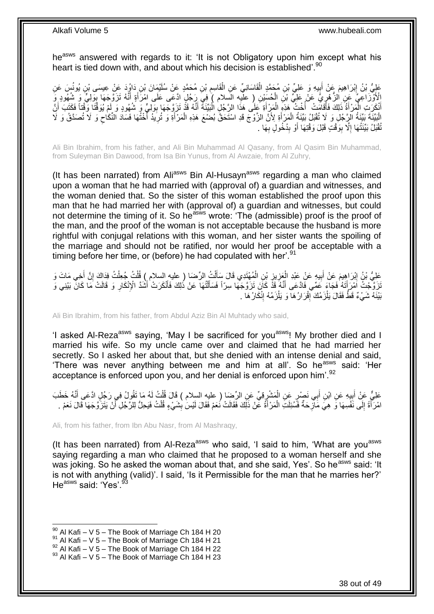he<sup>asws</sup> answered with regards to it: 'It is not Obligatory upon him except what his heart is tied down with, and about which his decision is established<sup>'.90</sup>

عَلِيُّ بْنُ إِبْرَاهِيمَ عَنْ أَبِيهِ وَ عَلِيِّ بْنِ مُحَمَّدٍ الْقَاسَانِيِّ عَنِ الْقَاسِمِ بْنِ مُحَمَّدٍ عَنْ سُلَيْمَانَ بْنِ دَاوُدَ عَنْ عِيسَى بْنِ يُونُسَ عَنِ ĺ **∣** َ ِ ِ Ĺ ُلْأُوْزَنَا عِيَّ ۚ عَنِ الزُّهْرِيُّ عَنْ عَلِيٍّ بْنِ الْحُسَنِيْنِ (ِ عَلَيْهِ السَّلامِ ) فِيَ رَجُلٍ ادَّعَى عَلَى امْرَأَةٍ أَنَّهُ تَزَوَّجَهَا بِوَلِيٍّ وَ شُهُودٍ وَ َ َ j, ∫<br>∕ ِ أَنْكَرَتِ الْمَرْأَةُ ذَلِكَ فَأَقَامَتْ ۚ أُخْتُ هَذِهِ الْمَرِّأَةِ عَلَى هَذَا الرَّجُلِ الْبَيِّنَةُ أَنَّهُ قَذْ تَزَوَّجَهَا بِوَلِيٍّ وَ شُهُودٍ وَ لَمْ يُوَقَّتَا وَقْتاً فَكَتَبَ أَنَّ َ ِ َ Ĺ َ Ĺ .<br>ا َ َ الْبَيِّنَةَ بَيِّنَةُ الْرِّجُلِ وَ لَا تُقْبَلُ بَيِّنَةُ الْمَرْأَةِ لِأَنَّ الزَّوْجَ قَدِ اسْتَحَقَّ بُضْعَ هَذِهِ الْمَرْأَةِ وَ تُرِيَدُ أَخْتُهَا فَسَادَ النِّكَاحِ وَ لَا تُصَدَّقُ وَ لَا َ .<br>ا ِ ُ ِ َ Ĺ ِّقْبَلُ بَيِّنَتُهَا إِلَّا بِوَقْتٍ قَبْلَ وَقْتِهَا أَوْ بِدُخُولٍ بِهَا . **∶ ِ** َ **∣** ِ

Ali Bin Ibrahim, from his father, and Ali Bin Muhammad Al Qasany, from Al Qasim Bin Muhammad, from Suleyman Bin Dawood, from Isa Bin Yunus, from Al Awzaie, from Al Zuhry,

(It has been narrated) from Ali<sup>asws</sup> Bin Al-Husayn<sup>asws</sup> regarding a man who claimed upon a woman that he had married with (approval of) a guardian and witnesses, and the woman denied that. So the sister of this woman established the proof upon this man that he had married her with (approval of) a guardian and witnesses, but could not determine the timing of it. So he<sup>asws</sup> wrote: 'The (admissible) proof is the proof of the man, and the proof of the woman is not acceptable because the husband is more rightful with conjugal relations with this woman, and her sister wants the spoiling of the marriage and should not be ratified, nor would her proof be acceptable with a timing before her time, or (before) he had copulated with her'.<sup>91</sup>

عَلِيُّ بْنُ إِبْرَاهِيمَ عَنْ أَبِيهِ عَنْ عَبْدِ الْعَزِيزِ بْنِ الْمُهْتَدِي قَالَ سَأَلْتُ الرِّصَا ( عليه السلام ) قُلْتُ جُعِلْتُ فِرَاكَ إِنَّ أُخِي مَاتَ وَ Ĺ í. َ Ĺ ¦ ِ  $\ddot{\phantom{0}}$ **!** َ ِ َ ِ Ĺ َتَزَوَّجْتُ اَمْرَأَتَهُ فَجَاءَ عَمِّي فَادَّعَى أَنَّهُ قَذَّ كَانَ تَزَوَّجَهَا سِرّاً فَسَأَلْتُهَا عَنْ ذُلِكَ فَأَنْكَرَتْ أَشَدَّ الْإِنْكَارِ وَ قَالَتْ مَا كَانَّ بَيْنِي وَ<br>. َ َ Ĺ َ َ َ ِ بَيْنَهُ شَيْءٌ قَطَّ فَقَالَ يَلْزَمُكَ ۚ إِقْرَارُ هَا ۖ وَ يَلْزَمُهُ إِنْكَارُ هَا ۚ . ِ i<br>F ِ ۱.<br>۳

Ali Bin Ibrahim, from his father, from Abdul Aziz Bin Al Muhtady who said,

'I asked Al-Reza<sup>asws</sup> saying, 'May I be sacrificed for you<sup>asws</sup>! My brother died and I married his wife. So my uncle came over and claimed that he had married her secretly. So I asked her about that, but she denied with an intense denial and said, 'There was never anything between me and him at all'. So he<sup>asws</sup> said: 'Her acceptance is enforced upon you, and her denial is enforced upon him'.<sup>92</sup>

عَلِيٌّ عَنْ أَبِيهِ عَنِ ابْنِ أَبِي نَصِيْرٍ عَنِ الْمَشْرِقِيِّ عَنِ الرِّضَا ( عليه السلام ) قَالَ قُلْتُ لَهُ مَا تَقُولُ فِي رَجُلٍ ادَّعَى أَنَّهُ خَطَبَ َ ِ َ ĺ ِ Ĺ امْرَآَةً إِلَى نَفْسِهَا وَ هِيَ مَازِّحَةٌ فَسُئِلَتِ الْمَرْأَةُ عَنْ ذَلِكَ فَقَالَتْ نُعَمْ فَقَالَ لَيْسَٰ بِشَيْءٍ قُلْتُ فَيَحِلُّ لِلرَّجُلِ آَنْ يَتَزَوَّجَهَا قَالَ نَعَمْ . ِ َ Ĺ ِ  $\frac{1}{2}$ َ Ĺ أ

Ali, from his father, from Ibn Abu Nasr, from Al Mashraqy,

(It has been narrated) from Al-Reza<sup>asws</sup> who said, 'I said to him, 'What are you<sup>asws</sup> saying regarding a man who claimed that he proposed to a woman herself and she was joking. So he asked the woman about that, and she said, Yes'. So he<sup>asws</sup> said: 'It is not with anything (valid)'. I said, 'Is it Permissible for the man that he marries her?' He<sup>asws</sup> said: 'Yes'.<sup>9</sup>

1

 $^{92}$  Al Kafi – V 5 – The Book of Marriage Ch 184 H 22

 $90$  Al Kafi – V 5 – The Book of Marriage Ch 184 H 20

 $91$  Al Kafi – V 5 – The Book of Marriage Ch 184 H 21

 $93$  Al Kafi – V 5 – The Book of Marriage Ch 184 H 23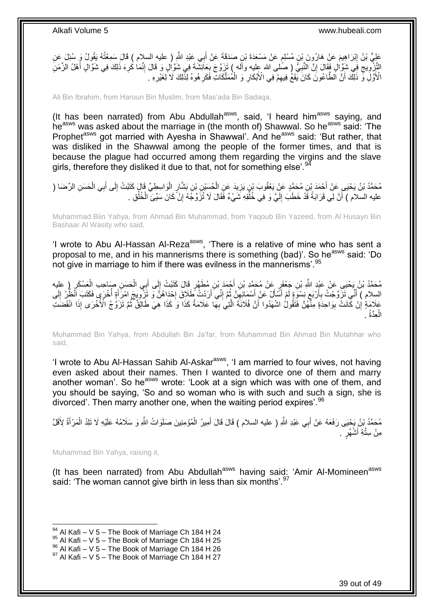عَلِيُّ بْنُ إِبْرَاهِيمَ عَنْ هَارُونَ بِنْ مُسْلِمٍ عَنْ مَسْعَدَةَ بْنِ صَدَقَةَ عَنْ أَبِي عَبْدِ اللَّهِ ( عليه السلام ) قَالَ سَمِعْتُهُ يَقُولُ وَ سُئِلَ عَنِ ِ َ م التَّزْوِيجِ فِي شَوَّالٍ فَقَالَ إِنَّ النَّبِيُّ ( صَلْمِى الله عليه وأَله ) نَزِرَّق جَ بِعَائِشَةَ فِي شَوَّالٍ وَ قَالَ إِنَّمَا كُرِهَ ذَلِكَ فِي شَوَّالٍ أَهْلُ الزَّمَنِ ِ ِ ِ ِ ِ **∶** ِ َ الْأَوَّلِ وَّ ذَلِّكَ أَنَّ الطَّاعُونَ كَانَ يَقَعُ فِيهِمْ فِي الْأَبْكَارِ وَ الْمُمَلَّكَاتِ فَكَرِ هُوهُ لِذَلِكَ لَا لِغَيْرِهِ . ِ َّ  $\ddot{\phantom{0}}$ ِ ِ َ ِ

Ali Bin Ibrahim, from Haroun Bin Muslim, from Mas'ada Bin Sadaqa,

(It has been narrated) from Abu Abdullah<sup>asws</sup>, said, 'I heard him<sup>asws</sup> saying, and heasws was asked about the marriage in (the month of) Shawwal. So he<sup>asws</sup> said: 'The Prophet<sup>asws</sup> got married with Ayesha in Shawwal'. And he<sup>asws</sup> said: 'But rather, that was disliked in the Shawwal among the people of the former times, and that is because the plague had occurred among them regarding the virgins and the slave girls, therefore they disliked it due to that, not for something else'.<sup>94</sup>

مُحَمَّدُ بْنُ يَحْيَى عَنْ أَحْمَدَ بْنِ مُحَمَّدٍ عَنِْ يَعْقُوبَ بْنِ يَزِيدَ عَنِ الْحُسَنِ الْحُسَنِ وَبِ<br>مُحَمَّدُ بْنُ يَحْيَى عَنْ أَحْمَدَ بْنِ مُحَمَّدٍ عَنِْ يَعْقُوبَ بْنِ يَزِيدَ عَنِ الْحُسَنِةِ بْنِ بَشَارٍ ĺ َ ِ ĺ ĺ **∶** عليه السلام ) أَنَّ لِي قَرَابَةً قَّدْ خَطَبَ إِلَيَّ وَ فِي خُلُّقِهِ شَيْءٌ فَقَالَ لَا تُزَوِّجُهُ إِنْ كَانَ سَبِّئَ الْخُلُقِ . ُ لَ  $\frac{1}{2}$ اُ ُ ĺ ِ

Muhammad Biin Yahya, from Ahmad Bin Muhammad, from Yaqoub Bin Yazeed, from Al Husayn Bin Bashaar Al Wasity who said,

'I wrote to Abu Al-Hassan Al-Reza<sup>asws</sup>, 'There is a relative of mine who has sent a proposal to me, and in his mannerisms there is something (bad)'. So he<sup>asws</sup> said: 'Do not give in marriage to him if there was evilness in the mannerisms'. <sup>95</sup>

ِ مُحَمَّدُ بْنُ يَحْيَى عَنْ عَبْدِ اللَّهِ بْنِ جَعْفَرٍ عَنْ مُحَمَّدِ بْنِ أَحْمَدَ بْنِ مُطَهَّرٍ قَالَ كَتَبْتُ إِلَى أَبِي الْحَسَنِ صَاحِبِ الْعَسْكَرِ ( عليه<br>. َ ِ ِ ĺ ĺ السِلام ) أَنَّي تَزَوَّجْتُ بِأَرْبَعٍ نِسْوَةٍ لَمْ أَسَّأَلْ عَنْ أَسْمَائِهِنَّ ثُمَّ إِنِّي أَرَدْتُ أَطَلاقَ إِحْدَاهُنَّ وَ تَزَوِّبِيجَ امْرَأَةٍ أُخْرَى فَكَتَبَ اَنْظُرْ إِلَى **∶** َ ِ ُ ِ َ َ ِ اُ ِ لَ ِ ُ َ ِ عَلَامَةٍ إِنْ كَانَتٌ بِوَاحِذَةٍ مِنْهُنَّ فَتَقُولُ اشْهَدُوا أَنَّ فُلَانَةً الَّتِي بِهَا عَلَامَةُ كَذَا وَ كَذَا هِيَ طَالِقٌ ثُمَّ تَزَوَّجُ الْأُخْرَى إِذَا انْقَضَتَ َ ِ ِ ا<br>ا ِ َّ الْعِدَّةُ . l,

Muhammad Bin Yahya, from Abdullah Bin Ja'far, from Muhammad Bin Ahmad Bin Mutahhar who said,

'I wrote to Abu Al-Hassan Sahib Al-Askar<sup>asws</sup>, 'I am married to four wives, not having even asked about their names. Then I wanted to divorce one of them and marry another woman'. So he<sup>asws</sup> wrote: 'Look at a sign which was with one of them, and you should be saying, 'So and so woman who is with such and such a sign, she is divorced'. Then marry another one, when the waiting period expires'.<sup>96</sup>

مُحَمَّدُ بِْنُ يَجْيَى رَفَعَهُ عَنْ أَبِي عَبْدِ اللَّهِ ( عليه السلام ) قَالَ قَالَ أَمِيرُ الْمُؤْمِنِينَ صَلَوَاتُ اللَّهِ وَ سَلَامُهُ عَلَيْهِ لَا تَلِدُ الْمَرْأَةُ لِأَقَلَّ ĺ َ َ َ ĺ مِنْ سِتَّةِ أَشْهُرٍ . َ

Muhammad Bin Yahya, raising it,

1

(It has been narrated) from Abu Abdullah<sup>asws</sup> having said: 'Amir Al-Momineen<sup>asws</sup> said: 'The woman cannot give birth in less than six months'.<sup>97</sup>

 $94$  Al Kafi – V 5 – The Book of Marriage Ch 184 H 24

 $95$  Al Kafi – V 5 – The Book of Marriage Ch 184 H 25

<sup>96</sup> Al Kafi – V 5 – The Book of Marriage Ch 184 H 26

 $97$  Al Kafi – V 5 – The Book of Marriage Ch 184 H 27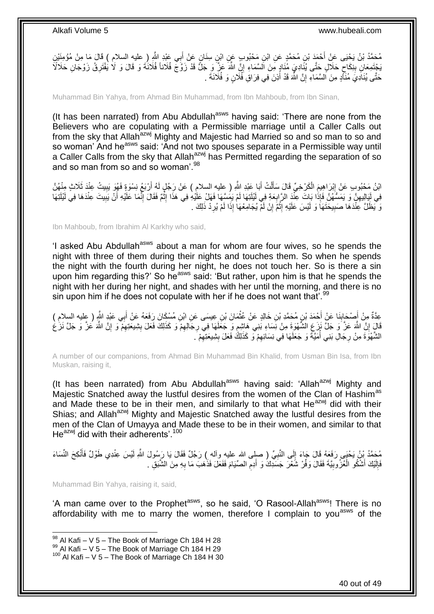مُحَمَّدُ بْنُ يَحْيَى عَنْ أَحْمَدَ بْنِ مُحَمَّدٍ عَنِ ابْنِ مَحْبُوبٍ عَنٍ ابْنِ سِنَانٍ عَنْ أَبِي عَبْدِ اللَّهِ (ِ عليه السلام ) قَالَ مَا مِنْ مُؤْمِنَيْنِ ا<br>ا َ بَجْتَمِعَانِ بِنِكَاحٍ حَلَالٍ خَتَّى يُنَادِيَ مُنَادٍ مِنَ اَلسَّمَاءِ إِنَّ اللَّهَ عَزَّ وَ جَلَّ قَدْ زَوَّجَ فُلَاناً فُلَانَٰهُ وَ قَالَ وَ لَا يُفْتَرِقُ زَوْجَانِ حَلَالَاَ ∣l<br>∶ ٍ **!** ِ حَتَّى يُنَادِيَ مُنَأَّدٍ مِنَ اُلسَّمَاءِ إِنَّ اللَّهَ قَدْ أَذِنَ فِي فِرَاقِ فُلَانٍ وَ فُلَانَةَ . َ יֲ<br>י

Muhammad Bin Yahya, from Ahmad Bin Muhammad, from Ibn Mahboub, from Ibn Sinan,

(It has been narrated) from Abu Abdullah<sup>asws</sup> having said: 'There are none from the Believers who are copulating with a Permissible marriage until a Caller Calls out from the sky that Allah<sup>azwj</sup> Mighty and Majestic had Married so and so man to so and so woman' And he<sup>asws</sup> said: 'And not two spouses separate in a Permissible way until a Caller Calls from the sky that Allah<sup>azwj</sup> has Permitted regarding the separation of so and so man from so and so woman<sup>'98</sup>

ابْنُ مَحْبُوبِ عَنْ إِبْرَاهِيمَ الْكَرْخِيِّ قَالَ سَأَلْتُ أَبَا عَبْدِ اللَّهِ ( عليه السلام ) عَنْ رَجُلٍ لَهُ أَرْبَعُ نِسْوَةٍ فَهُوَ يَبِيتُ عِنْدَ ثَلَاثٍ مِنْهُنَّ َ Ĺ َ į ِ ِ َ فِي لَيَالِدِهِنَّ وَ يَمَسُّهُنَّ فَإِذَا بَاتَ عِنْدَ الرَّابِعَةِ فِي لَيْلَتِهَا لَمْ يَضِيَّهَا فَهَلْ عَلْيُهِ فِي هَذَا إِثْمٌ فَقَالَ إِنَّمَا عَلَيْهِ أَنْ يَبِيتَ عِنْدَهَا فِي لَيْلَتِهَا **∶** ِ َ ِ  $\ddot{\phantom{a}}$ ِ ِ وَ يَظَلَّ عِنْدَهَا صَبِيحَتَهَا وَ لَيْسَ عَلَيْهِ إِثْمٌ إِنْ لَمْ يُجَامِعُهَا إِذَا لَمْ يُرِدْ ذَلِكَ . ِ יִי,  $\ddot{\phantom{0}}$ ِ ِ

Ibn Mahboub, from Ibrahim Al Karkhy who said,

'I asked Abu Abdullah<sup>asws</sup> about a man for whom are four wives, so he spends the night with three of them during their nights and touches them. So when he spends the night with the fourth during her night, he does not touch her. So is there a sin upon him regarding this?' So he<sup>asws</sup> said: 'But rather, upon him is that he spends the night with her during her night, and shades with her until the morning, and there is no sin upon him if he does not copulate with her if he does not want that'.<sup>99</sup>

عِدَّةٌ مِنْ أَصْحَابِنَا عَنْ أَحْمَدَ بْنِ مُحَمَّدِ بْنِ خَالِدٍ عَنْ عُثْمَانَ بْنِ عِيسَى عَنِ ابْنِ مُسْكَانَ رَفَعَهُ عَنْ أَبِي عَبْدٍ النَّهِ ( عِليه السلامِ )<br>ِ  $\ddot{\phantom{0}}$ َ ِ َ َ قَالٍَ إِنَّ اللَّهَ عَزَّ وَ جَلَّ نَزِعِ الشَّهْوَةِ مِنْ نِسَاءِ بَنِي هَاشِمٍ وَ جَعَلَهَا فِي رِجَالِهِمْ وَ كَذَلِكَ فَعَلَ بِشِيعَتِهِمْ وَ إِنَّ اللَّهَ عَزَّ وَ جَلَّ نَزِّعُ ِ ِ ٍ <u>֖֚֚֚֚֚֚֚֓</u> ِ ِ ِ الشَّهْوَةَ مِنْ رِجَالِ بَنِي أُمَيَّةً وَ جَعَلَهَا فِي نِسَائِهِمْ وَ كَذَلِكَ فَعَلَ بِشِيعَتِهِمْ َ. ِ **!** ِ ا<br>ا **∶** 

A number of our companions, from Ahmad Bin Muhammad Bin Khalid, from Usman Bin Isa, from Ibn Muskan, raising it,

(It has been narrated) from Abu Abdullah<sup>asws</sup> having said: 'Allah<sup>azwj</sup> Mighty and Majestic Snatched away the lustful desires from the women of the Clan of Hashim<sup>as</sup> and Made these to be in their men, and similarly to that what He<sup>azwj</sup> did with their Shias; and Allah<sup>azwj</sup> Mighty and Majestic Snatched away the lustful desires from the men of the Clan of Umayya and Made these to be in their women, and similar to that  $He^{azwj}$  did with their adherents'.<sup>100</sup>

مُحَمَّدُ بْنُ يَحْيَى رَفَعَهُ قَالَ جَاءَ إِلَى النَّبِيِّ ( صلِي الله عليه وأله ) رَجُلٌ فَقَالَ يَا رَسُولَ اللهِ لَيْسَ عِنْدِي طَوْلٌ فَأَنْكِحَ النِّسَاءَ ِ  $\frac{1}{2}$ َ فَإِلَيْكَ أَشْكُو الْعُزُوبِيَّةَ فَقَالَ وَفَّرْ شَعْرَ جَسَدِكَ وَ أَدِمِ الصِّيَامَ فَفَعَلَ فَذَهَبَ مَا بِهِ مِنَ الشَّبَقِ . **∶** ِ َ ِ j َ لَ ן<br>י

Muhammad Bin Yahya, raising it, said,

1

'A man came over to the Prophet<sup>asws</sup>, so he said, 'O Rasool-Allah<sup>asws</sup>! There is no affordability with me to marry the women, therefore I complain to vou<sup>asws</sup> of the

 $98$  Al Kafi – V 5 – The Book of Marriage Ch 184 H 28

 $99$  Al Kafi – V 5 – The Book of Marriage Ch 184 H 29

 $100$  Al Kafi – V 5 – The Book of Marriage Ch 184 H 30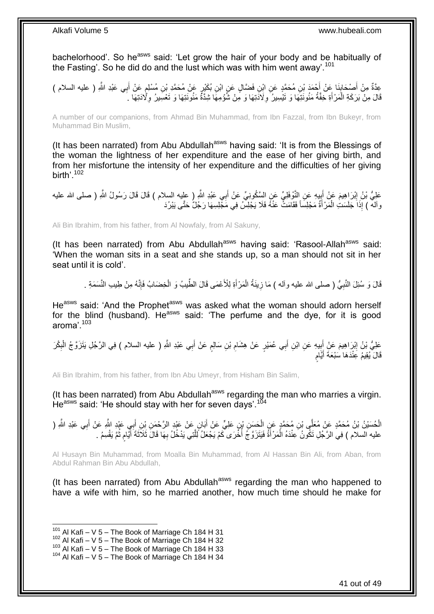bachelorhood'. So he<sup>asws</sup> said: 'Let grow the hair of your body and be habitually of the Fasting'. So he did do and the lust which was with him went away'.<sup>101</sup>

عِدَّةٌ مِنْ أَصِحَابِنَا عَنْ أَحْمَدَ بْنِ مُحَمَّدٍ عَنِ ابْنِ فَضَّالٍ عَنِ ابْنِ بُكَيْرٍ عَنْ مُحَمَّدِ بْنِ مُسْلِمٍ عَنْ أَبِي عَبْدِ اللَّهِ ( عليه السلام ) ֧֩֘׆֧ َ ِ َ َ قَالَ مِنْ بَرَكَةِ الْمَرْأَةِ خِفَّةُ مَئُونَتِهَا وَ تَيْسِيرُ وِلَادَتِهَا وَ مِنْ شُؤْمِهَا شِدَّةً مَئُونَتِهَا وَ تَعْسِيرُ وِلِّادَتِهَا ۚ َ 1 ِ **∶** 

A number of our companions, from Ahmad Bin Muhammad, from Ibn Fazzal, from Ibn Bukeyr, from Muhammad Bin Muslim,

(It has been narrated) from Abu Abdullah<sup>asws</sup> having said: 'It is from the Blessings of the woman the lightness of her expenditure and the ease of her giving birth, and from her misfortune the intensity of her expenditure and the difficulties of her giving birth'.<sup>102</sup>

عَلِيُّ بْنُ إِبْرَاهِيمَ عَنْ أَبِيهِ عَنِ النَّوْفَلِيِّ عَنِ السَّكُونِيِّ عَنْ أَبِي عَبْدِ اللَّهِ ( عليه<br>عَلِيُّ بْنُ إِبْرَاهِيمَ عَنْ أَبِيهِ عَنِ النَّوْفَلِيِّ عَنِ السَّكُونِيِّ عَنْ أَبِي عَبْدِ اللَّهِ ( عليه َ ِ َ وآله ) إِذَا جَلَسَتِ الْمَرْأَةُ مَجْلِسَاً فَقَامَتْ عَنْهُ فَلَا يَجْلِسُ فِي مََجْلِسِهَا رَجُلٌ حَتَّى يَبْرُدَ َ j,

Ali Bin Ibrahim, from his father, from Al Nowfaly, from Al Sakuny,

(It has been narrated) from Abu Abdullah<sup>asws</sup> having said: 'Rasool-Allah<sup>asws</sup> said: 'When the woman sits in a seat and she stands up, so a man should not sit in her seat until it is cold'.

قَالَ وَ سُئِلَ النَّبِيُّ ( صلى الله عليه وآله ) مَا زِينَةُ الْمَرْ أَةِ لِلْأَعْمَى قَالَ الطِّيبُ وَ الْخِضَابُ فَإِنَّهُ مِنْ طِيبِ النَّسَمَةِ . ا∣<br>ِ∘ِ ĺ َ  $\ddot{\phantom{0}}$ ِ ِ

He<sup>asws</sup> said: 'And the Prophet<sup>asws</sup> was asked what the woman should adorn herself for the blind (husband). He<sup>asws</sup> said: 'The perfume and the dye, for it is good aroma'.<sup>103</sup>

عَلِيُّ بْنُ إِبْرَاهِيمَ عَنْ إِبِيهِ عَنِ ابْنِ أَبِي عُمَيْرٍ عَنْ هِشَامِ بْنِ سَالِمٍ عَنْ أَبِي عَبْدِ اللَّهِ ( عليه السلام ) فِي الرَّجُلِ يَتَزَوَّجُ الْبِكْرَ َ ֧֖֖֚֚֚֓֝֬֝ ِ **!** َ ِ ِ ĺ قَالَ يُقِيمُ عِنْدَهَا سَبْعَةَ أَيَّامِ ٍ َ

Ali Bin Ibrahim, from his father, from Ibn Abu Umeyr, from Hisham Bin Salim,

(It has been narrated) from Abu Abdullah $a<sup>asws</sup>$  regarding the man who marries a virgin. He<sup>asws</sup> said: 'He should stay with her for seven days'.<sup>104</sup>

الْحُسَيْنُ بْنُ مُحَمَّدٍ عَنْ مُعَلِّي بْنِ مُحَمَّدٍ عَنِ الْحَسَنِ بْنِ عَلِيٍّ عَنْ أَبَانٍ عَنْ عَيْدِ الرَّحْمَنِ بِْنِ أَبِي عَيْدِ اللَّهِ ( الشَّعر الرَّحْمَنِ بِنِ أَبِي عَيْدِ اللَّهِ ( النَّهر الشَّعر المَّذ j َ َ  $\ddot{\phantom{0}}$ َ عليه السلام ) فِي الرَّجُلِ تَكُّونُ عِنْدَهُ الْمَرْأَةُ فَيَتَزَوَّجُ أُخَّرَى كَمْ يَجْعَلُ لِّلَّتِي يَدْخُلُ بِهَا قَالَ ثَلَاَثَةَ أَيُّامٍ ثُمَّ يَقْسِمُ . َّ :<br>ا  $\ddot{\phantom{0}}$ َ ِ

Al Husayn Bin Muhammad, from Moalla Bin Muhammad, from Al Hassan Bin Ali, from Aban, from Abdul Rahman Bin Abu Abdullah,

(It has been narrated) from Abu Abdullah<sup>asws</sup> regarding the man who happened to have a wife with him, so he married another, how much time should he make for

 $101$  Al Kafi – V 5 – The Book of Marriage Ch 184 H 31

 $102$  Al Kafi – V 5 – The Book of Marriage Ch 184 H 32

 $103$  Al Kafi – V 5 – The Book of Marriage Ch 184 H 33

 $104$  Al Kafi – V 5 – The Book of Marriage Ch 184 H 34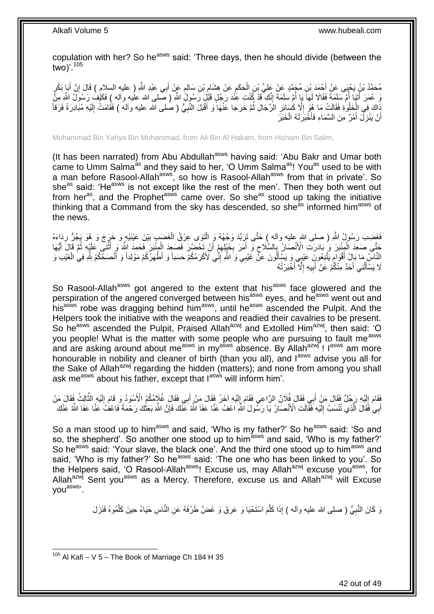copulation with her? So he<sup>asws</sup> said: 'Three days, then he should divide (between the two)'.<sup>105</sup>

ِ مُحَمَّدُ بْنُ يَحْيَى عَنْ أَحْمَدَ بْنِ مُجَمَّدٍ عَنْ عَلِيٍّ بْنِ الْحَكَمِ عَنْ هِشَامٍ بْنِ سَالِمٍ عَنْ أَبِي عَبْدِ اللَّهِ ( عليه السلام ) قَالَ إِنَّ أَبَإٍ بَكْرٍ ĺ َ ِ َ ٍ ֖֖֦֧֖֪֧֧ׅ֚֚֚֚֚֚֚֚֚֚֚֚֚֚֚֝֝֝֝֝֝֓֝֓֕֝֬֝֝֟֓֟֓֟֓֟֓֡֟֓֡֟֓֡֟֝֬֝֓֜֟ وَ عُمَرَ أَتَيَا أُمَّ سَلِمَةً فَقَالَا لَمَاً يَا أُمَّ سَلَمَةً إِنَّكِ ۖ قَدْ كُنْتِ عِنْٰدَ رَجُلٍ قَبْلِ رَسُولٌ اللَّهِ رَسُولٌ إِسلام عليه وآله ) فَكَيْف رَسُولٌ اللَّهِ مِنَّ ِ ان<br>ا ُ ذَاكَ فِي الْخَلْوَةِ فَقَالَتْ مَا هُوَ إِلَّا كَسَائِرِ الرِّجَالِ ثُمَّ خَرَجَا عَنْهَا وَ أَقْبَلَ النَّبِيُّ ( صلى الله عليه وآله ) فَقَامَتْ إِلَيْهِ مُبَادِرَةً فَرَقاً<br>نَبِّ وَجَبَ أَيْضَائِفَ اللَّهِ مُبَادِرَةً ِ َ ُ ِ ِ ا.<br>ا l, أَنْ يَنْزِلَ أَمْرٌ مِنَ السَّمَاءِ فَأَخْبَرَتْهُ الْخَبَرَ  $\ddot{\phantom{0}}$ َ َ ِ اً

Muhammad Bin Yahya Bin Muhammad, from Ali Bin Al Hakam, from Hisham Bin Salim,

(It has been narrated) from Abu Abdullah<sup>asws</sup> having said: 'Abu Bakr and Umar both came to Umm Salma<sup>as</sup> and they said to her, 'O Umm Salma<sup>as</sup>! You<sup>as</sup> used to be with a man before Rasool-Allah<sup>asws</sup>, so how is Rasool-Allah<sup>asws</sup> from that in private'. So she<sup>as</sup> said: 'He<sup>asws</sup> is not except like the rest of the men'. Then they both went out from her<sup>as</sup>, and the Prophet<sup>asws</sup> came over. So she<sup>as</sup> stood up taking the initiative thinking that a Command from the sky has descended, so she<sup>as</sup> informed him<sup>asws</sup> of the news.

فَغِضِبَ رَسُولُ اللَّهِ ( صلى الله ِعليه وأله ) حَتَّى تَرَبَّدَ وَجْهُهُ وَ الْتَوَى عِرْقُ الْغَضَبِ بَيْنَ عَيْنَيْهِ وَ خَرَجَ وَ هُوَ يَجُرُّ رِدَاءَهُ ĺ ِ حَتَّى صَعِدَ الْمِنْبَرَ وَ بَادَرَتِ الْأَنْصَالُ بِالسَّلَاحِ وَ أَمَرَ بِخَيْلِهِمْ أَنْ تَحْضُرَ فَصَعِدَ الْمِنْبَرَ فَحَمِدَ اللَّهَ وَ أَثْنَى عَلَيْهِ ثُمَّ قَالَ أَيُّهَا Ĺ ì َ ĺ َ ِ **∶** َ ِ ِ َ ر<br>: النَّاسِ مَا بَإِلُ أَقْوَامٍ يَتَّبِعُونَ عَيْبِي وَ يَسْأَلُونَ عَنْ غَيْبِي وَ اللَّهِ إِنِّي لَأَكْرَمُكُمْ حَسَباً وَ أَطْهَرُكُمْ مَوْلِداً وَ أَنْصَحْكُمْ شَوْفِي الْغَيْبِ وَ ِ َ ِ ٍ ĺ َ لَا يَسْأَلُنِي أَحَدٌ مِنْكُمْ عََنْ أَبِيهِ إِلَّا أَخْبَرْتُهُ َ ِ **!** َ ُ َ

So Rasool-Allah<sup>asws</sup> got angered to the extent that his<sup>asws</sup> face glowered and the perspiration of the angered converged between his<sup>asws</sup> eyes, and he<sup>asws</sup> went out and hisasws robe was dragging behind him<sup>asws</sup>, until he<sup>asws</sup> ascended the Pulpit. And the Helpers took the initiative with the weapons and readied their cavalries to be present. So he<sup>asws</sup> ascended the Pulpit, Praised Allah<sup>azwj</sup> and Extolled Him<sup>azwj</sup>, then said: 'O you people! What is the matter with some people who are pursuing to fault me<sup>asws</sup> and are asking around about me<sup>asws</sup> in my<sup>asws</sup> absence. By Allah<sup>azwj</sup> ! I<sup>asws</sup> am more honourable in nobility and cleaner of birth (than you all), and  $I<sup>asws</sup>$  advise you all for the Sake of Allah<sup>azwj</sup> regarding the hidden (matters); and none from among you shall ask me<sup>asws</sup> about his father, except that lasws will inform him'.

فَقَامَ إِلَيْهِ رَجُلٌ فَقَالَ مَنْ أَبِي فَقَالَ فُلَانٌ الرَّاعِي فَقَامَ إِلَيْهِ آخَرُ فَقَالَ مَنْ أَبِي فَقَالَ غُلَامُكُمُ الْأَسْوَدُ وَ قَامَ إِلَيْهِ الثَّالِثُ فَقَالَ مَنْ لَ ِ َّ لَ ِ َ لَ ِ أَبِي فَقَالَ الَّذِي تُنْسَبُ إِلَّذِهِ فَقِّالَتِ الْأَنْصَارُ يَا رَسُّولَ الثَّهِ اعْفُ عَذَّا عَفَا الَّئَهُ عَنَّكَ فَإِنَّ الثَّهَ بَعَثُكَ رَحْمَةً فَاعْفُ عَنَّا عَفَا اللَّهُ عَنْكَ ∣ٍ إ لَ ِ َّ َ َ

So a man stood up to him<sup>asws</sup> and said, 'Who is my father?' So he<sup>asws</sup> said: 'So and so, the shepherd'. So another one stood up to him<sup>asws</sup> and said, 'Who is my father?' So he<sup>asws</sup> said: 'Your slave, the black one'. And the third one stood up to him<sup>asws</sup> and said, 'Who is my father?' So he<sup>asws</sup> said: 'The one who has been linked to you'. So the Helpers said, 'O Rasool-Allah<sup>asws</sup>! Excuse us, may Allah<sup>azwj</sup> excuse you<sup>asws</sup>, for Allah<sup>azwj</sup> Sent you<sup>asws</sup> as a Mercy. Therefore, excuse us and Allah<sup>azwj</sup> will Excuse youasws'.

> وَ كَانَ النَّبِيُّ ( صلى الله عليه وأله ) إِذَا كَلَّمَ اسْتَحْيَا وَ عَرِقَ وَ غَضَّ طَرْفَهُ عَنِ النَّاسِ حَيَاءً حِينَ كَلَّمُوهُ فَنَزَلَ **ٍ** َّ ِ َّ

<sup>1</sup>  $105$  Al Kafi – V 5 – The Book of Marriage Ch 184 H 35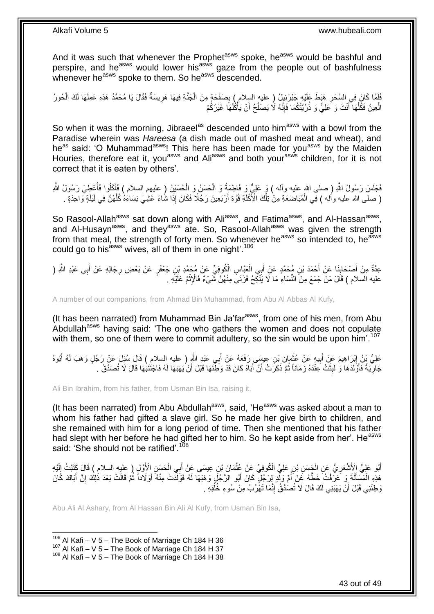And it was such that whenever the Prophet<sup>asws</sup> spoke, he<sup>asws</sup> would be bashful and perspire, and he<sup>asws</sup> would lower his<sup>asws</sup> gaze from the people out of bashfulness whenever he<sup>asws</sup> spoke to them. So he<sup>asws</sup> descended.

فَلَمَّا كَانَ فِي السَّحَرِ هَبَطَ عَلَيْهِ جَبْرَئِيلُ ( عليه السِلام ) بِصَفْحَةٍ مِنَ الْجَنَّةِ فِيهَا هَرِيسَةٌ فَقَالَ يَا مُحَمَّدُ هَذِهِ عَمِلَهَا لَكَ الْحُورُ ِ ِ ĺ ِ  $\overline{\phantom{a}}$ الْعِينُ فَكُلْهَا أَنْتَ وَ عَلِيٌّ وَ ذُرِّيَّتُكُمَا فَإِنَّهُ لَا يَصْلُحُ أَنْ يَأْكُلُهَا غَيْرُكُمْ j ُ ∣اٍ<br>∶ َ l, l,

So when it was the morning, Jibraeel<sup>as</sup> descended unto him<sup>asws</sup> with a bowl from the Paradise wherein was *Hareesa* (a dish made out of mashed meat and wheat), and he<sup>as</sup> said: 'O Muhammad<sup>asws</sup>! This here has been made for you<sup>asws</sup> by the Maiden Houries, therefore eat it, you<sup>asws</sup> and Ali<sup>asws</sup> and both your<sup>asws</sup> children, for it is not correct that it is eaten by others'.

ُ فَجَلَسَ رَسُولُ اللَّهِ ( صلى الله عليه وأله ) وَ عَلِيٌّ وَ فَاطِمَةُ وَ الْحَسَنُ وَ الْحُسَيْنُ ( عليهم السلام ) فَأَكْلُوا فَأُعْطِيَ رَسُولُ اللَّهِ َ  $\ddot{\phantom{0}}$ ĺ ُ ( صلَّى الله عليه وأَله ) فِي الْمُبَاضَعَةِ مِنْ نِلْكَ الْأَكْلَةِ قُوَّةَ أَرْبَعِينَ رَجُلًا فَكَانَ إِذَا شُاءَ غَشِٰيَ نِسَاءُهُ كُلَّهُنَّ فِي لَيْلَةٍ وَاحِدَةٍ . ĺ Ĺ َّ اُ لَ

So Rasool-Allah<sup>asws</sup> sat down along with Ali<sup>asws</sup>, and Fatima<sup>asws</sup>, and Al-Hassan<sup>asws</sup>, and Al-Husayn<sup>asws</sup>, and they<sup>asws</sup> ate. So, Rasool-Allah<sup>asws</sup> was given the strength from that meal, the strength of forty men. So whenever he<sup>asws</sup> so intended to, he<sup>asws</sup> could go to his<sup>asws</sup> wives, all of them in one night'.<sup>106</sup>

عِدَّةٌ مِنْ أَصْحَابِنَا عَنْ أَحْمَدَ بْنِ مُحَمَّدٍ عَنْ أَبِي الْعَذِّاسِ الْمُوفِيِّ عَنْ مُحَمَّدٍ بْنِ جَعْفَرٍ عَنْ بَعْضِ رِجَالِهِ عَنْ أَبِي عَبْدِ اللَّهِ (  $\ddot{\phantom{0}}$ َ َ ِ َ ِ عليه السلام ) قَالَ مَنْ جَمَعَ مِنَ النِّسَاءِ مَا لَا يَنْكِحُ فَزَنَىَ مِنْهُنَّ شَيْءٌ فَالْإِثْمُ عَلَيْهِ .  $\ddot{\phantom{0}}$ 

A number of our companions, from Ahmad Bin Muhammad, from Abu Al Abbas Al Kufy,

(It has been narrated) from Muhammad Bin Ja'far<sup>asws</sup>, from one of his men, from Abu Abdullah<sup>asws</sup> having said: 'The one who gathers the women and does not copulate with them, so one of them were to commit adultery, so the sin would be upon him'.<sup>107</sup>

عَلِيُّ بِنُ إِبْرَاهِيمَ عَنْ أَبِيهِ عَنْ غُثُمَانَ بِنِ عِيسَى رَفَعَهُ عَنْ أَبِي عَنْدِ اللَّهِ ( عليه السلام ) قَالَ سُئِلَ عَنْ رَجُلٍ وَهَبَ لَهُ أَبُوهُ<br>- يَسَمِّئُ بِأَسْرَةٍ مِنْ أَبِيهِ عَنْ غُثُمُونَ بِنِ عَبَ َ  $\ddot{\phantom{0}}$ ِ َ ِ َ جَارِيَةً فَأَوَّلَدَهَا وَ لَبِثَتْ عِنْدَهُ زَمَاناً ثُمَّ ذَكَرَتْ أَنَّ أَبَاهُ كَانَ قَدْ وَطِّئَهَا قَبْلَ أَنْ يَهَبَهَا لَهُ فَاجْتَنَبُهَا قَالَ لَا تُصَدَّقُ . َ ُ **ِ** َ ِ َ

Ali Bin Ibrahim, from his father, from Usman Bin Isa, raising it,

(It has been narrated) from Abu Abdullah<sup>asws</sup>, said, 'He<sup>asws</sup> was asked about a man to whom his father had gifted a slave girl. So he made her give birth to children, and she remained with him for a long period of time. Then she mentioned that his father had slept with her before he had gifted her to him. So he kept aside from her'. He<sup>asws</sup> said: 'She should not be ratified'.<sup>108</sup>

أَبُو عَلِيٍّ الْأَشْعَرِيُّ عَنِ الْجَسَنِ بْنِ عَلِيٍّ الْكُوفِيِّ عَنْ عُثْمَانَ بْنِ عِيسَى عَنْ أَبِي الْحَسَنِ الْأَوَّلِ ( عليه السلام ) قَالَ كَتَبْتُ إِلَيْهِ i. َ  $\ddot{\phantom{0}}$ ĺ ِ لَ ِ هَذِهِ الْمَسْأَلَةَ وَ عَرَفْتُ خَطَّهُ عَنْ أُمٍّ وَلِّدٍ لِرَجْلٍ كَانَ أَبُو الرَّجْلَ وَهَبَهَا لَهُ فَوَلَدَّتْ مِنْهُ أَوْلَاداً ثُمَّ قَالَتْ بَعْدَ ذٰلِكَ إِنَّ أَبَاكَ كَانَ ُ َ َ ِ ់ َ وَطِئَنِي قَبْلَ أَنْ يَهَنِنِي لَكَ قَالَ لَا تُصَدَّقُ إِنَّمَا تَهْرُبُ مِنْ سُوءِ خُلُقِهِ . ُ ِ اً

Abu Ali Al Ashary, from Al Hassan Bin Ali Al Kufy, from Usman Bin Isa,

 $106$  Al Kafi – V 5 – The Book of Marriage Ch 184 H 36

 $107$  Al Kafi – V 5 – The Book of Marriage Ch 184 H 37

 $108$  Al Kafi – V 5 – The Book of Marriage Ch 184 H 38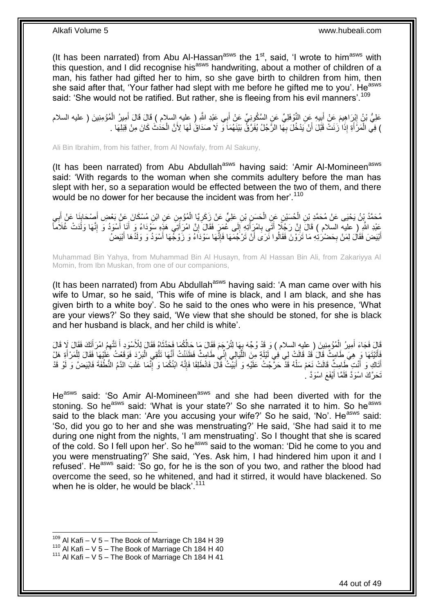(It has been narrated) from Abu Al-Hassan<sup>asws</sup> the  $1<sup>st</sup>$ , said, 'I wrote to him<sup>asws</sup> with this question, and I did recognise his<sup>asws</sup> handwriting, about a mother of children of a man, his father had gifted her to him, so she gave birth to children from him, then she said after that, 'Your father had slept with me before he gifted me to you'. He<sup>asws</sup> said: 'She would not be ratified. But rather, she is fleeing from his evil manners'.<sup>109</sup>

عَلِيُّ نَنُ إِنْرَاهِيمَ عَنْ أَبِيهِ عَنِ النَّوْفَلِيِّ عَنِ السَّكُونِيِّ عَنْ أَبِي عَنْدِ اللَّهِ ( عِليه السلام ) قَالَ قَالَ أَمِيرُ الْمُؤْمِنِينَ ( عليه السلام **⊥** ِ ĺ َ َ ) فِي الْمَرْأَةِ إِذَا زَنَتْ قَبْلَ أَنْ يَدْخُلَ بِهَا الرَّجُلُ يُفَرَّقُ بَيْنَهُمَا وَّ لَا صَدَاقُ لَهَا لِأَنَّ الْحَدُثُ كَانَ مِنْ قِبَلِهَا . i. **∶** َ َ Ĺ

Ali Bin Ibrahim, from his father, from Al Nowfaly, from Al Sakuny,

(It has been narrated) from Abu Abdullah<sup>asws</sup> having said: 'Amir Al-Momineen<sup>asws</sup> said: 'With regards to the woman when she commits adultery before the man has slept with her, so a separation would be effected between the two of them, and there would be no dower for her because the incident was from her'.<sup>110</sup>

مُحَمَّدُ بِنُ يَحْيَى عَنْ مُحَمَّدِ بْنِ الْحُسَيْنِ عَنِ الْحَسَنِ بْنِ عَلِيٍّ عَنْ زِكَرِيَّا الْمُؤْمِنِ عَنِ ابْنِ مُسْكَانَ عَنْ بَعْضِ أَصِيْحَابِيَا عَنْ أَبِي Ĺ **ٍ** Î  $\ddot{ }$ **∶** َ ¦ َ عَبْدِ اللَّهِ ( عليه السلام ) قَالَ إِنَّ رَجُلًا أَتَى بِامْرِأَتِهِ إِلَى عُمَرٍ فَقَالَ إِنَّ امْرَأَتِي هَذِهِ سَوْدَاءُ وَ أَنَا أَسْوَدُ وَ إِنَّهَا وَلَدَتْ غُلَاماً َ ∣l<br>∶ ِ َ ِ **إ** ِ َ َ ُ أَبْيَضَ فَقَالَ لِمَنْ بِحَضْرَٰتِهِ مَا تَرَوْنَ فَقَالُوا نَّرَى أَنْ تَرْجُمَهَا فَإِنَّهَا سَوْدَاءُ وَ زَوْجُهَا أَسْوَدُ وَ وَلَدُهَا أَبْيَضُ **∶** َ َ ِ َ

Muhammad Bin Yahya, from Muhammad Bin Al Husayn, from Al Hassan Bin Ali, from Zakariyya Al Momin, from Ibn Muskan, from one of our companions,

(It has been narrated) from Abu Abdullah<sup>asws</sup> having said: 'A man came over with his wife to Umar, so he said, 'This wife of mine is black, and I am black, and she has given birth to a white boy'. So he said to the ones who were in his presence, 'What are your views?' So they said, 'We view that she should be stoned, for she is black and her husband is black, and her child is white'.

لَا فَجَاءَ أَمِيرُ الْمُؤْمِنِينَ ( عليه السلام ) وَ قَدْ وُجِّهَ بِهَا لِتُرْجَمَ فَقَالَ مَا حَالُكُمَا فَحَدَّثَاهُ فَقَالَ لِلْأَسْوَدِ أَ تَتَّهِمُ امْرَأَتَكَ فَقَالَ لَا قَالَ َ ِ i. َ َ َ فَأَتَيْتَهَا وَ هِيَ طَامِثٌ قَالَ ُقَدْ قَالَتْ لِي ٰفِي لَيْلَةٍ مِنَ اللَّيَالِي إِنِّي طَامِثٌ فَظَنَنْتُ أَنَّهَا تَتَّقِي الْبَرْدَ فَوَقَعْتُ عَلَيْهَا فَقَالَ لِلْمَرْأَةِ هَلْ َ ِ ر<br>إ َ ĺ Ĺ أَتَاكِ وَ أَنْتِ طَامِثٌ قَالَتْ نَعَمْ سَلْهُ قَذْ حَرٍّجْتُ عَلَيْهِ وَ أَبَيْتُ قَالَ فَانْطَلِقَا فَإِنَّهُ ابْنُكُمَا وَ إِنَّمَا غَلَبَ الذَّمُ النُّطْفَةَ فَابْيَضَّ وَ لَوْ قَدْ َ َ ِ ِ َ  $\ddot{\phantom{0}}$ تَحَرَّكَ اسْوَدَّ فَلَمَّا أَيْفَعَ اسْوَدَّ . َ

He<sup>asws</sup> said: 'So Amir Al-Momineen<sup>asws</sup> and she had been diverted with for the stoning. So he<sup>asws</sup> said: 'What is your state?' So she narrated it to him. So he<sup>asws</sup> said to the black man: 'Are you accusing your wife?' So he said, 'No'. He<sup>asws</sup> said: 'So, did you go to her and she was menstruating?' He said, 'She had said it to me during one night from the nights, 'I am menstruating'. So I thought that she is scared of the cold. So I fell upon her'. So he<sup>asws</sup> said to the woman: 'Did he come to you and you were menstruating?' She said, 'Yes. Ask him, I had hindered him upon it and I refused'. He<sup>asws</sup> said: 'So go, for he is the son of you two, and rather the blood had overcome the seed, so he whitened, and had it stirred, it would have blackened. So when he is older, he would be black'.<sup>111</sup>

 $109$  Al Kafi – V 5 – The Book of Marriage Ch 184 H 39

 $110$  Al Kafi – V 5 – The Book of Marriage Ch 184 H 40

 $111$  Al Kafi – V 5 – The Book of Marriage Ch 184 H 41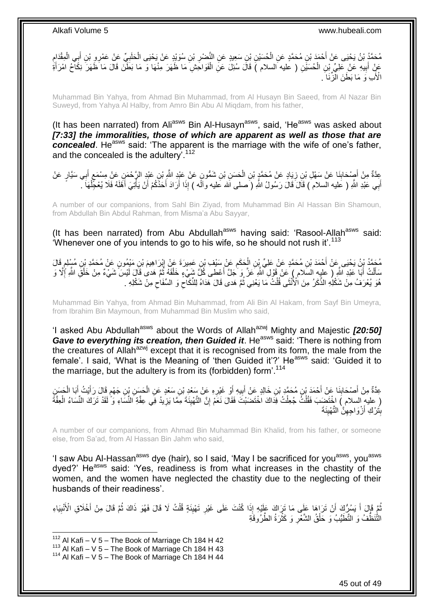مُحَمَّدُ بْنُ يَحْيَى عَنْ أَحْمَدَ بْنِ مُحَمَّدٍ عَنِ الْحُسَيْنِ بْنِ سَعِيدٍ عَنِ النَّصْئِرِ بْنِ سُوَيْدٍ عَنْ يَحْيَى الْحَلَبِيِّ عَنْ عَمْرِ وِ بْنِ أَبِي الْمِقْدَامِ<br>محمد اللہ اللہ علیہ اللہ علیہ اللہ علیہ اللہ ِ ĺ **∶** į َ ِ  $\ddot{\phantom{0}}$ َ عَنٍْ أَبِيهِ عَنْ عَلِيٍّ بِنِ الْحُسَيَّنِ ( عليه السلام ) قَالَ سُئِلَ عَنِ الْفَوَاحِشِ مَا ظَهَرَ مِنْهَا وَ مَا بَطَّنَ قَالَ مَا ظَهَرَ نِكَاحُ امْرَأَةٍ ĺ  $\overline{a}$ **∣** َ َ الْأَبِ وَ مَا بَطَنَ الْزِّنَا َ

Muhammad Bin Yahya, from Ahmad Bin Muhammad, from Al Husayn Bin Saeed, from Al Nazar Bin Suweyd, from Yahya Al Halby, from Amro Bin Abu Al Miqdam, from his father,

(It has been narrated) from Ali<sup>asws</sup> Bin Al-Husayn<sup>asws</sup>, said, 'He<sup>asws</sup> was asked about *[7:33] the immoralities, those of which are apparent as well as those that are*  **concealed**. He<sup>asws</sup> said: 'The apparent is the marriage with the wife of one's father, and the concealed is the adultery'.<sup>112</sup>

عِدَّةٌ مِنْ أَصِنْحَابِنَا عَنْ سَهْلِ بْنِ زِيَادٍ عَنْ مُحَمَّدٍ بْنِ الْحَسَنِ بْنِ شَمُّونٍ عَنْ عَبْدٍ اللَّهِ بْنِ عَبْدٍ الزَّحْمَنِ عَنْ مِسْمَعٍ أَبِي سَيَّارٍ عَنْ  $\ddot{\phantom{0}}$ **∶ ∣** َ َ **∶** أَبِي عَبْدِ اللَّهِ ( عَليه السلام ) قَالَ قَالَ رَسُولُ اللَّهِ ( َصلى الله عَليه والَه ) إِذَا أَرَادَ أَحَذُكُمْ أَنْ يَأْتِيَ أَهْلَهُ فَلَا يُعْجِّلُهَا ۖ َ ĺ َ j اُ َ َ

A number of our companions, from Sahl Bin Ziyad, from Muhammad Bin Al Hassan Bin Shamoun, from Abdullah Bin Abdul Rahman, from Misma'a Abu Sayyar,

(It has been narrated) from Abu Abdullah<sup>asws</sup> having said: 'Rasool-Allah<sup>asws</sup> said: 'Whenever one of you intends to go to his wife, so he should not rush it'.<sup>113</sup>

ِ مُحَمَّدُ بِنُ يَحْيَى عَنْ أَحْمَدَ بْنِ مُحَمَّدٍ عَنْ عَلِيِّ بِنِ الْحَكَمِ عَنْ سَيْفِ بْنِ عَمِيرَةَ عَنْ إِبْرَاهِيمَ بْنِ مَيْمُونِ عَنْ مُحَمَّدٍ بْنِ مُسْلِمٍ قَالَ<br>مُحَمَّدُ بِنُ يَحْيَى عَنْ أَحْمَدَ بْنِ مُحَم ِ  $\ddot{\phantom{0}}$ ֖֖֖֖֖֧֧ׅ֪֦֧֧֧ׅ֧֚֚֚֚֚֚֚֚֚֬֝֝֟֓֝֓֟֓֕֓֝֬֝֓֝֬֝֟֓֟֓֟֓֝֬֜֟֓֡֟֓֝֬֜֜֓ مَأَلْتُ أَبَا عَبْدِ اللَّهِ ( عليهِ السَلام ) عَنْ قَوْلِ اللَّهِ عَزَّ وَ جَلَّ أَعْطى كُلِّ شَيْءٍ خَلْقَهُ ثُمَّ هَدى قَالَ لَيْسَ شَيْءٌ مِنْ خَلْقَ اللَّهِ إِلَّا وَ َ َ .<br>ا ا پایا<br>ا ĺ ِ ĺ هُوَ يُعْرَفُ مِنْ شَكْلِهِ الذَّكَرُ مِنَ الْأُنْثَى قُلْتٌ مَا يَعْنِي ثُمَّ هَدى قَالَ هَدَاهُ لِلنِّكَاحَ وَ السِّفَاحِ مِنْ شَكْلِهِ ۖ ِ ِ ان<br>المقامات المقامات المقامات المقامات المقامات المقامات المقامات المقامات المقامات المقامات المقامات المقامات<br>المقامات المقامات المقامات المقامات المقامات المقامات المقامات المقامات المقامات المقامات المقامات المقامات .<br>ا

Muhammad Bin Yahya, from Ahmad Bin Muhammad, from Ali Bin Al Hakam, from Sayf Bin Umeyra, from Ibrahim Bin Maymoun, from Muhammad Bin Muslim who said,

'I asked Abu Abdullah<sup>asws</sup> about the Words of Allah<sup>azwj</sup> Mighty and Majestic *[20:50] Gave to everything its creation, then Guided it.* He<sup>asws</sup> said: 'There is nothing from the creatures of Allah<sup>azwj</sup> except that it is recognised from its form, the male from the female'. I said, 'What is the Meaning of 'then Guided it'?' He<sup>asws'</sup> said: 'Guided it to the marriage, but the adultery is from its (forbidden) form'.<sup>114</sup>

عِدَّةٌ مِنْ أَصْحَابِنَا عَنْ أَحْمَدَ بْنِ مُحَمَّدٍ بْنِ خَالِدٍ عَنْ أَبِيهِ أَوْ غَيْرِهِ عَنْ سَعْدٍ بِنِ سَعْدٍ عَنِ الْحَسَنِ بْنِ جَهْمٍ قَالَ رَأَيْتُ أَبَا الْحَسَنِ<br>وَيَجْمَعُوا الْمَسْتَحَابِنَا عَنْ أَرْضُ مُ اُ ِ َ َ **ِ**  $\ddot{\phantom{0}}$ َ َ ֧֖֧֖֖֖֖֖֧֖֖֧֧֧֧ׅ֧֧֧֧֧֧֧֧֧֧֧֧֚֚֚֚֚֚֚֚֝֝֟֓֝֓֝֓֝֬֟֓֟֓֝֬֝֬֝֓֝֬֜֓֝֬֜֓֝֬֝֓֝֬֝֓֝֬֝֬֓֝֬֝֬֝ ĺ ِ ( عليهِ السلام ) اخْتَضَبَ فَقُلْتُ جُعِلْتُ فِذَاكَ اخْتَضَنْتَ فَقَالَ نَعَمْ إِنَّ التَّهْبِئَةَ مِمَّا يَزِيدُ فِي عِفَّةِ النِّسَاءِ وَ لَقَدْ تَرَكَ النِّسَاءُ الْعِفَّةُ **ٍ** ِ ِ Ĺ .<br>ا ĺ بِتَرْكِ أَزْوَاجِهِنَّ التَّهْيِئَةَ **!** ِ َ **ِ** 

A number of our companions, from Ahmad Bin Muhammad Bin Khalid, from his father, or someone else, from Sa'ad, from Al Hassan Bin Jahm who said,

'I saw Abu Al-Hassan<sup>asws</sup> dye (hair), so I said, 'May I be sacrificed for you<sup>asws</sup>, you<sup>asws</sup> dyed?' He<sup>asws</sup> said: 'Yes, readiness is from what increases in the chastity of the women, and the women have neglected the chastity due to the neglecting of their husbands of their readiness'.

ثُمَّ قَالَ أَ يَسُرُّكَ أَنْ تَرَاهَا عَلَى مَا تَرَاكَ عَلَيْهِ إِذَا كُنْتَ عَلَى غَيْرِ تَهْبِئَةٍ قُلْتُ لَا قَالَ فَهُوَ ذَاكَ ثُمَّ قَالَ مِنْ أَخْلَاقِ الْأَنْبِيَاءِ<br>وَفَيْ أَيْسَ بَمَّةٍ مَا أَنْ تَرَاهَا عَلَى َ َ ُ َ ُ ĺ **! ∶** ِ التَّنَظَّفُ وَ التَّطَيُّبُ وَ حَلْقُ الشَّعْرِ وَ كَثْرَةُ الطَّرُوقَةِ ِ í

 $112$  Al Kafi – V 5 – The Book of Marriage Ch 184 H 42

<sup>113</sup> Al Kafi – V  $5$  – The Book of Marriage Ch 184 H 43

 $114$  Al Kafi – V 5 – The Book of Marriage Ch 184 H 44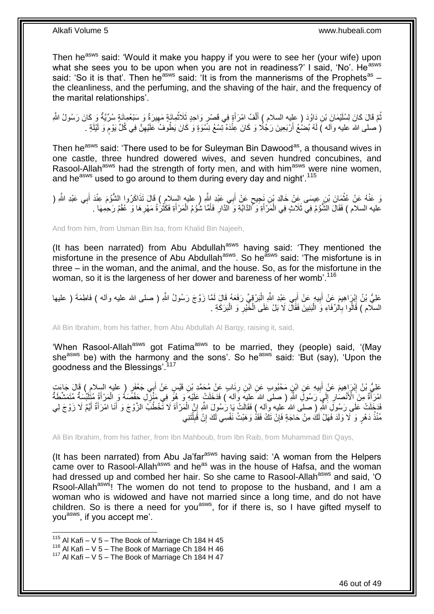Then he<sup>asws</sup> said: 'Would it make you happy if you were to see her (your wife) upon what she sees you to be upon when you are not in readiness?' I said, 'No'. He<sup>asws</sup> said: 'So it is that'. Then he<sup>asws</sup> said: 'It is from the mannerisms of the Prophets<sup>as</sup> the cleanliness, and the perfuming, and the shaving of the hair, and the frequency of the marital relationships'.

نُّمَّ قَالَ كَانَ لِسُلَيْمَانَ بْنِ دَاوُدَ ( عليه السلام ) أَلْفُ امْرَأَةٍ فِي قَصْرٍ وَاحِدٍ ثَلَاثُمِائَةٍ مَهِيرَةٌ وَ سَبْعُمِائَةٍ سُرِّيَّةٌ وَ كَانَ رَسُولُ الثَّهِ ِ ُ َ Ĺ َ ُ ( صلى الله عليه وآله ) لَهُ بُضْعُ أَرْبَعِينَ رَجُلًا وَ كَانَ عِنْْدَهُ تِسْعُ نِسَّوَةٍ وَ كَانَ يَطُوفُ عَلَيْهِنَّ فِي كُلِّ يَوْم وَ لَيْلَةٍ . ֧֧֖֧֖֧֖֧֧֧֧֧֧֧֧֧֧֧֧֚֚֚֓֝֝֝֝֝֟֓֝֓֬֝֓֝֬֟֓֟֓֝֬֟֓֟֓֝֬֝֬֝֓֟֓֝֬֜֝֬֝֓֝֬֝֓ ِ اً لَ

Then he<sup>asws</sup> said: 'There used to be for Suleyman Bin Dawood<sup>as</sup>, a thousand wives in one castle, three hundred dowered wives, and seven hundred concubines, and Rasool-Allah<sup>asws</sup> had the strength of forty men, and with him<sup>asws</sup> were nine women, and he<sup>asws</sup> used to go around to them during every day and night'.<sup>115</sup>

وَ عَنْهُ عَنْ عُثْمَانَ بْنِ عِيسَى عَنْ خَالِدِ بْنِ نَجِيحٍ عَنْ أَبِي عَبْدِ اللَّهِ ( عليه السلام ) قَالَ تَذَاكَرُوا الشُّؤُمَ عِنْدَ أَبِي عَبْدِ اللَّهِ ( ٍ  $\ddot{\phantom{0}}$ َ عليه السلام ) فَقَالَ الشَّوُمُ فِي ثَلَاثٍ فِي الْمَرْ أَةِ وَكَّالدَّابَةِ وَ الذَّارِ فَأَمَّا شُوُمُ الْمَرْ أَةِ فَكُثْرُةُ مَهْرِهَا وَ عُقْمُ رَحِمِهَا .  $\ddot{\phantom{a}}$ َ Ĺ َ ِ َ i.

And from him, from Usman Bin Isa, from Khalid Bin Najeeh,

(It has been narrated) from Abu Abdullah<sup>asws</sup> having said: 'They mentioned the misfortune in the presence of Abu Abdullah<sup>asws</sup>. So he<sup>asws</sup> said: 'The misfortune is in three – in the woman, and the animal, and the house. So, as for the misfortune in the woman, so it is the largeness of her dower and bareness of her womb<sup>'.116</sup>

عَلِيُّ بْنُ إِبْرَاهِيمَ عَنْ أَبِيهِ عَنْ أَبِي عَبْدِ اللَّهِ الْمَرْقِيِّ رَفَعَهُ قَالَ لَمَّا زَوَّجَ رَسُولُ اللَّهِ ( صلى الله عليه وأله ) فَاطِمَةَ ( عليها ĺ َ ِ َ ِ السلام ) قَالُوا بِالرِّفَاءِ وَ الْبَنِينَ فَقَالَ لَا بَلْ عَلَى الْخَيْرِ وَ الْبَرَكَةِ . Ĺ ِ i. **∶** 

Ali Bin Ibrahim, from his father, from Abu Abdullah Al Barqy, raising it, said,

'When Rasool-Allah<sup>asws</sup> got Fatima<sup>asws</sup> to be married, they (people) said, '(May she<sup>asws</sup> be) with the harmony and the sons'. So he<sup>asws</sup> said: 'But (say), 'Upon the goodness and the Blessings'.<sup>117</sup>

ِ عَلِيُّ بْنُ إِبْرَاهِيمَ عَنْ أَبِيهِ عَنِ ابْنِ مَحْبُوبِ عَنِ ابْنِ رِئَابٍ عَنْ مُحَمَّدِ بْنِ قَيْسٍ عَنْ أَبِي جَعْفَرٍ ( عليه السلامِ ) قَالَ جَاءَتِ<br>عَلَيُّ بْنُ إِبْرَاهِيمَ عَنْ أَبِيهِ عَنِ ابْنِ مَحْبُوبِ عَنِ َ ِ ِ َ امْرَأَةٌ مِنَ الْأَنْصَارِ إِلَيَ رَسُولِ اللَّهِ ( صلّى الله عليهِ وَاله ) فَدَخَلَتْ عَلَيْهِ وَ هُوًّ فِي مَنْزِلِ حَفْصَةُ وَ الْمَرْأَةُ مُتَلَمِّلُهُمْ مُتَمَشِّطَةٌ ِ  $\frac{1}{2}$ ِ َ َ  $\ddot{\phantom{0}}$ وَاجَ نَّسُولُو اللَّهِ ( صلَّى الله ُعليه وِّاله ) فَقَالَتْ بَإِ رَٰسُولَ اللَّهِ إِنَّ الْمَرْأَةَ لَا تَّخْطُبُ الزَّوْجَ وَ أَنَا امْرَأَةٌ أَيِّمٌ لَا زَوْجَ لِي َ َ َ َ ĺ ِ مُنْذُ دَهْرٍ وَ لَا وَلَدَ فَهَلْ لَكُ مِنْ حَاجَةٍ فَإِنْ تَكُ فَقَدْ وَهَبْتُ نَفْسِي لَكَ إِنْ قَٰبِلْتَنِي Ĺ ِ ِ ِ

Ali Bin Ibrahim, from his father, from Ibn Mahboub, from Ibn Raib, from Muhammad Bin Qays,

(It has been narrated) from Abu Ja'far<sup>asws</sup> having said: 'A woman from the Helpers came over to Rasool-Allah<sup>asws</sup> and he<sup>as</sup> was in the house of Hafsa, and the woman had dressed up and combed her hair. So she came to Rasool-Allah<sup>asws</sup> and said, 'O Rsool-Allah<sup>asws</sup>! The women do not tend to propose to the husband, and I am a woman who is widowed and have not married since a long time, and do not have children. So is there a need for you<sup>asws</sup>, for if there is, so I have gifted myself to you<sup>asws</sup>, if you accept me'.

 $115$  Al Kafi – V 5 – The Book of Marriage Ch 184 H 45

<sup>116</sup> Al Kafi – V 5 – The Book of Marriage Ch 184 H 46

 $117$  Al Kafi – V 5 – The Book of Marriage Ch 184 H 47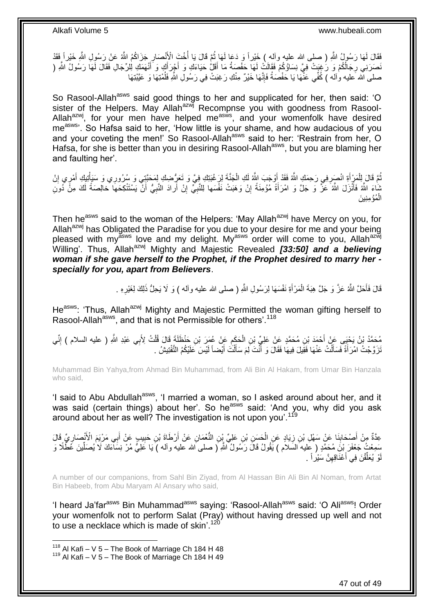فَقَالَ لَمَها رَسُولُ اللَّهِ ( صلى الله عليه وآله ) خَيْراً وَ دَعَا لَمَهَا ثُمَّ قَالَ يَا أُخْتَ الْأَنْصَارِ جَزَاكُمُ اللَّهُ عَنْ رَسُولِ اللَّهِ خَيْراً فَقَدْ ِ ا<br>أ ان<br>المقامات نَصَرَنِي رِجَالُكُمْ وَ رَُغِبَتْ فِيَّ نِسَاؤُكُمْ فَقَالَتْ لَهَا حَفْصَةُ مَا أَقَلُّ حَيَاءَكِ وَ أَجْرَأَكِ وَ أَنْهَمَكِ لِلرِّجَالِ فَقَالَ لَهَا رَسُولُ اللَّهِ ( **∶** َ َ َ َ لَ ُ صلى الله عليه واله ) كُفِّي عَنّْهَا يَا حَفْصَةُ فَإِنَّهَا خَيْرٌ مِنْكِ رَغِبَتْ فِي رَسُولِ اللَّهِ فَلُمْتِهَا وَ عَيَّنْتِهَا ∣اٍ<br>∶

So Rasool-Allah<sup>asws</sup> said good things to her and supplicated for her, then said: 'O sister of the Helpers. May Allah<sup>azwj</sup> Recompnse you with goodness from Rasool-Allah<sup>azwj</sup>, for your men have helped me<sup>asws</sup>, and your womenfolk have desired me<sup>asws</sup>'. So Hafsa said to her, 'How little is your shame, and how audacious of you and your coveting the men!' So Rasool-Allah<sup>asws</sup> said to her: 'Restrain from her, O Hafsa, for she is better than you in desiring Rasool-Allah<sup>asws</sup>, but you are blaming her and faulting her'.

تُمَّ قَالَ لِلْمَرْ أَةِ انْصَرِفِي رَحِمَكِ اللَّهُ فَقَدْ أَوْجَبَ اللَّهُ لَكِ الْجَنَّةَ لِرَغْبَتِكِ فِي<br>ثُمَّ تَسَرُّ إِنَّ انْسَرَفِي رَحِمَكِ اللَّهُ فَقَدْ أَوْجَبَ اللَّهُ لَكِ الْجَنَّةَ لِرَغْبَتِنِكَ فَعَرُّ  $\ddot{\phantom{0}}$ َ ِ َ i. ِ َ j بْنَاءَ اللَّهُ فَأَنْزَلَ اللَّهُ عَزَّ وَ جَلَّ وَ امْرَأَةً مُؤْمِنَةً إِنْ وَهَبَتْ نَفْسَها لِلنَّبِيِّ إِنْ أَرادَ النَّبِيُّ أَنْ يَسْتَتْكِحَهَا خالِصَةً لَكَ مِنَّ دُونِ َ لَ َ ِ َ ِ ِ ِ الْمُؤْمِنِينَ j,

Then he<sup>asws</sup> said to the woman of the Helpers: 'May Allah<sup>azwj</sup> have Mercy on you, for Allah<sup>azwj</sup> has Obligated the Paradise for you due to your desire for me and your being pleased with my<sup>asws</sup> love and my delight. My<sup>asws</sup> order will come to you, Allah<sup>azwj</sup> Willing'. Thus, Allah<sup>azwj</sup> Mighty and Majestic Revealed **[33:50] and a believing** *woman if she gave herself to the Prophet, if the Prophet desired to marry her specially for you, apart from Believers*.

> قَالَ فَأَحَلَّ اللَّهُ عَزَّ وَ جَلَّ هِبَةَ الْمَرْأَةِ نَفْسَهَا لِرَسُولِ اللَّهِ ( صلى الله عليه وأله ) وَ لَا يَحِلُّ ذَلِكَ لِغَيْرِهِ . َ i. َ ِ

He<sup>asws</sup>: 'Thus, Allah<sup>azwj</sup> Mighty and Majestic Permitted the woman gifting herself to Rasool-Allah<sup>asws</sup>, and that is not Permissible for others'.<sup>118</sup>

مُحَمَّدُ بْنُ يَحْيَى عَنْ أَحْمَدَ بْنِ مُحَمَّدٍ عَنْ عَلِيٍّ بْنِ الْحَكِمِ عَنْ عُبَرَ بْنِ جَنْظَلَةٍ قَالَ قُلْتُ لِأَبِي عَبْدِ اللَّهِ ( عليه السلام ) إِنِّي<br>يَهَذُّبُ بَيْ جَمِي عَنْ أَحْمَدَ بْنِ مُحَمَّدٍ عَنْ Ĺ ِ i. ِ نَرَ وَّجْتُ امْرَأَةً فَسَأَلْتُ عَنْهَا فَقِيلَ فِيهَا فَقَالَ وَ أَنْتَ لِمَ سَأَلْتَ أَيْضاً لَيْسَ عَلَيْكُمُ التَّفْتِيشُ . لَ َ َ .<br>ا َ َ

Muhammad Bin Yahya,from Ahmad Bin Muhammad, from Ali Bin Al Hakam, from Umar Bin Hanzala who said,

'I said to Abu Abdullah<sup>asws</sup>, 'I married a woman, so I asked around about her, and it was said (certain things) about her'. So he<sup>asws</sup> said: 'And you, why did you ask around about her as well? The investigation is not upon you'.<sup>11</sup>

عِدَّةٌ مِنْ أَصْحَابِنَا عَنْ سَهْلِ بْنِ زِيَادٍ عَنِ الْحَسَنِ بْنِ عَلِيٍّ بِّنِ النُّعْمَانِ عَنْ أَرْطَاةَ بْنِ حَبِيبٍ عَنْ أَبِي مَرْيَمَ الْأَنْصَارِيِّ قَالَ **∣** َ ِ َ ِ َ i. ِ سَمِعْتُ جَعْفَرَ بْنَ مُحَمَّدٍ ( عَليه السَّلاَم ) يََقُولُ قَالَ رَسُولُ اللَّهِ ( صلى الله عليه وآله ) يَا عَلِيُّ مُرْ نِسَاءَكَ لَا يُصَلِّينَ عَظُلًا وَ ِّ وْ يُعَلِّقْنَ فِي أَعْذَاقِهِنَّ سَيْرٍ أَ ِ َ ِّ لَ

A number of our companions, from Sahl Bin Ziyad, from Al Hassan Bin Ali Bin Al Noman, from Artat Bin Habeeb, from Abu Maryam Al Ansary who said,

'I heard Ja'far<sup>asws</sup> Bin Muhammad<sup>asws</sup> saying: 'Rasool-Allah<sup>asws</sup> said: 'O Ali<sup>asws</sup>! Order your womenfolk not to perform Salat (Pray) without having dressed up well and not to use a necklace which is made of skin'.<sup>120</sup>

 $118$  Al Kafi – V 5 – The Book of Marriage Ch 184 H 48

 $119$  Al Kafi – V 5 – The Book of Marriage Ch 184 H 49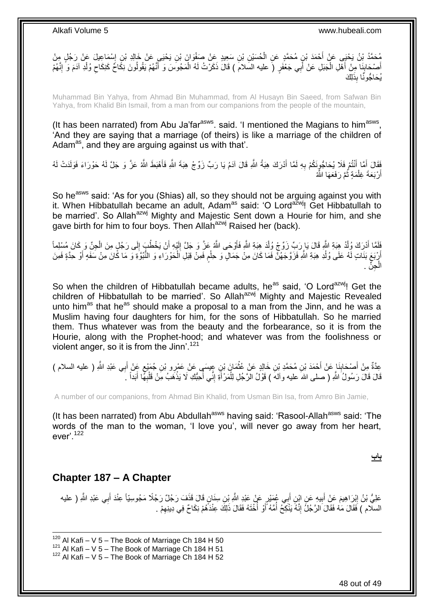

Muhammad Bin Yahya, from Ahmad Bin Muhammad, from Al Husayn Bin Saeed, from Safwan Bin Yahya, from Khalid Bin Ismail, from a man from our companions from the people of the mountain,

(It has been narrated) from Abu Ja'far<sup>asws</sup>. said. 'I mentioned the Magians to him<sup>asws</sup>, 'And they are saying that a marriage (of theirs) is like a marriage of the children of Adam<sup>as</sup>, and they are arguing against us with that'.

فَقَالَ أَمَّا أَنْتُمْ فَلَا يُحَاجُونِكُمْ بِهِ لَمَّا أَدْرَكَ هِبَةُ اللَّهِ قَالَ آدَمُ يَا رَبٍّ زَوِّجْ هِبَةَ اللَّهِ فَأَهْبَطَ اللَّهُ عَزَّ وَ جَلَّ لَهُ حَوْرَاءَ فَوَلَدَتْ لَهُ َ **∶** اً<br>ا َ أَرْبَعَةَ غِلْمَةٍ ثُمَّ رَفَعَهَا الثُّهُ ٔ.<br>ـ j, اً

So he<sup>asws</sup> said: 'As for you (Shias) all, so they should not be arguing against you with it. When Hibbatullah became an adult, Adamas said: 'O Lordazwj! Get Hibbatullah to be married'. So Allah<sup>azwj</sup> Mighty and Majestic Sent down a Hourie for him, and she gave birth for him to four boys. Then Allah<sup>azwj</sup> Raised her (back).

فَلَمَّا أَدْرِكَ وُلْدُ هِبَةِ اللَّهِ قَالَ يَا رَبِّ زَوِّجْ وُلْدَ هِبَةِ اللَّهِ فَأَوْحَى اللَّهُ عَزَّ وَ جَلَّ إِلَيْهِ أَنْ يَخْطُبَ إِلَى رَجُلٍ مِنَ الْجِنِّ وَ كَانَ مُسْلِماً ĺ َ ĺ ِ َ لَ ِ َ أَرْبَعَ بَنَاتٍ لَّهُ عَلَى وُلْدِ هِبَةِ اللَّهِ فَزَوَّجَهُنَّ فَمَا كَانَ مِنْ جَمَالٍ وَ حِلْمِ فَمِنْ قِبَلِ الْحَوْرَاءِ وَ النُّبُوَّةِ وَمَا كَانَ مِنْ مَفَةٍ أَوْ حَدَّةٍ فَمِنَ ٍ Ĺ Ĺ َ  $\overline{a}$ الْجِنِّ . į

So when the children of Hibbatullah became adults, heas said, 'O Lordazwi! Get the children of Hibbatullah to be married'. So Allah<sup>azwj</sup> Mighty and Majestic Revealed unto him<sup>as</sup> that he<sup>as</sup> should make a proposal to a man from the Jinn, and he was a Muslim having four daughters for him, for the sons of Hibbatullah. So he married them. Thus whatever was from the beauty and the forbearance, so it is from the Hourie, along with the Prophet-hood; and whatever was from the foolishness or violent anger, so it is from the Jinn'.<sup>121</sup>

عِدَّةٌ مِنْ أَصْحَابِذَا عَنْ أَحْمَدَ بْنِ مُحَمَّدٍ بْنِ خَالِدٍ عَنْ عُثْمَانَ بْنِ عِيسَى عَنْ عَمْرِو بْنِ جُمَيْعٍ عَنْ أَبِي عَبْدِ اللَّهِ ( عليه السلام )<br>يَذِينَ مَن ما بِنَا بَعَ الْحَمَدَ بِنَ مُحَمَّدٍ بَنِ ح ٍ  $\ddot{\phantom{a}}$ َ ِ َ َ قَالَ قَالَ رَسُولُ اللَّهِ ( صلى اللهَ عليه وآلهَ ) قَوْلُ الرَّجُلِ لِلْمَرْأَةِ إِنِّي أُحِبُّكِ لَا يَذْهَبُ مِنْ قَلْبِهِمَّا أَبَداً ۚ ـ ِ Ĺ  $\ddot{\cdot}$ ا<br>ا ِ i<br>i َ

A number of our companions, from Ahmad Bin Khalid, from Usman Bin Isa, from Amro Bin Jamie,

(It has been narrated) from Abu Abdullah<sup>asws</sup> having said: 'Rasool-Allah<sup>asws</sup> said: 'The words of the man to the woman, 'I love you', will never go away from her heart,  $eVer'$ <sup>122</sup>

**باب**

### <span id="page-47-0"></span>**Chapter 187 – A Chapter**

عَلِيُّ بْنُ إِبْرَاهِيمَ عَنْ أَبِيهِ عَنِ ابْنِ أَبِي عُمَيْرٍ عَنْ عَبْدِ اللَّهِ بْنِ سِنَانٍ قَالَ قَذَفَ رَجُلٌ رَجُلًا مَجُوسِيّاً عِنْدَ أَبِي عَبْدِ اللَّهِ ( عليه َ **!** َ ِ َ السلّام ) فَقَالَ مَهْ فَقَالَ الرَّجُلُ إِنَّهُ يَذْكِحُ أُمَّهُ أَوْ أَخْتَهُ فَقَالَ ذَلِكَ عِنْدَهُمْ نِكَاحٌ فِي دِينِهِمْ . ِ ا<br>ا اُ ا<br>ا ِ

1 Al Kafi – V 5 – The Book of Marriage Ch 184 H 50 Al Kafi – V 5 – The Book of Marriage Ch 184 H 51 Al Kafi – V 5 – The Book of Marriage Ch 184 H 52